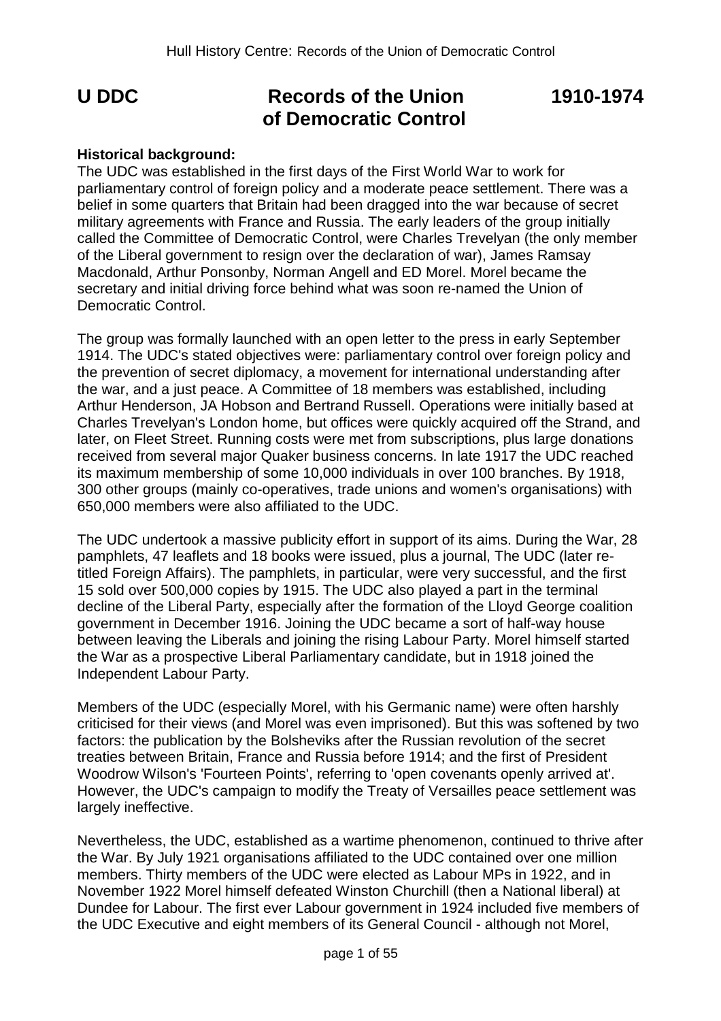# **U DDC Records of the Union 1910-1974 of Democratic Control**

# **Historical background:**

The UDC was established in the first days of the First World War to work for parliamentary control of foreign policy and a moderate peace settlement. There was a belief in some quarters that Britain had been dragged into the war because of secret military agreements with France and Russia. The early leaders of the group initially called the Committee of Democratic Control, were Charles Trevelyan (the only member of the Liberal government to resign over the declaration of war), James Ramsay Macdonald, Arthur Ponsonby, Norman Angell and ED Morel. Morel became the secretary and initial driving force behind what was soon re-named the Union of Democratic Control.

The group was formally launched with an open letter to the press in early September 1914. The UDC's stated objectives were: parliamentary control over foreign policy and the prevention of secret diplomacy, a movement for international understanding after the war, and a just peace. A Committee of 18 members was established, including Arthur Henderson, JA Hobson and Bertrand Russell. Operations were initially based at Charles Trevelyan's London home, but offices were quickly acquired off the Strand, and later, on Fleet Street. Running costs were met from subscriptions, plus large donations received from several major Quaker business concerns. In late 1917 the UDC reached its maximum membership of some 10,000 individuals in over 100 branches. By 1918, 300 other groups (mainly co-operatives, trade unions and women's organisations) with 650,000 members were also affiliated to the UDC.

The UDC undertook a massive publicity effort in support of its aims. During the War, 28 pamphlets, 47 leaflets and 18 books were issued, plus a journal, The UDC (later retitled Foreign Affairs). The pamphlets, in particular, were very successful, and the first 15 sold over 500,000 copies by 1915. The UDC also played a part in the terminal decline of the Liberal Party, especially after the formation of the Lloyd George coalition government in December 1916. Joining the UDC became a sort of half-way house between leaving the Liberals and joining the rising Labour Party. Morel himself started the War as a prospective Liberal Parliamentary candidate, but in 1918 joined the Independent Labour Party.

Members of the UDC (especially Morel, with his Germanic name) were often harshly criticised for their views (and Morel was even imprisoned). But this was softened by two factors: the publication by the Bolsheviks after the Russian revolution of the secret treaties between Britain, France and Russia before 1914; and the first of President Woodrow Wilson's 'Fourteen Points', referring to 'open covenants openly arrived at'. However, the UDC's campaign to modify the Treaty of Versailles peace settlement was largely ineffective.

Nevertheless, the UDC, established as a wartime phenomenon, continued to thrive after the War. By July 1921 organisations affiliated to the UDC contained over one million members. Thirty members of the UDC were elected as Labour MPs in 1922, and in November 1922 Morel himself defeated Winston Churchill (then a National liberal) at Dundee for Labour. The first ever Labour government in 1924 included five members of the UDC Executive and eight members of its General Council - although not Morel,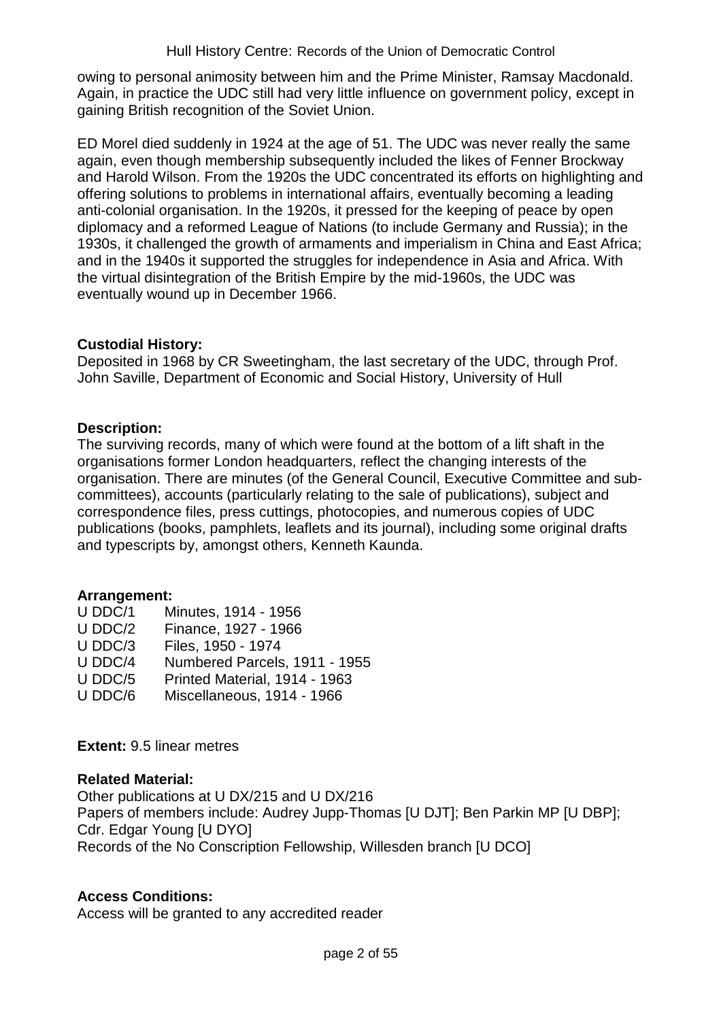owing to personal animosity between him and the Prime Minister, Ramsay Macdonald. Again, in practice the UDC still had very little influence on government policy, except in gaining British recognition of the Soviet Union.

ED Morel died suddenly in 1924 at the age of 51. The UDC was never really the same again, even though membership subsequently included the likes of Fenner Brockway and Harold Wilson. From the 1920s the UDC concentrated its efforts on highlighting and offering solutions to problems in international affairs, eventually becoming a leading anti-colonial organisation. In the 1920s, it pressed for the keeping of peace by open diplomacy and a reformed League of Nations (to include Germany and Russia); in the 1930s, it challenged the growth of armaments and imperialism in China and East Africa; and in the 1940s it supported the struggles for independence in Asia and Africa. With the virtual disintegration of the British Empire by the mid-1960s, the UDC was eventually wound up in December 1966.

# **Custodial History:**

Deposited in 1968 by CR Sweetingham, the last secretary of the UDC, through Prof. John Saville, Department of Economic and Social History, University of Hull

# **Description:**

The surviving records, many of which were found at the bottom of a lift shaft in the organisations former London headquarters, reflect the changing interests of the organisation. There are minutes (of the General Council, Executive Committee and subcommittees), accounts (particularly relating to the sale of publications), subject and correspondence files, press cuttings, photocopies, and numerous copies of UDC publications (books, pamphlets, leaflets and its journal), including some original drafts and typescripts by, amongst others, Kenneth Kaunda.

## **Arrangement:**

| U DDC/1                 | Minutes, 1914 - 1956 |
|-------------------------|----------------------|
| U DDC/2                 | Finance, 1927 - 1966 |
| $\mathsf{I}$ Inn $\cap$ | Eilao 1050 1074      |

- U DDC/3 Files, 1950 1974
- U DDC/4 Numbered Parcels, 1911 1955
- U DDC/5 Printed Material, 1914 1963
- U DDC/6 Miscellaneous, 1914 1966

## **Extent:** 9.5 linear metres

## **Related Material:**

Other publications at U DX/215 and U DX/216 Papers of members include: Audrey Jupp-Thomas [U DJT]; Ben Parkin MP [U DBP]; Cdr. Edgar Young [U DYO] Records of the No Conscription Fellowship, Willesden branch [U DCO]

## **Access Conditions:**

Access will be granted to any accredited reader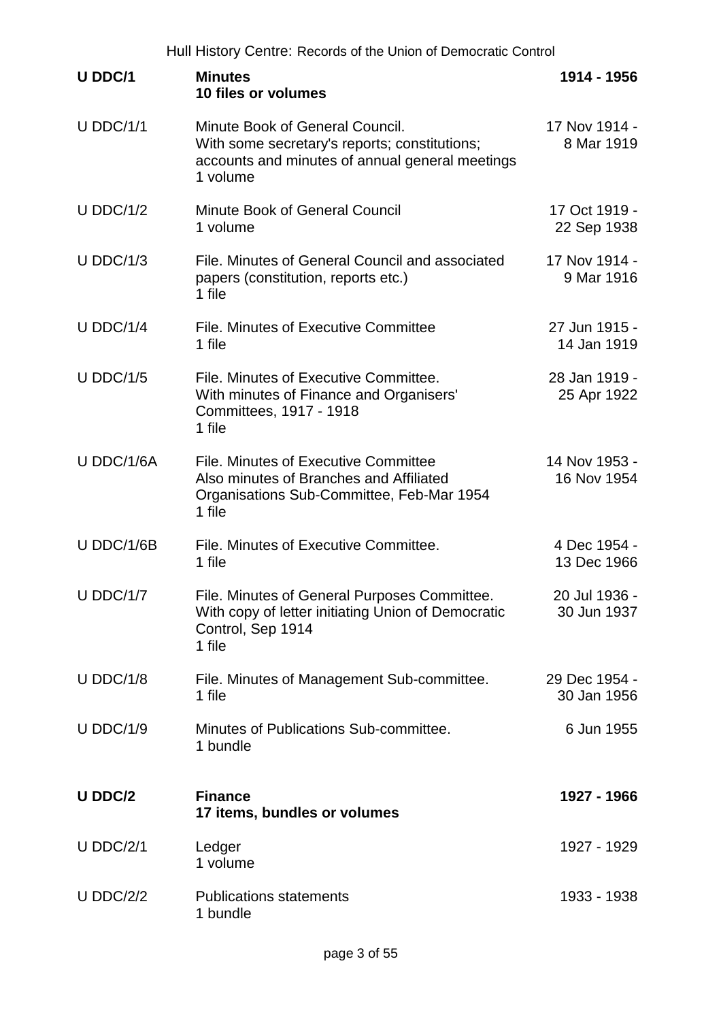|                  | Hull History Centre: Records of the Union of Democratic Control                                                                                 |                              |  |
|------------------|-------------------------------------------------------------------------------------------------------------------------------------------------|------------------------------|--|
| U DDC/1          | <b>Minutes</b><br>10 files or volumes                                                                                                           | 1914 - 1956                  |  |
| $U$ DDC/1/1      | Minute Book of General Council.<br>With some secretary's reports; constitutions;<br>accounts and minutes of annual general meetings<br>1 volume | 17 Nov 1914 -<br>8 Mar 1919  |  |
| U DDC/1/2        | <b>Minute Book of General Council</b><br>1 volume                                                                                               | 17 Oct 1919 -<br>22 Sep 1938 |  |
| $U$ DDC/1/3      | File. Minutes of General Council and associated<br>papers (constitution, reports etc.)<br>1 file                                                | 17 Nov 1914 -<br>9 Mar 1916  |  |
| $U$ DDC/1/4      | File. Minutes of Executive Committee<br>1 file                                                                                                  | 27 Jun 1915 -<br>14 Jan 1919 |  |
| $U$ DDC/1/5      | File. Minutes of Executive Committee.<br>With minutes of Finance and Organisers'<br>Committees, 1917 - 1918<br>1 file                           | 28 Jan 1919 -<br>25 Apr 1922 |  |
| U DDC/1/6A       | File. Minutes of Executive Committee<br>Also minutes of Branches and Affiliated<br>Organisations Sub-Committee, Feb-Mar 1954<br>1 file          | 14 Nov 1953 -<br>16 Nov 1954 |  |
| U DDC/1/6B       | File. Minutes of Executive Committee.<br>1 file                                                                                                 | 4 Dec 1954 -<br>13 Dec 1966  |  |
| U DDC/1/7        | File. Minutes of General Purposes Committee.<br>With copy of letter initiating Union of Democratic<br>Control, Sep 1914<br>1 file               | 20 Jul 1936 -<br>30 Jun 1937 |  |
| $U$ DDC/1/8      | File. Minutes of Management Sub-committee.<br>1 file                                                                                            | 29 Dec 1954 -<br>30 Jan 1956 |  |
| <b>U DDC/1/9</b> | Minutes of Publications Sub-committee.<br>1 bundle                                                                                              | 6 Jun 1955                   |  |
| U DDC/2          | <b>Finance</b><br>17 items, bundles or volumes                                                                                                  | 1927 - 1966                  |  |
| $U$ DDC/2/1      | Ledger<br>1 volume                                                                                                                              | 1927 - 1929                  |  |
| $U$ DDC/2/2      | <b>Publications statements</b><br>1 bundle                                                                                                      | 1933 - 1938                  |  |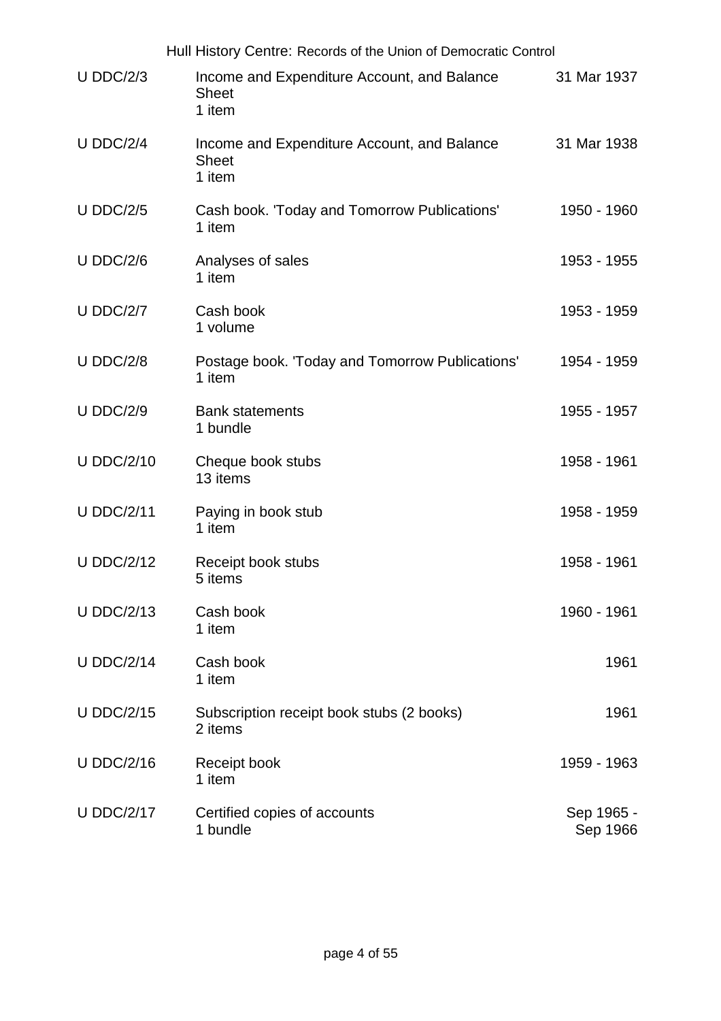|                   | Hull History Centre: Records of the Union of Democratic Control       |                        |
|-------------------|-----------------------------------------------------------------------|------------------------|
| $U$ DDC/2/3       | Income and Expenditure Account, and Balance<br><b>Sheet</b><br>1 item | 31 Mar 1937            |
| $U$ DDC/2/4       | Income and Expenditure Account, and Balance<br><b>Sheet</b><br>1 item | 31 Mar 1938            |
| <b>U DDC/2/5</b>  | Cash book. 'Today and Tomorrow Publications'<br>1 item                | 1950 - 1960            |
| $U$ DDC/2/6       | Analyses of sales<br>1 item                                           | 1953 - 1955            |
| <b>U DDC/2/7</b>  | Cash book<br>1 volume                                                 | 1953 - 1959            |
| <b>U DDC/2/8</b>  | Postage book. 'Today and Tomorrow Publications'<br>1 item             | 1954 - 1959            |
| <b>U DDC/2/9</b>  | <b>Bank statements</b><br>1 bundle                                    | 1955 - 1957            |
| <b>U DDC/2/10</b> | Cheque book stubs<br>13 items                                         | 1958 - 1961            |
| <b>U DDC/2/11</b> | Paying in book stub<br>1 item                                         | 1958 - 1959            |
| <b>U DDC/2/12</b> | Receipt book stubs<br>5 items                                         | 1958 - 1961            |
| <b>U DDC/2/13</b> | Cash book<br>1 item                                                   | 1960 - 1961            |
| <b>U DDC/2/14</b> | Cash book<br>1 item                                                   | 1961                   |
| <b>U DDC/2/15</b> | Subscription receipt book stubs (2 books)<br>2 items                  | 1961                   |
| <b>U DDC/2/16</b> | Receipt book<br>1 item                                                | 1959 - 1963            |
| <b>U DDC/2/17</b> | Certified copies of accounts<br>1 bundle                              | Sep 1965 -<br>Sep 1966 |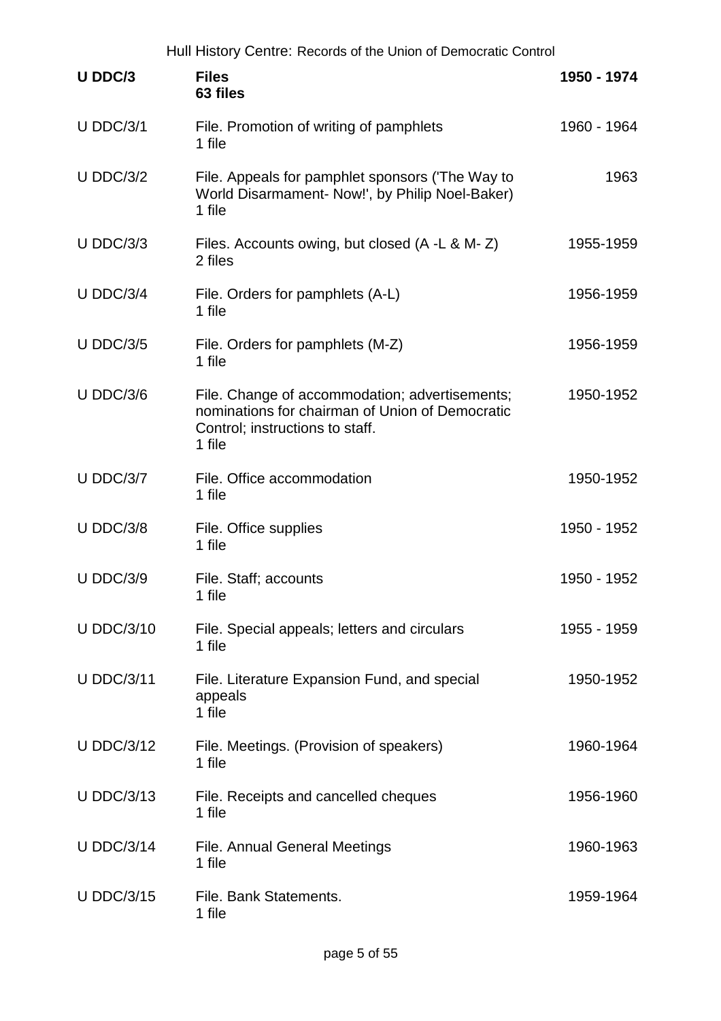|                   | Hull History Centre: Records of the Union of Democratic Control                                                                                |             |
|-------------------|------------------------------------------------------------------------------------------------------------------------------------------------|-------------|
| U DDC/3           | <b>Files</b><br>63 files                                                                                                                       | 1950 - 1974 |
| $U$ DDC/3/1       | File. Promotion of writing of pamphlets<br>1 file                                                                                              | 1960 - 1964 |
| $U$ DDC/3/2       | File. Appeals for pamphlet sponsors (The Way to<br>World Disarmament- Now!', by Philip Noel-Baker)<br>1 file                                   | 1963        |
| $U$ DDC/3/3       | Files. Accounts owing, but closed (A -L & M-Z)<br>2 files                                                                                      | 1955-1959   |
| $U$ DDC/3/4       | File. Orders for pamphlets (A-L)<br>1 file                                                                                                     | 1956-1959   |
| <b>U DDC/3/5</b>  | File. Orders for pamphlets (M-Z)<br>1 file                                                                                                     | 1956-1959   |
| $U$ DDC/3/6       | File. Change of accommodation; advertisements;<br>nominations for chairman of Union of Democratic<br>Control; instructions to staff.<br>1 file | 1950-1952   |
| $U$ DDC/3/7       | File. Office accommodation<br>1 file                                                                                                           | 1950-1952   |
| $U$ DDC/3/8       | File. Office supplies<br>1 file                                                                                                                | 1950 - 1952 |
| <b>U DDC/3/9</b>  | File. Staff; accounts<br>1 file                                                                                                                | 1950 - 1952 |
| <b>U DDC/3/10</b> | File. Special appeals; letters and circulars<br>1 file                                                                                         | 1955 - 1959 |
| <b>U DDC/3/11</b> | File. Literature Expansion Fund, and special<br>appeals<br>1 file                                                                              | 1950-1952   |
| <b>U DDC/3/12</b> | File. Meetings. (Provision of speakers)<br>1 file                                                                                              | 1960-1964   |
| <b>U DDC/3/13</b> | File. Receipts and cancelled cheques<br>1 file                                                                                                 | 1956-1960   |
| <b>U DDC/3/14</b> | <b>File. Annual General Meetings</b><br>1 file                                                                                                 | 1960-1963   |
| <b>U DDC/3/15</b> | File. Bank Statements.<br>1 file                                                                                                               | 1959-1964   |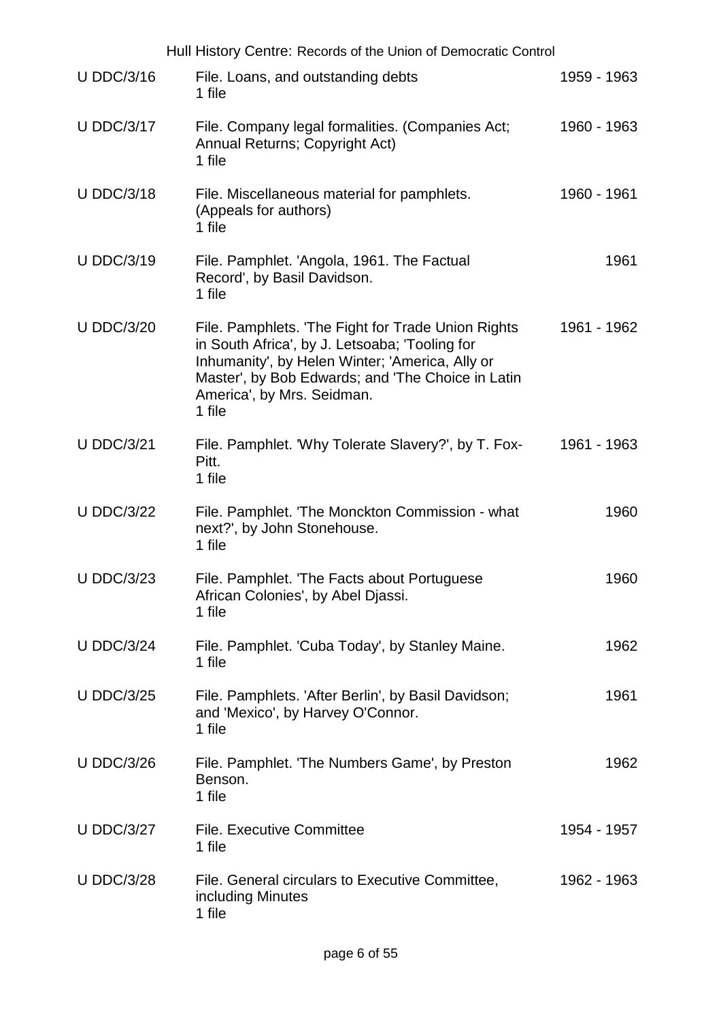|                   | Hull History Centre: Records of the Union of Democratic Control                                                                                                                                                                                      |             |      |
|-------------------|------------------------------------------------------------------------------------------------------------------------------------------------------------------------------------------------------------------------------------------------------|-------------|------|
| <b>U DDC/3/16</b> | File. Loans, and outstanding debts<br>1 file                                                                                                                                                                                                         | 1959 - 1963 |      |
| <b>U DDC/3/17</b> | File. Company legal formalities. (Companies Act;<br>Annual Returns; Copyright Act)<br>1 file                                                                                                                                                         | 1960 - 1963 |      |
| <b>U DDC/3/18</b> | File. Miscellaneous material for pamphlets.<br>(Appeals for authors)<br>1 file                                                                                                                                                                       | 1960 - 1961 |      |
| <b>U DDC/3/19</b> | File. Pamphlet. 'Angola, 1961. The Factual<br>Record', by Basil Davidson.<br>1 file                                                                                                                                                                  |             | 1961 |
| <b>U DDC/3/20</b> | File. Pamphlets. 'The Fight for Trade Union Rights<br>in South Africa', by J. Letsoaba; 'Tooling for<br>Inhumanity', by Helen Winter; 'America, Ally or<br>Master', by Bob Edwards; and 'The Choice in Latin<br>America', by Mrs. Seidman.<br>1 file | 1961 - 1962 |      |
| <b>U DDC/3/21</b> | File. Pamphlet. 'Why Tolerate Slavery?', by T. Fox-<br>Pitt.<br>1 file                                                                                                                                                                               | 1961 - 1963 |      |
| <b>U DDC/3/22</b> | File. Pamphlet. 'The Monckton Commission - what<br>next?', by John Stonehouse.<br>1 file                                                                                                                                                             |             | 1960 |
| <b>U DDC/3/23</b> | File. Pamphlet. 'The Facts about Portuguese<br>African Colonies', by Abel Djassi.<br>1 file                                                                                                                                                          |             | 1960 |
| <b>U DDC/3/24</b> | File. Pamphlet. 'Cuba Today', by Stanley Maine.<br>1 file                                                                                                                                                                                            |             | 1962 |
| <b>U DDC/3/25</b> | File. Pamphlets. 'After Berlin', by Basil Davidson;<br>and 'Mexico', by Harvey O'Connor.<br>1 file                                                                                                                                                   |             | 1961 |
| <b>U DDC/3/26</b> | File. Pamphlet. 'The Numbers Game', by Preston<br>Benson.<br>1 file                                                                                                                                                                                  |             | 1962 |
| <b>U DDC/3/27</b> | <b>File. Executive Committee</b><br>1 file                                                                                                                                                                                                           | 1954 - 1957 |      |
| <b>U DDC/3/28</b> | File. General circulars to Executive Committee,<br>including Minutes<br>1 file                                                                                                                                                                       | 1962 - 1963 |      |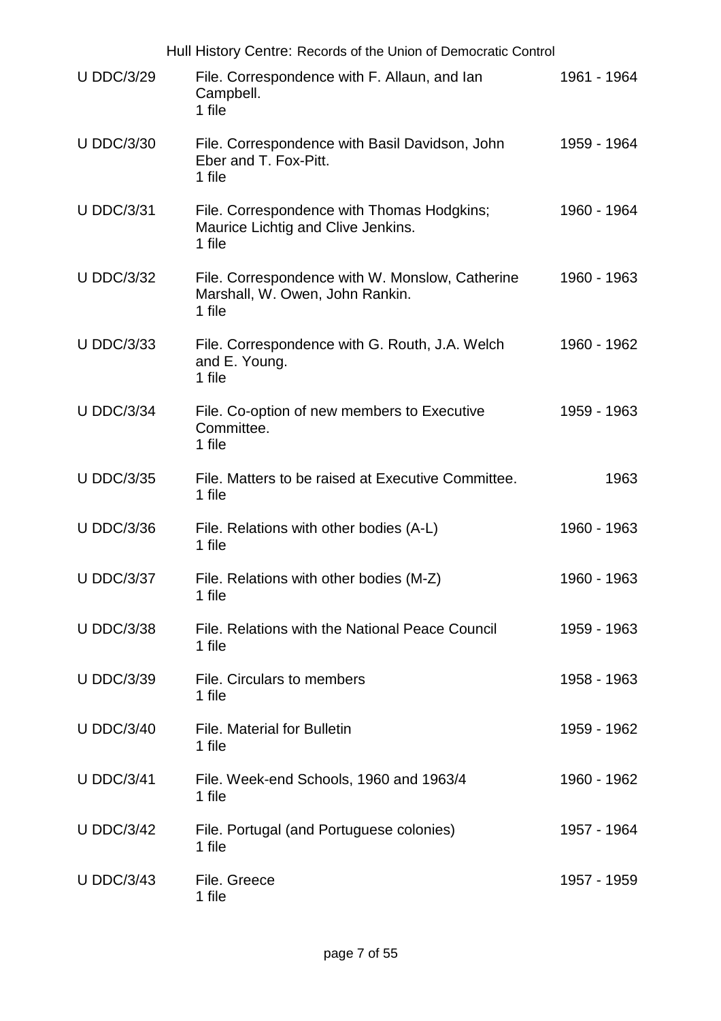|                   | Hull History Centre: Records of the Union of Democratic Control                              |             |
|-------------------|----------------------------------------------------------------------------------------------|-------------|
| <b>U DDC/3/29</b> | File. Correspondence with F. Allaun, and lan<br>Campbell.<br>1 file                          | 1961 - 1964 |
| <b>U DDC/3/30</b> | File. Correspondence with Basil Davidson, John<br>Eber and T. Fox-Pitt.<br>1 file            | 1959 - 1964 |
| <b>U DDC/3/31</b> | File. Correspondence with Thomas Hodgkins;<br>Maurice Lichtig and Clive Jenkins.<br>1 file   | 1960 - 1964 |
| <b>U DDC/3/32</b> | File. Correspondence with W. Monslow, Catherine<br>Marshall, W. Owen, John Rankin.<br>1 file | 1960 - 1963 |
| <b>U DDC/3/33</b> | File. Correspondence with G. Routh, J.A. Welch<br>and E. Young.<br>1 file                    | 1960 - 1962 |
| <b>U DDC/3/34</b> | File. Co-option of new members to Executive<br>Committee.<br>1 file                          | 1959 - 1963 |
| <b>U DDC/3/35</b> | File. Matters to be raised at Executive Committee.<br>1 file                                 | 1963        |
| <b>U DDC/3/36</b> | File. Relations with other bodies (A-L)<br>1 file                                            | 1960 - 1963 |
| <b>U DDC/3/37</b> | File. Relations with other bodies (M-Z)<br>1 file                                            | 1960 - 1963 |
| <b>U DDC/3/38</b> | File. Relations with the National Peace Council<br>1 file                                    | 1959 - 1963 |
| <b>U DDC/3/39</b> | File. Circulars to members<br>1 file                                                         | 1958 - 1963 |
| <b>U DDC/3/40</b> | <b>File. Material for Bulletin</b><br>1 file                                                 | 1959 - 1962 |
| <b>U DDC/3/41</b> | File. Week-end Schools, 1960 and 1963/4<br>1 file                                            | 1960 - 1962 |
| <b>U DDC/3/42</b> | File. Portugal (and Portuguese colonies)<br>1 file                                           | 1957 - 1964 |
| <b>U DDC/3/43</b> | File. Greece<br>1 file                                                                       | 1957 - 1959 |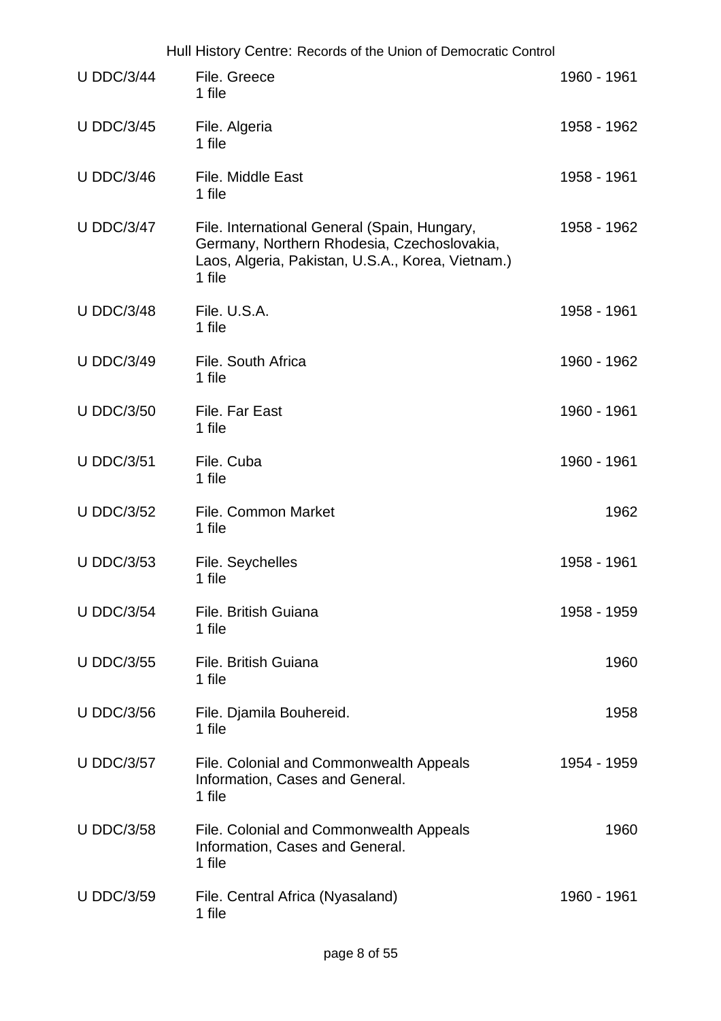|                   | Hull History Centre: Records of the Union of Democratic Control                                                                                            |             |
|-------------------|------------------------------------------------------------------------------------------------------------------------------------------------------------|-------------|
| <b>U DDC/3/44</b> | File. Greece<br>1 file                                                                                                                                     | 1960 - 1961 |
| <b>U DDC/3/45</b> | File. Algeria<br>1 file                                                                                                                                    | 1958 - 1962 |
| <b>U DDC/3/46</b> | File. Middle East<br>1 file                                                                                                                                | 1958 - 1961 |
| <b>U DDC/3/47</b> | File. International General (Spain, Hungary,<br>Germany, Northern Rhodesia, Czechoslovakia,<br>Laos, Algeria, Pakistan, U.S.A., Korea, Vietnam.)<br>1 file | 1958 - 1962 |
| <b>U DDC/3/48</b> | File. U.S.A.<br>1 file                                                                                                                                     | 1958 - 1961 |
| <b>U DDC/3/49</b> | File. South Africa<br>1 file                                                                                                                               | 1960 - 1962 |
| <b>U DDC/3/50</b> | File. Far East<br>1 file                                                                                                                                   | 1960 - 1961 |
| <b>U DDC/3/51</b> | File. Cuba<br>1 file                                                                                                                                       | 1960 - 1961 |
| <b>U DDC/3/52</b> | <b>File. Common Market</b><br>1 file                                                                                                                       | 1962        |
| <b>U DDC/3/53</b> | File. Seychelles<br>1 file                                                                                                                                 | 1958 - 1961 |
| <b>U DDC/3/54</b> | File. British Guiana<br>1 file                                                                                                                             | 1958 - 1959 |
| <b>U DDC/3/55</b> | File, British Guiana<br>1 file                                                                                                                             | 1960        |
| <b>U DDC/3/56</b> | File. Djamila Bouhereid.<br>1 file                                                                                                                         | 1958        |
| <b>U DDC/3/57</b> | File. Colonial and Commonwealth Appeals<br>Information, Cases and General.<br>1 file                                                                       | 1954 - 1959 |
| <b>U DDC/3/58</b> | File. Colonial and Commonwealth Appeals<br>Information, Cases and General.<br>1 file                                                                       | 1960        |
| <b>U DDC/3/59</b> | File. Central Africa (Nyasaland)<br>1 file                                                                                                                 | 1960 - 1961 |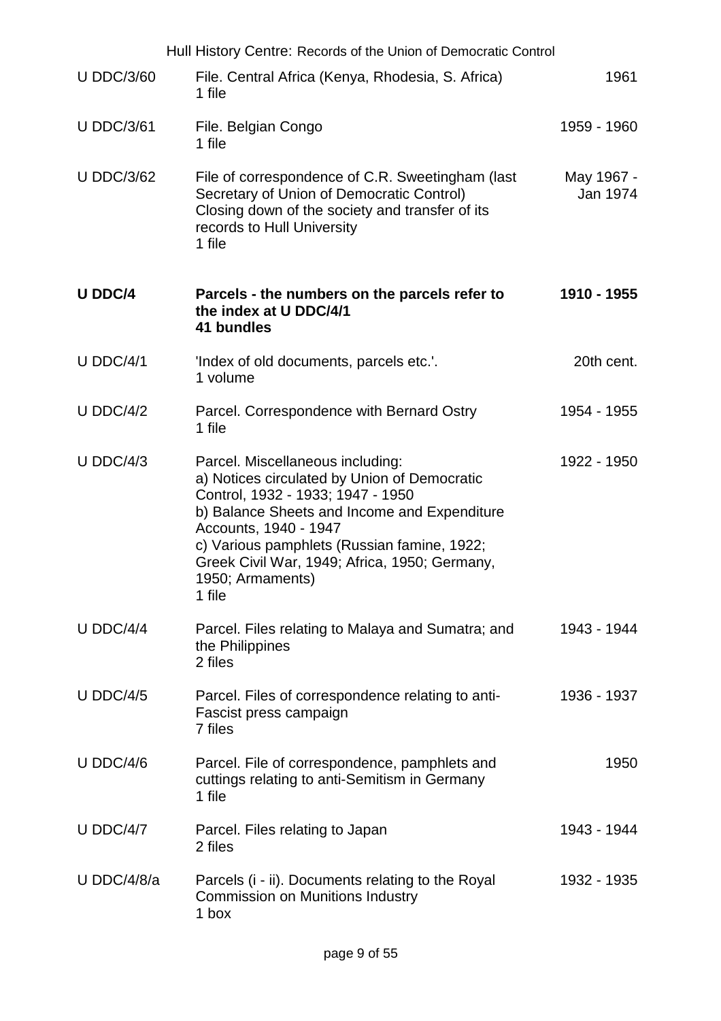|                   | Hull History Centre: Records of the Union of Democratic Control                                                                                                                                                                                                                                                              |                        |
|-------------------|------------------------------------------------------------------------------------------------------------------------------------------------------------------------------------------------------------------------------------------------------------------------------------------------------------------------------|------------------------|
| <b>U DDC/3/60</b> | File. Central Africa (Kenya, Rhodesia, S. Africa)<br>1 file                                                                                                                                                                                                                                                                  | 1961                   |
| <b>U DDC/3/61</b> | File. Belgian Congo<br>1 file                                                                                                                                                                                                                                                                                                | 1959 - 1960            |
| <b>U DDC/3/62</b> | File of correspondence of C.R. Sweetingham (last<br>Secretary of Union of Democratic Control)<br>Closing down of the society and transfer of its<br>records to Hull University<br>1 file                                                                                                                                     | May 1967 -<br>Jan 1974 |
| <b>U DDC/4</b>    | Parcels - the numbers on the parcels refer to<br>the index at U DDC/4/1<br>41 bundles                                                                                                                                                                                                                                        | 1910 - 1955            |
| $U$ DDC/4/1       | 'Index of old documents, parcels etc.'.<br>1 volume                                                                                                                                                                                                                                                                          | 20th cent.             |
| $U$ DDC/4/2       | Parcel. Correspondence with Bernard Ostry<br>1 file                                                                                                                                                                                                                                                                          | 1954 - 1955            |
| $U$ DDC/4/3       | Parcel. Miscellaneous including:<br>a) Notices circulated by Union of Democratic<br>Control, 1932 - 1933; 1947 - 1950<br>b) Balance Sheets and Income and Expenditure<br>Accounts, 1940 - 1947<br>c) Various pamphlets (Russian famine, 1922;<br>Greek Civil War, 1949; Africa, 1950; Germany,<br>1950; Armaments)<br>1 file | 1922 - 1950            |
| U DDC/4/4         | Parcel. Files relating to Malaya and Sumatra; and<br>the Philippines<br>2 files                                                                                                                                                                                                                                              | 1943 - 1944            |
| $U$ DDC/4/5       | Parcel. Files of correspondence relating to anti-<br>Fascist press campaign<br>7 files                                                                                                                                                                                                                                       | 1936 - 1937            |
| $U$ DDC/4/6       | Parcel. File of correspondence, pamphlets and<br>cuttings relating to anti-Semitism in Germany<br>1 file                                                                                                                                                                                                                     | 1950                   |
| $U$ DDC/4/7       | Parcel. Files relating to Japan<br>2 files                                                                                                                                                                                                                                                                                   | 1943 - 1944            |
| U DDC/4/8/a       | Parcels (i - ii). Documents relating to the Royal<br><b>Commission on Munitions Industry</b><br>1 box                                                                                                                                                                                                                        | 1932 - 1935            |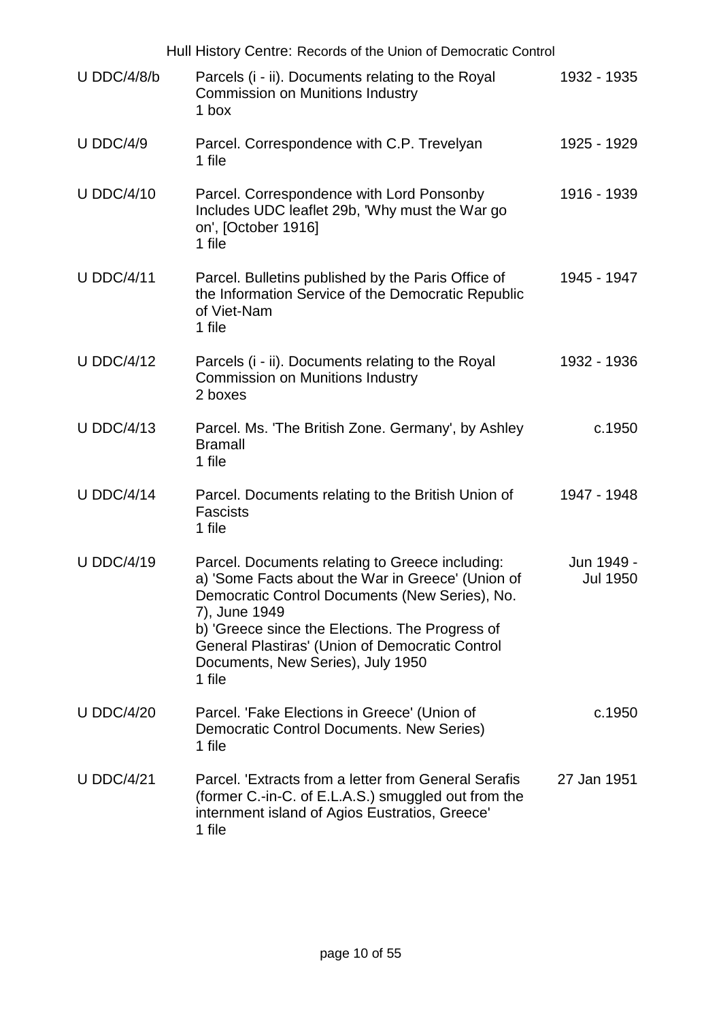|                   | Hull History Centre: Records of the Union of Democratic Control                                                                                                                                                                                                                                                              |                               |
|-------------------|------------------------------------------------------------------------------------------------------------------------------------------------------------------------------------------------------------------------------------------------------------------------------------------------------------------------------|-------------------------------|
| $U$ DDC/4/8/b     | Parcels (i - ii). Documents relating to the Royal<br><b>Commission on Munitions Industry</b><br>1 box                                                                                                                                                                                                                        | 1932 - 1935                   |
| <b>U DDC/4/9</b>  | Parcel. Correspondence with C.P. Trevelyan<br>1 file                                                                                                                                                                                                                                                                         | 1925 - 1929                   |
| <b>U DDC/4/10</b> | Parcel. Correspondence with Lord Ponsonby<br>Includes UDC leaflet 29b, 'Why must the War go<br>on', [October 1916]<br>1 file                                                                                                                                                                                                 | 1916 - 1939                   |
| <b>U DDC/4/11</b> | Parcel. Bulletins published by the Paris Office of<br>the Information Service of the Democratic Republic<br>of Viet-Nam<br>1 file                                                                                                                                                                                            | 1945 - 1947                   |
| <b>U DDC/4/12</b> | Parcels (i - ii). Documents relating to the Royal<br><b>Commission on Munitions Industry</b><br>2 boxes                                                                                                                                                                                                                      | 1932 - 1936                   |
| <b>U DDC/4/13</b> | Parcel. Ms. 'The British Zone. Germany', by Ashley<br><b>Bramall</b><br>1 file                                                                                                                                                                                                                                               | c.1950                        |
| <b>U DDC/4/14</b> | Parcel. Documents relating to the British Union of<br><b>Fascists</b><br>1 file                                                                                                                                                                                                                                              | 1947 - 1948                   |
| <b>U DDC/4/19</b> | Parcel. Documents relating to Greece including:<br>a) 'Some Facts about the War in Greece' (Union of<br>Democratic Control Documents (New Series), No.<br>7), June 1949<br>b) 'Greece since the Elections. The Progress of<br>General Plastiras' (Union of Democratic Control<br>Documents, New Series), July 1950<br>1 file | Jun 1949 -<br><b>Jul 1950</b> |
| <b>U DDC/4/20</b> | Parcel. 'Fake Elections in Greece' (Union of<br>Democratic Control Documents. New Series)<br>1 file                                                                                                                                                                                                                          | c.1950                        |
| <b>U DDC/4/21</b> | Parcel. 'Extracts from a letter from General Serafis<br>(former C.-in-C. of E.L.A.S.) smuggled out from the<br>internment island of Agios Eustratios, Greece'<br>1 file                                                                                                                                                      | 27 Jan 1951                   |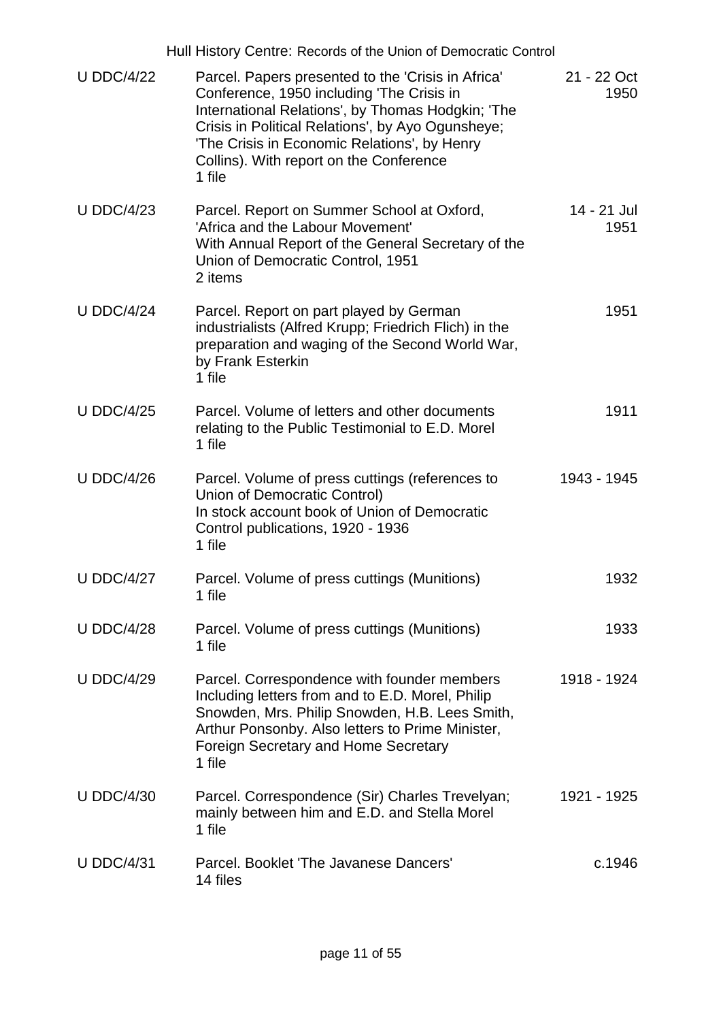|                   | Hull History Centre: Records of the Union of Democratic Control                                                                                                                                                                                                                                                |                     |
|-------------------|----------------------------------------------------------------------------------------------------------------------------------------------------------------------------------------------------------------------------------------------------------------------------------------------------------------|---------------------|
| <b>U DDC/4/22</b> | Parcel. Papers presented to the 'Crisis in Africa'<br>Conference, 1950 including 'The Crisis in<br>International Relations', by Thomas Hodgkin; 'The<br>Crisis in Political Relations', by Ayo Ogunsheye;<br>'The Crisis in Economic Relations', by Henry<br>Collins). With report on the Conference<br>1 file | 21 - 22 Oct<br>1950 |
| <b>U DDC/4/23</b> | Parcel. Report on Summer School at Oxford,<br>'Africa and the Labour Movement'<br>With Annual Report of the General Secretary of the<br>Union of Democratic Control, 1951<br>2 items                                                                                                                           | 14 - 21 Jul<br>1951 |
| <b>U DDC/4/24</b> | Parcel. Report on part played by German<br>industrialists (Alfred Krupp; Friedrich Flich) in the<br>preparation and waging of the Second World War,<br>by Frank Esterkin<br>1 file                                                                                                                             | 1951                |
| <b>U DDC/4/25</b> | Parcel. Volume of letters and other documents<br>relating to the Public Testimonial to E.D. Morel<br>1 file                                                                                                                                                                                                    | 1911                |
| <b>U DDC/4/26</b> | Parcel. Volume of press cuttings (references to<br>Union of Democratic Control)<br>In stock account book of Union of Democratic<br>Control publications, 1920 - 1936<br>1 file                                                                                                                                 | 1943 - 1945         |
| <b>U DDC/4/27</b> | Parcel. Volume of press cuttings (Munitions)<br>1 file                                                                                                                                                                                                                                                         | 1932                |
| <b>U DDC/4/28</b> | Parcel. Volume of press cuttings (Munitions)<br>1 file                                                                                                                                                                                                                                                         | 1933                |
| <b>U DDC/4/29</b> | Parcel. Correspondence with founder members<br>Including letters from and to E.D. Morel, Philip<br>Snowden, Mrs. Philip Snowden, H.B. Lees Smith,<br>Arthur Ponsonby. Also letters to Prime Minister,<br><b>Foreign Secretary and Home Secretary</b><br>1 file                                                 | 1918 - 1924         |
| <b>U DDC/4/30</b> | Parcel. Correspondence (Sir) Charles Trevelyan;<br>mainly between him and E.D. and Stella Morel<br>1 file                                                                                                                                                                                                      | 1921 - 1925         |
| <b>U DDC/4/31</b> | Parcel. Booklet 'The Javanese Dancers'<br>14 files                                                                                                                                                                                                                                                             | c.1946              |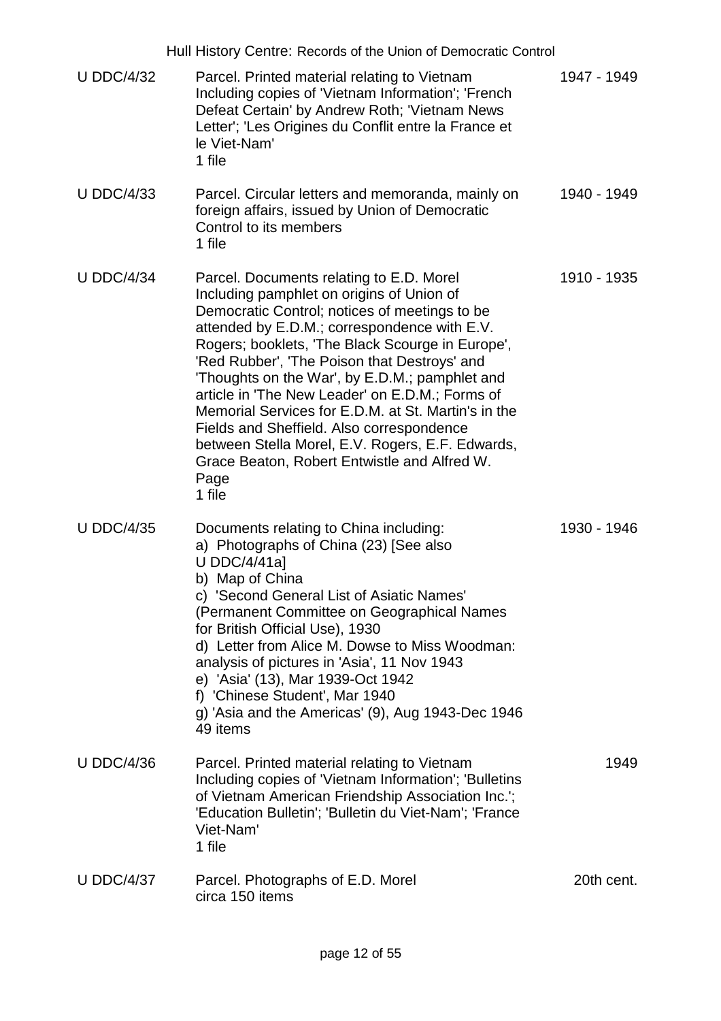|                   | Hull History Centre: Records of the Union of Democratic Control                                                                                                                                                                                                                                                                                                                                                                                                                                                                                                                                                          |             |
|-------------------|--------------------------------------------------------------------------------------------------------------------------------------------------------------------------------------------------------------------------------------------------------------------------------------------------------------------------------------------------------------------------------------------------------------------------------------------------------------------------------------------------------------------------------------------------------------------------------------------------------------------------|-------------|
| <b>U DDC/4/32</b> | Parcel. Printed material relating to Vietnam<br>Including copies of 'Vietnam Information'; 'French<br>Defeat Certain' by Andrew Roth; 'Vietnam News<br>Letter'; 'Les Origines du Conflit entre la France et<br>le Viet-Nam'<br>1 file                                                                                                                                                                                                                                                                                                                                                                                    | 1947 - 1949 |
| <b>U DDC/4/33</b> | Parcel. Circular letters and memoranda, mainly on<br>foreign affairs, issued by Union of Democratic<br>Control to its members<br>1 file                                                                                                                                                                                                                                                                                                                                                                                                                                                                                  | 1940 - 1949 |
| <b>U DDC/4/34</b> | Parcel. Documents relating to E.D. Morel<br>Including pamphlet on origins of Union of<br>Democratic Control; notices of meetings to be<br>attended by E.D.M.; correspondence with E.V.<br>Rogers; booklets, 'The Black Scourge in Europe',<br>'Red Rubber', 'The Poison that Destroys' and<br>Thoughts on the War', by E.D.M.; pamphlet and<br>article in 'The New Leader' on E.D.M.; Forms of<br>Memorial Services for E.D.M. at St. Martin's in the<br>Fields and Sheffield. Also correspondence<br>between Stella Morel, E.V. Rogers, E.F. Edwards,<br>Grace Beaton, Robert Entwistle and Alfred W.<br>Page<br>1 file | 1910 - 1935 |
| <b>U DDC/4/35</b> | Documents relating to China including:<br>a) Photographs of China (23) [See also<br>U DDC/4/41a]<br>b) Map of China<br>c) 'Second General List of Asiatic Names'<br>(Permanent Committee on Geographical Names<br>for British Official Use), 1930<br>d) Letter from Alice M. Dowse to Miss Woodman:<br>analysis of pictures in 'Asia', 11 Nov 1943<br>e) 'Asia' (13), Mar 1939-Oct 1942<br>f) 'Chinese Student', Mar 1940<br>g) 'Asia and the Americas' (9), Aug 1943-Dec 1946<br>49 items                                                                                                                               | 1930 - 1946 |
| <b>U DDC/4/36</b> | Parcel. Printed material relating to Vietnam<br>Including copies of 'Vietnam Information'; 'Bulletins<br>of Vietnam American Friendship Association Inc.';<br>'Education Bulletin'; 'Bulletin du Viet-Nam'; 'France<br>Viet-Nam'<br>1 file                                                                                                                                                                                                                                                                                                                                                                               | 1949        |
| <b>U DDC/4/37</b> | Parcel. Photographs of E.D. Morel<br>circa 150 items                                                                                                                                                                                                                                                                                                                                                                                                                                                                                                                                                                     | 20th cent.  |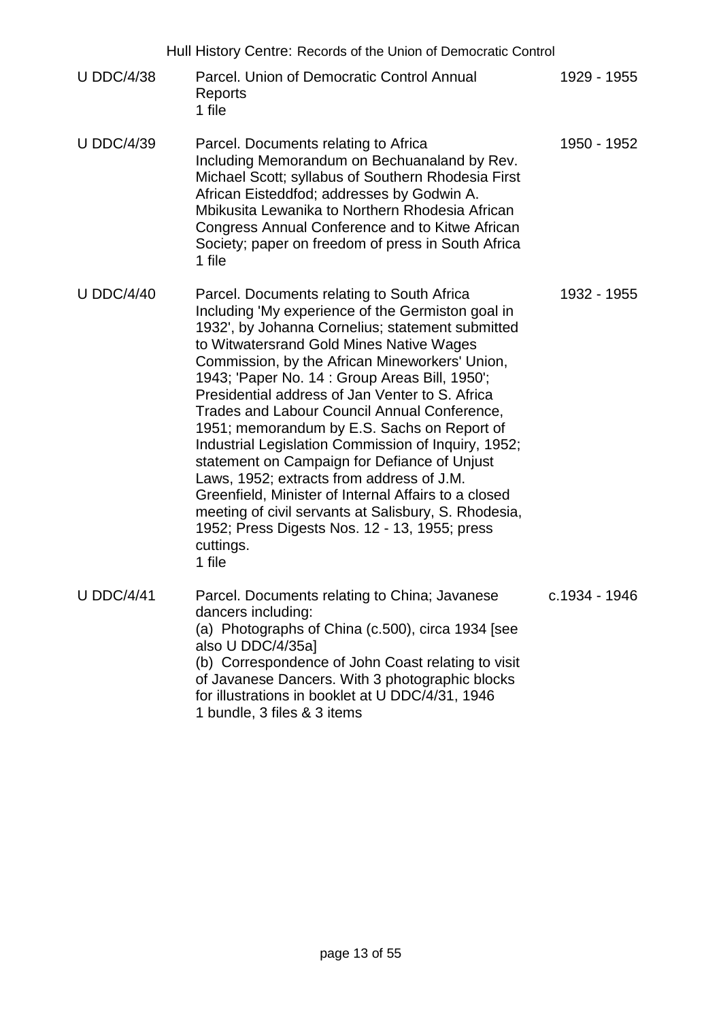|                   | Hull History Centre: Records of the Union of Democratic Control                                                                                                                                                                                                                                                                                                                                                                                                                                                                                                                                                                                                                                                                                                                                   |               |
|-------------------|---------------------------------------------------------------------------------------------------------------------------------------------------------------------------------------------------------------------------------------------------------------------------------------------------------------------------------------------------------------------------------------------------------------------------------------------------------------------------------------------------------------------------------------------------------------------------------------------------------------------------------------------------------------------------------------------------------------------------------------------------------------------------------------------------|---------------|
| <b>U DDC/4/38</b> | Parcel. Union of Democratic Control Annual<br>Reports<br>1 file                                                                                                                                                                                                                                                                                                                                                                                                                                                                                                                                                                                                                                                                                                                                   | 1929 - 1955   |
| <b>U DDC/4/39</b> | Parcel. Documents relating to Africa<br>Including Memorandum on Bechuanaland by Rev.<br>Michael Scott; syllabus of Southern Rhodesia First<br>African Eisteddfod; addresses by Godwin A.<br>Mbikusita Lewanika to Northern Rhodesia African<br>Congress Annual Conference and to Kitwe African<br>Society; paper on freedom of press in South Africa<br>1 file                                                                                                                                                                                                                                                                                                                                                                                                                                    | 1950 - 1952   |
| U DDC/4/40        | Parcel. Documents relating to South Africa<br>Including 'My experience of the Germiston goal in<br>1932', by Johanna Cornelius; statement submitted<br>to Witwatersrand Gold Mines Native Wages<br>Commission, by the African Mineworkers' Union,<br>1943; 'Paper No. 14 : Group Areas Bill, 1950';<br>Presidential address of Jan Venter to S. Africa<br>Trades and Labour Council Annual Conference,<br>1951; memorandum by E.S. Sachs on Report of<br>Industrial Legislation Commission of Inquiry, 1952;<br>statement on Campaign for Defiance of Unjust<br>Laws, 1952; extracts from address of J.M.<br>Greenfield, Minister of Internal Affairs to a closed<br>meeting of civil servants at Salisbury, S. Rhodesia,<br>1952; Press Digests Nos. 12 - 13, 1955; press<br>cuttings.<br>1 file | 1932 - 1955   |
| <b>U DDC/4/41</b> | Parcel. Documents relating to China; Javanese<br>dancers including:<br>(a) Photographs of China (c.500), circa 1934 [see<br>also U DDC/4/35a]<br>(b) Correspondence of John Coast relating to visit<br>of Javanese Dancers. With 3 photographic blocks<br>for illustrations in booklet at U DDC/4/31, 1946<br>1 bundle, 3 files & 3 items                                                                                                                                                                                                                                                                                                                                                                                                                                                         | c.1934 - 1946 |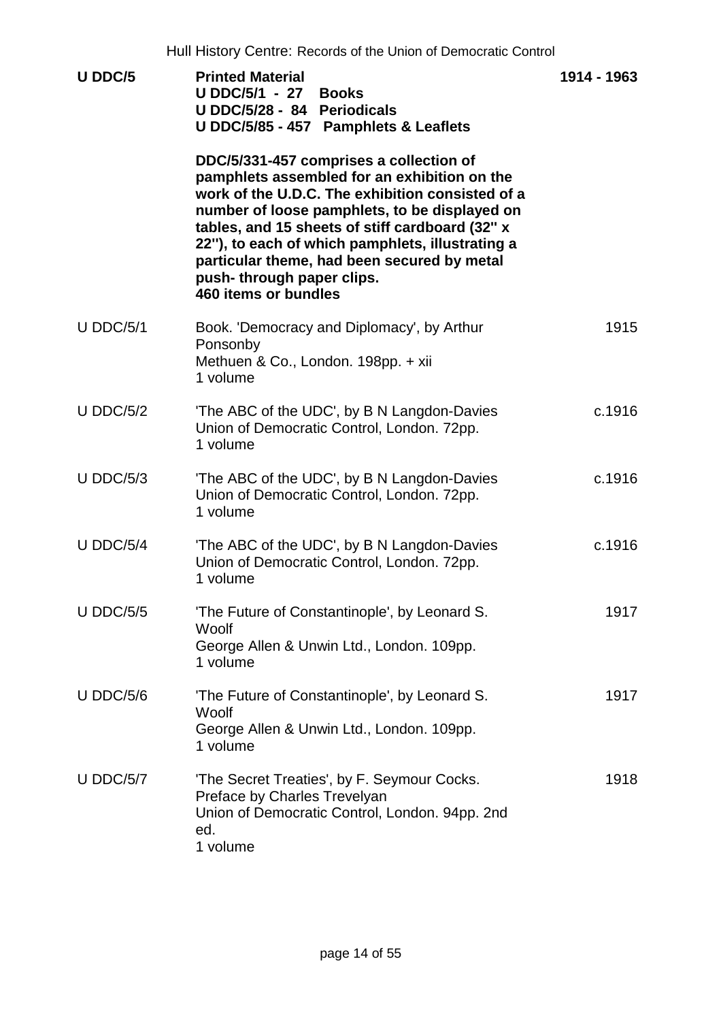|             | Hull History Centre: Records of the Union of Democratic Control                                                                                                                                                                                                                                                                                                                                         |             |
|-------------|---------------------------------------------------------------------------------------------------------------------------------------------------------------------------------------------------------------------------------------------------------------------------------------------------------------------------------------------------------------------------------------------------------|-------------|
| U DDC/5     | <b>Printed Material</b><br><b>U DDC/5/1 - 27 Books</b><br>U DDC/5/28 - 84 Periodicals<br>U DDC/5/85 - 457 Pamphlets & Leaflets                                                                                                                                                                                                                                                                          | 1914 - 1963 |
|             | DDC/5/331-457 comprises a collection of<br>pamphlets assembled for an exhibition on the<br>work of the U.D.C. The exhibition consisted of a<br>number of loose pamphlets, to be displayed on<br>tables, and 15 sheets of stiff cardboard (32" x<br>22"), to each of which pamphlets, illustrating a<br>particular theme, had been secured by metal<br>push-through paper clips.<br>460 items or bundles |             |
| $U$ DDC/5/1 | Book. 'Democracy and Diplomacy', by Arthur<br>Ponsonby<br>Methuen & Co., London. 198pp. + xii<br>1 volume                                                                                                                                                                                                                                                                                               | 1915        |
| $U$ DDC/5/2 | 'The ABC of the UDC', by B N Langdon-Davies<br>Union of Democratic Control, London. 72pp.<br>1 volume                                                                                                                                                                                                                                                                                                   | c.1916      |
| $U$ DDC/5/3 | 'The ABC of the UDC', by B N Langdon-Davies<br>Union of Democratic Control, London. 72pp.<br>1 volume                                                                                                                                                                                                                                                                                                   | c.1916      |
| $U$ DDC/5/4 | 'The ABC of the UDC', by B N Langdon-Davies<br>Union of Democratic Control, London. 72pp.<br>1 volume                                                                                                                                                                                                                                                                                                   | c.1916      |
| U DDC/5/5   | 'The Future of Constantinople', by Leonard S.<br>Woolf<br>George Allen & Unwin Ltd., London. 109pp.<br>1 volume                                                                                                                                                                                                                                                                                         | 1917        |
| $U$ DDC/5/6 | 'The Future of Constantinople', by Leonard S.<br>Woolf<br>George Allen & Unwin Ltd., London. 109pp.<br>1 volume                                                                                                                                                                                                                                                                                         | 1917        |
| U DDC/5/7   | 'The Secret Treaties', by F. Seymour Cocks.<br>Preface by Charles Trevelyan<br>Union of Democratic Control, London. 94pp. 2nd<br>ed.<br>1 volume                                                                                                                                                                                                                                                        | 1918        |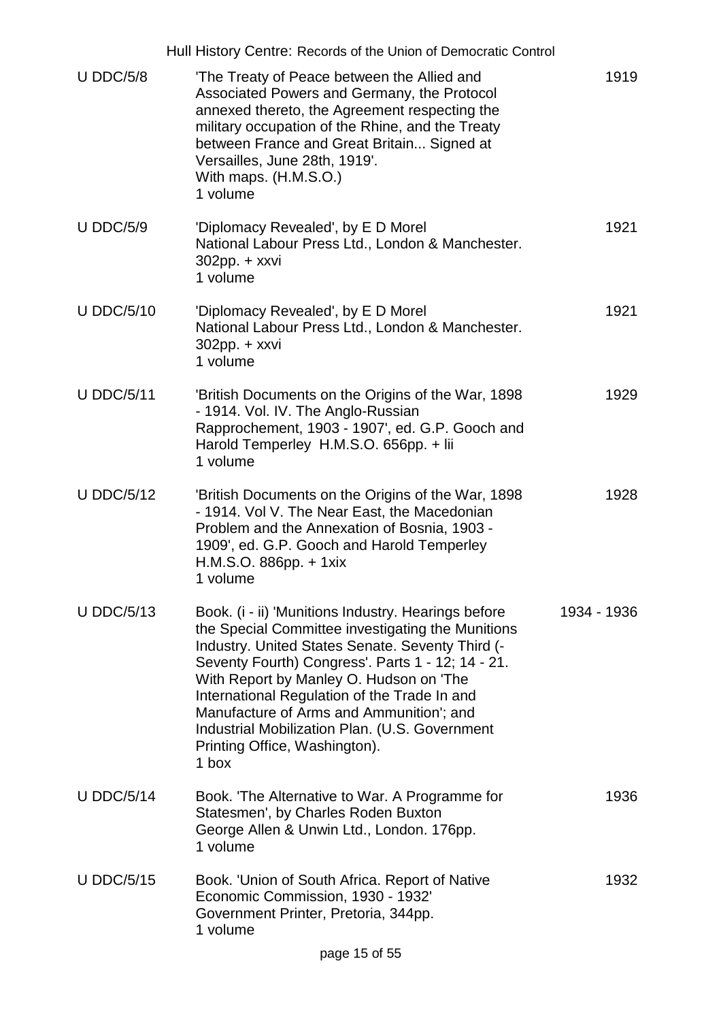|                   | Hull History Centre: Records of the Union of Democratic Control                                                                                                                                                                                                                                                                                                                                                                                      |             |
|-------------------|------------------------------------------------------------------------------------------------------------------------------------------------------------------------------------------------------------------------------------------------------------------------------------------------------------------------------------------------------------------------------------------------------------------------------------------------------|-------------|
| $U$ DDC/5/8       | 'The Treaty of Peace between the Allied and<br>Associated Powers and Germany, the Protocol<br>annexed thereto, the Agreement respecting the<br>military occupation of the Rhine, and the Treaty<br>between France and Great Britain Signed at<br>Versailles, June 28th, 1919'.<br>With maps. (H.M.S.O.)<br>1 volume                                                                                                                                  | 1919        |
| <b>U DDC/5/9</b>  | 'Diplomacy Revealed', by E D Morel<br>National Labour Press Ltd., London & Manchester.<br>$302$ pp. + xxvi<br>1 volume                                                                                                                                                                                                                                                                                                                               | 1921        |
| <b>U DDC/5/10</b> | 'Diplomacy Revealed', by E D Morel<br>National Labour Press Ltd., London & Manchester.<br>$302$ pp. + xxvi<br>1 volume                                                                                                                                                                                                                                                                                                                               | 1921        |
| <b>U DDC/5/11</b> | 'British Documents on the Origins of the War, 1898<br>- 1914. Vol. IV. The Anglo-Russian<br>Rapprochement, 1903 - 1907', ed. G.P. Gooch and<br>Harold Temperley H.M.S.O. 656pp. + lii<br>1 volume                                                                                                                                                                                                                                                    | 1929        |
| <b>U DDC/5/12</b> | 'British Documents on the Origins of the War, 1898<br>- 1914. Vol V. The Near East, the Macedonian<br>Problem and the Annexation of Bosnia, 1903 -<br>1909', ed. G.P. Gooch and Harold Temperley<br>H.M.S.O. 886pp. + 1xix<br>1 volume                                                                                                                                                                                                               | 1928        |
| <b>U DDC/5/13</b> | Book. (i - ii) 'Munitions Industry. Hearings before<br>the Special Committee investigating the Munitions<br>Industry. United States Senate. Seventy Third (-<br>Seventy Fourth) Congress'. Parts 1 - 12; 14 - 21.<br>With Report by Manley O. Hudson on 'The<br>International Regulation of the Trade In and<br>Manufacture of Arms and Ammunition'; and<br>Industrial Mobilization Plan. (U.S. Government<br>Printing Office, Washington).<br>1 box | 1934 - 1936 |
| <b>U DDC/5/14</b> | Book. The Alternative to War. A Programme for<br>Statesmen', by Charles Roden Buxton<br>George Allen & Unwin Ltd., London. 176pp.<br>1 volume                                                                                                                                                                                                                                                                                                        | 1936        |
| <b>U DDC/5/15</b> | Book. 'Union of South Africa. Report of Native<br>Economic Commission, 1930 - 1932'<br>Government Printer, Pretoria, 344pp.<br>1 volume                                                                                                                                                                                                                                                                                                              | 1932        |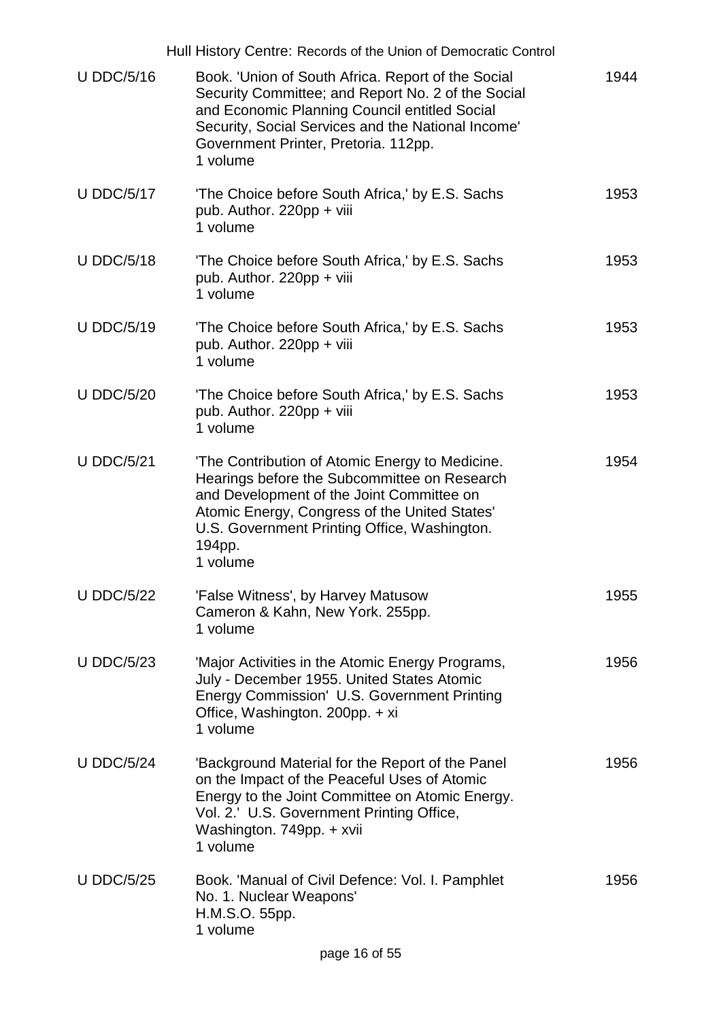|                   | Hull History Centre: Records of the Union of Democratic Control                                                                                                                                                                                                     |      |
|-------------------|---------------------------------------------------------------------------------------------------------------------------------------------------------------------------------------------------------------------------------------------------------------------|------|
| <b>U DDC/5/16</b> | Book. 'Union of South Africa. Report of the Social<br>Security Committee; and Report No. 2 of the Social<br>and Economic Planning Council entitled Social<br>Security, Social Services and the National Income'<br>Government Printer, Pretoria. 112pp.<br>1 volume | 1944 |
| <b>U DDC/5/17</b> | 'The Choice before South Africa,' by E.S. Sachs<br>pub. Author. 220pp + viii<br>1 volume                                                                                                                                                                            | 1953 |
| <b>U DDC/5/18</b> | 'The Choice before South Africa,' by E.S. Sachs<br>pub. Author. 220pp + viii<br>1 volume                                                                                                                                                                            | 1953 |
| <b>U DDC/5/19</b> | 'The Choice before South Africa,' by E.S. Sachs<br>pub. Author. 220pp + viii<br>1 volume                                                                                                                                                                            | 1953 |
| <b>U DDC/5/20</b> | 'The Choice before South Africa,' by E.S. Sachs<br>pub. Author. 220pp + viii<br>1 volume                                                                                                                                                                            | 1953 |
| <b>U DDC/5/21</b> | 'The Contribution of Atomic Energy to Medicine.<br>Hearings before the Subcommittee on Research<br>and Development of the Joint Committee on<br>Atomic Energy, Congress of the United States'<br>U.S. Government Printing Office, Washington.<br>194pp.<br>1 volume | 1954 |
| <b>U DDC/5/22</b> | 'False Witness', by Harvey Matusow<br>Cameron & Kahn, New York. 255pp.<br>1 volume                                                                                                                                                                                  | 1955 |
| <b>U DDC/5/23</b> | 'Major Activities in the Atomic Energy Programs,<br>July - December 1955. United States Atomic<br>Energy Commission' U.S. Government Printing<br>Office, Washington. 200pp. + xi<br>1 volume                                                                        | 1956 |
| <b>U DDC/5/24</b> | 'Background Material for the Report of the Panel<br>on the Impact of the Peaceful Uses of Atomic<br>Energy to the Joint Committee on Atomic Energy.<br>Vol. 2.' U.S. Government Printing Office,<br>Washington. 749pp. + xvii<br>1 volume                           | 1956 |
| <b>U DDC/5/25</b> | Book. 'Manual of Civil Defence: Vol. I. Pamphlet<br>No. 1. Nuclear Weapons'<br>H.M.S.O. 55pp.<br>1 volume                                                                                                                                                           | 1956 |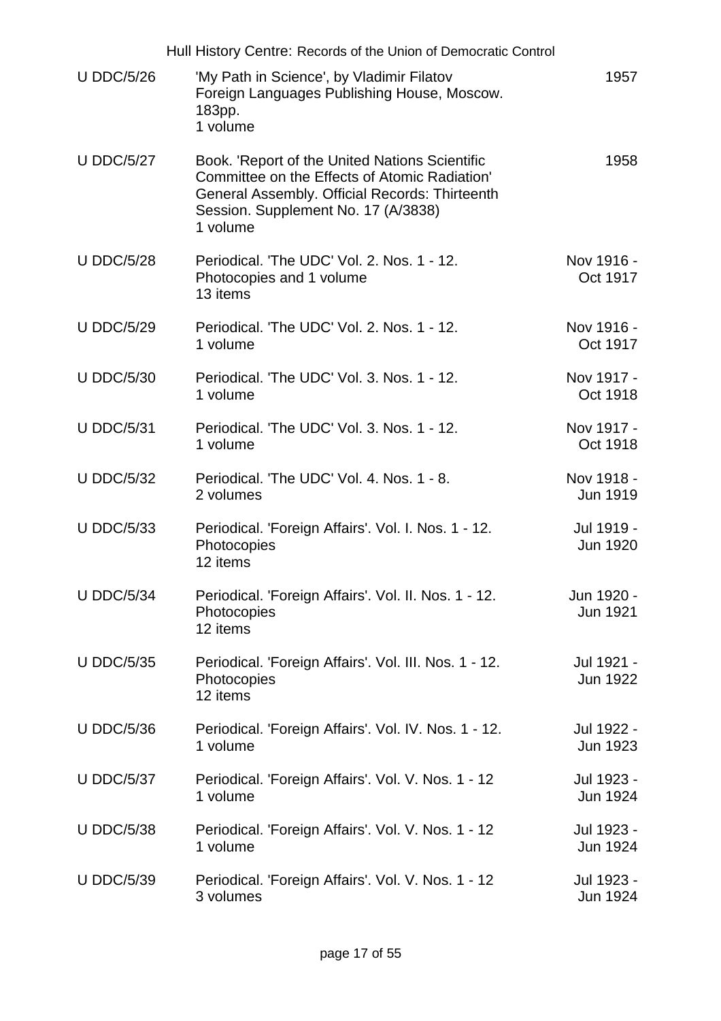|                   | Hull History Centre: Records of the Union of Democratic Control                                                                                                                                      |                               |
|-------------------|------------------------------------------------------------------------------------------------------------------------------------------------------------------------------------------------------|-------------------------------|
| <b>U DDC/5/26</b> | 'My Path in Science', by Vladimir Filatov<br>Foreign Languages Publishing House, Moscow.<br>183pp.<br>1 volume                                                                                       | 1957                          |
| <b>U DDC/5/27</b> | Book. 'Report of the United Nations Scientific<br>Committee on the Effects of Atomic Radiation'<br>General Assembly. Official Records: Thirteenth<br>Session. Supplement No. 17 (A/3838)<br>1 volume | 1958                          |
| <b>U DDC/5/28</b> | Periodical. 'The UDC' Vol. 2. Nos. 1 - 12.<br>Photocopies and 1 volume<br>13 items                                                                                                                   | Nov 1916 -<br>Oct 1917        |
| <b>U DDC/5/29</b> | Periodical. 'The UDC' Vol. 2. Nos. 1 - 12.<br>1 volume                                                                                                                                               | Nov 1916 -<br>Oct 1917        |
| <b>U DDC/5/30</b> | Periodical. 'The UDC' Vol. 3, Nos. 1 - 12.<br>1 volume                                                                                                                                               | Nov 1917 -<br>Oct 1918        |
| <b>U DDC/5/31</b> | Periodical. 'The UDC' Vol. 3. Nos. 1 - 12.<br>1 volume                                                                                                                                               | Nov 1917 -<br>Oct 1918        |
| <b>U DDC/5/32</b> | Periodical. 'The UDC' Vol. 4, Nos. 1 - 8.<br>2 volumes                                                                                                                                               | Nov 1918 -<br>Jun 1919        |
| <b>U DDC/5/33</b> | Periodical. 'Foreign Affairs'. Vol. I. Nos. 1 - 12.<br>Photocopies<br>12 items                                                                                                                       | Jul 1919 -<br>Jun 1920        |
| <b>U DDC/5/34</b> | Periodical. 'Foreign Affairs'. Vol. II. Nos. 1 - 12.<br>Photocopies<br>12 items                                                                                                                      | Jun 1920 -<br><b>Jun 1921</b> |
| <b>U DDC/5/35</b> | Periodical. 'Foreign Affairs'. Vol. III. Nos. 1 - 12.<br>Photocopies<br>12 items                                                                                                                     | Jul 1921 -<br>Jun 1922        |
| <b>U DDC/5/36</b> | Periodical. 'Foreign Affairs'. Vol. IV. Nos. 1 - 12.<br>1 volume                                                                                                                                     | Jul 1922 -<br>Jun 1923        |
| <b>U DDC/5/37</b> | Periodical. 'Foreign Affairs'. Vol. V. Nos. 1 - 12<br>1 volume                                                                                                                                       | Jul 1923 -<br>Jun 1924        |
| <b>U DDC/5/38</b> | Periodical. 'Foreign Affairs'. Vol. V. Nos. 1 - 12<br>1 volume                                                                                                                                       | Jul 1923 -<br>Jun 1924        |
| <b>U DDC/5/39</b> | Periodical. 'Foreign Affairs'. Vol. V. Nos. 1 - 12<br>3 volumes                                                                                                                                      | Jul 1923 -<br>Jun 1924        |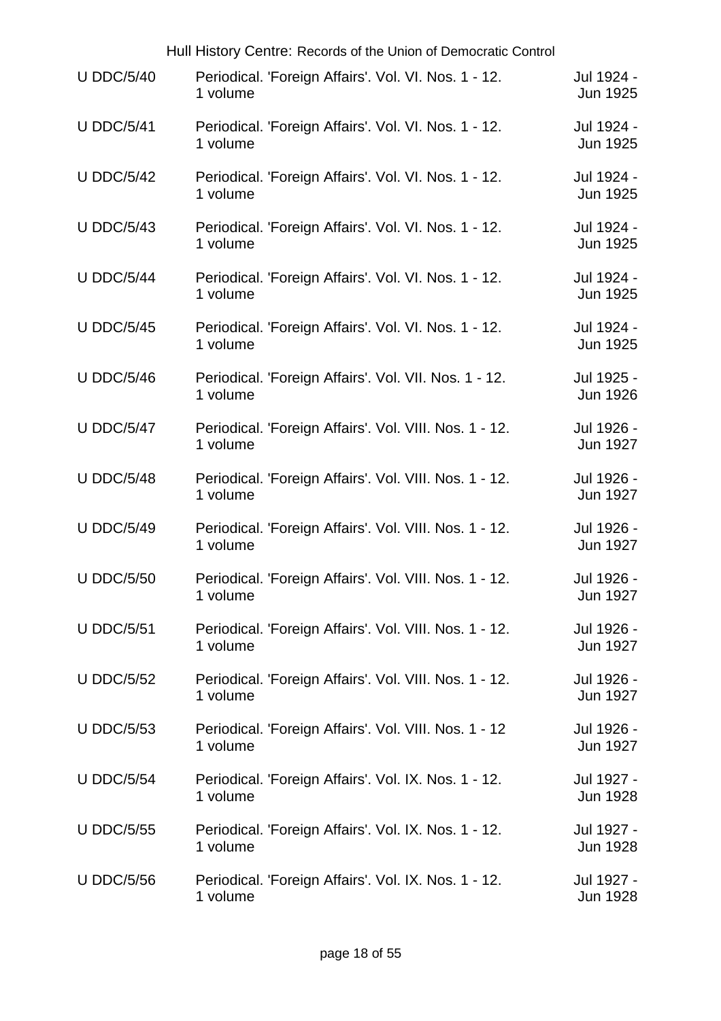|                   | Hull History Centre: Records of the Union of Democratic Control    |                               |
|-------------------|--------------------------------------------------------------------|-------------------------------|
| <b>U DDC/5/40</b> | Periodical. 'Foreign Affairs'. Vol. VI. Nos. 1 - 12.<br>1 volume   | Jul 1924 -<br>Jun 1925        |
| <b>U DDC/5/41</b> | Periodical. 'Foreign Affairs'. Vol. VI. Nos. 1 - 12.<br>1 volume   | Jul 1924 -<br>Jun 1925        |
| <b>U DDC/5/42</b> | Periodical. 'Foreign Affairs'. Vol. VI. Nos. 1 - 12.<br>1 volume   | Jul 1924 -<br><b>Jun 1925</b> |
| <b>U DDC/5/43</b> | Periodical. 'Foreign Affairs'. Vol. VI. Nos. 1 - 12.<br>1 volume   | Jul 1924 -<br>Jun 1925        |
| <b>U DDC/5/44</b> | Periodical. 'Foreign Affairs'. Vol. VI. Nos. 1 - 12.<br>1 volume   | Jul 1924 -<br>Jun 1925        |
| <b>U DDC/5/45</b> | Periodical. 'Foreign Affairs'. Vol. VI. Nos. 1 - 12.<br>1 volume   | Jul 1924 -<br>Jun 1925        |
| <b>U DDC/5/46</b> | Periodical. 'Foreign Affairs'. Vol. VII. Nos. 1 - 12.<br>1 volume  | Jul 1925 -<br>Jun 1926        |
| <b>U DDC/5/47</b> | Periodical. 'Foreign Affairs'. Vol. VIII. Nos. 1 - 12.<br>1 volume | Jul 1926 -<br>Jun 1927        |
| <b>U DDC/5/48</b> | Periodical. 'Foreign Affairs'. Vol. VIII. Nos. 1 - 12.<br>1 volume | Jul 1926 -<br>Jun 1927        |
| <b>U DDC/5/49</b> | Periodical. 'Foreign Affairs'. Vol. VIII. Nos. 1 - 12.<br>1 volume | Jul 1926 -<br>Jun 1927        |
| <b>U DDC/5/50</b> | Periodical. 'Foreign Affairs'. Vol. VIII. Nos. 1 - 12.<br>1 volume | Jul 1926 -<br>Jun 1927        |
| <b>U DDC/5/51</b> | Periodical. 'Foreign Affairs'. Vol. VIII. Nos. 1 - 12.<br>1 volume | Jul 1926 -<br>Jun 1927        |
| <b>U DDC/5/52</b> | Periodical. 'Foreign Affairs'. Vol. VIII. Nos. 1 - 12.<br>1 volume | Jul 1926 -<br>Jun 1927        |
| <b>U DDC/5/53</b> | Periodical. 'Foreign Affairs'. Vol. VIII. Nos. 1 - 12<br>1 volume  | Jul 1926 -<br>Jun 1927        |
| <b>U DDC/5/54</b> | Periodical. 'Foreign Affairs'. Vol. IX. Nos. 1 - 12.<br>1 volume   | Jul 1927 -<br>Jun 1928        |
| <b>U DDC/5/55</b> | Periodical. 'Foreign Affairs'. Vol. IX. Nos. 1 - 12.<br>1 volume   | Jul 1927 -<br><b>Jun 1928</b> |
| <b>U DDC/5/56</b> | Periodical. 'Foreign Affairs'. Vol. IX. Nos. 1 - 12.<br>1 volume   | Jul 1927 -<br>Jun 1928        |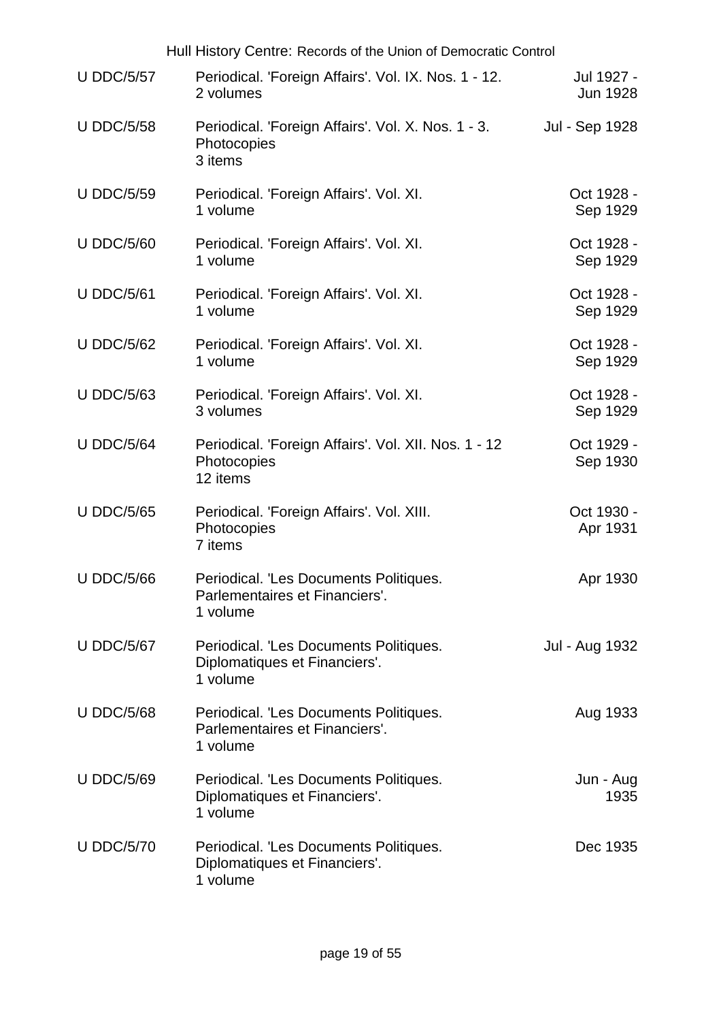| Hull History Centre: Records of the Union of Democratic Control |                                                                                            |                        |  |
|-----------------------------------------------------------------|--------------------------------------------------------------------------------------------|------------------------|--|
| <b>U DDC/5/57</b>                                               | Periodical. 'Foreign Affairs'. Vol. IX. Nos. 1 - 12.<br>2 volumes                          | Jul 1927 -<br>Jun 1928 |  |
| <b>U DDC/5/58</b>                                               | Periodical. 'Foreign Affairs'. Vol. X. Nos. 1 - 3.<br>Photocopies<br>3 items               | Jul - Sep 1928         |  |
| <b>U DDC/5/59</b>                                               | Periodical. 'Foreign Affairs'. Vol. XI.<br>1 volume                                        | Oct 1928 -<br>Sep 1929 |  |
| <b>U DDC/5/60</b>                                               | Periodical. 'Foreign Affairs'. Vol. XI.<br>1 volume                                        | Oct 1928 -<br>Sep 1929 |  |
| <b>U DDC/5/61</b>                                               | Periodical. 'Foreign Affairs'. Vol. XI.<br>1 volume                                        | Oct 1928 -<br>Sep 1929 |  |
| <b>U DDC/5/62</b>                                               | Periodical. 'Foreign Affairs'. Vol. XI.<br>1 volume                                        | Oct 1928 -<br>Sep 1929 |  |
| <b>U DDC/5/63</b>                                               | Periodical. 'Foreign Affairs'. Vol. XI.<br>3 volumes                                       | Oct 1928 -<br>Sep 1929 |  |
| <b>U DDC/5/64</b>                                               | Periodical. 'Foreign Affairs'. Vol. XII. Nos. 1 - 12<br>Photocopies<br>12 items            | Oct 1929 -<br>Sep 1930 |  |
| <b>U DDC/5/65</b>                                               | Periodical. 'Foreign Affairs'. Vol. XIII.<br>Photocopies<br>7 items                        | Oct 1930 -<br>Apr 1931 |  |
| <b>U DDC/5/66</b>                                               | <b>Periodical. 'Les Documents Politiques</b><br>Parlementaires et Financiers'.<br>1 volume | Apr 1930               |  |
| <b>U DDC/5/67</b>                                               | Periodical. 'Les Documents Politiques.<br>Diplomatiques et Financiers'.<br>1 volume        | Jul - Aug 1932         |  |
| <b>U DDC/5/68</b>                                               | Periodical. 'Les Documents Politiques.<br>Parlementaires et Financiers'.<br>1 volume       | Aug 1933               |  |
| <b>U DDC/5/69</b>                                               | Periodical. 'Les Documents Politiques.<br>Diplomatiques et Financiers'.<br>1 volume        | Jun - Aug<br>1935      |  |
| <b>U DDC/5/70</b>                                               | Periodical. 'Les Documents Politiques.<br>Diplomatiques et Financiers'.<br>1 volume        | Dec 1935               |  |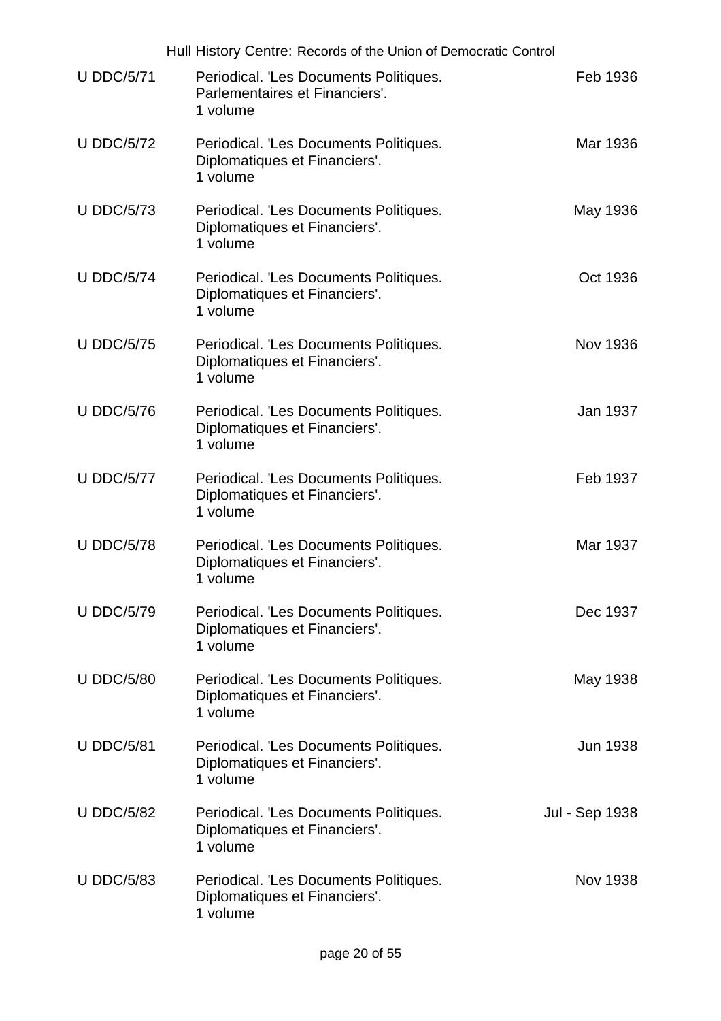|                   | Hull History Centre: Records of the Union of Democratic Control                      |                 |
|-------------------|--------------------------------------------------------------------------------------|-----------------|
| <b>U DDC/5/71</b> | Periodical. 'Les Documents Politiques.<br>Parlementaires et Financiers'.<br>1 volume | Feb 1936        |
| <b>U DDC/5/72</b> | Periodical. 'Les Documents Politiques.<br>Diplomatiques et Financiers'.<br>1 volume  | Mar 1936        |
| <b>U DDC/5/73</b> | Periodical. 'Les Documents Politiques.<br>Diplomatiques et Financiers'.<br>1 volume  | May 1936        |
| <b>U DDC/5/74</b> | Periodical. 'Les Documents Politiques.<br>Diplomatiques et Financiers'.<br>1 volume  | Oct 1936        |
| <b>U DDC/5/75</b> | Periodical. 'Les Documents Politiques.<br>Diplomatiques et Financiers'.<br>1 volume  | <b>Nov 1936</b> |
| <b>U DDC/5/76</b> | Periodical. 'Les Documents Politiques.<br>Diplomatiques et Financiers'.<br>1 volume  | Jan 1937        |
| <b>U DDC/5/77</b> | Periodical. 'Les Documents Politiques.<br>Diplomatiques et Financiers'.<br>1 volume  | Feb 1937        |
| <b>U DDC/5/78</b> | Periodical. 'Les Documents Politiques.<br>Diplomatiques et Financiers'.<br>1 volume  | Mar 1937        |
| <b>U DDC/5/79</b> | Periodical. 'Les Documents Politiques.<br>Diplomatiques et Financiers'.<br>1 volume  | Dec 1937        |
| <b>U DDC/5/80</b> | Periodical. 'Les Documents Politiques.<br>Diplomatiques et Financiers'.<br>1 volume  | May 1938        |
| <b>U DDC/5/81</b> | Periodical. 'Les Documents Politiques.<br>Diplomatiques et Financiers'.<br>1 volume  | Jun 1938        |
| <b>U DDC/5/82</b> | Periodical. 'Les Documents Politiques.<br>Diplomatiques et Financiers'.<br>1 volume  | Jul - Sep 1938  |
| <b>U DDC/5/83</b> | Periodical. 'Les Documents Politiques.<br>Diplomatiques et Financiers'.<br>1 volume  | Nov 1938        |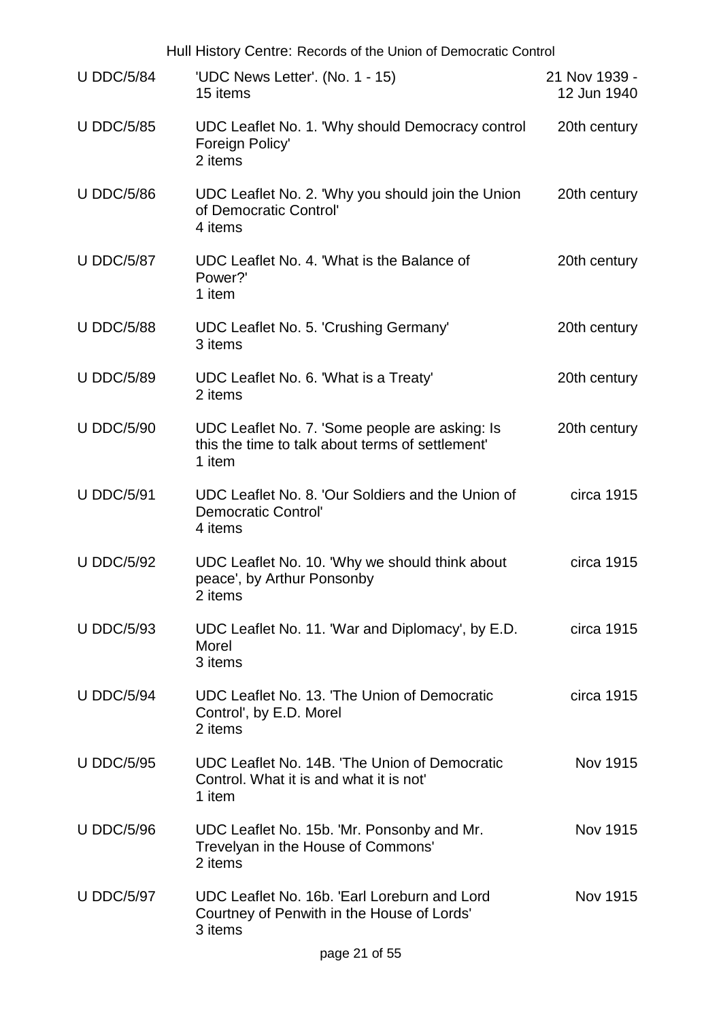|                   | Hull History Centre: Records of the Union of Democratic Control                                              |                              |  |
|-------------------|--------------------------------------------------------------------------------------------------------------|------------------------------|--|
| <b>U DDC/5/84</b> | 'UDC News Letter'. (No. 1 - 15)<br>15 items                                                                  | 21 Nov 1939 -<br>12 Jun 1940 |  |
| <b>U DDC/5/85</b> | UDC Leaflet No. 1. 'Why should Democracy control<br>Foreign Policy'<br>2 items                               | 20th century                 |  |
| <b>U DDC/5/86</b> | UDC Leaflet No. 2. 'Why you should join the Union<br>of Democratic Control'<br>4 items                       | 20th century                 |  |
| <b>U DDC/5/87</b> | UDC Leaflet No. 4. 'What is the Balance of<br>Power?'<br>1 item                                              | 20th century                 |  |
| <b>U DDC/5/88</b> | <b>UDC Leaflet No. 5. 'Crushing Germany'</b><br>3 items                                                      | 20th century                 |  |
| <b>U DDC/5/89</b> | UDC Leaflet No. 6. 'What is a Treaty'<br>2 items                                                             | 20th century                 |  |
| <b>U DDC/5/90</b> | UDC Leaflet No. 7. 'Some people are asking: Is<br>this the time to talk about terms of settlement'<br>1 item | 20th century                 |  |
| <b>U DDC/5/91</b> | UDC Leaflet No. 8. 'Our Soldiers and the Union of<br><b>Democratic Control'</b><br>4 items                   | circa 1915                   |  |
| <b>U DDC/5/92</b> | UDC Leaflet No. 10. 'Why we should think about<br>peace', by Arthur Ponsonby<br>2 items                      | circa 1915                   |  |
| <b>U DDC/5/93</b> | UDC Leaflet No. 11. 'War and Diplomacy', by E.D.<br>Morel<br>3 items                                         | circa 1915                   |  |
| <b>U DDC/5/94</b> | UDC Leaflet No. 13. 'The Union of Democratic<br>Control', by E.D. Morel<br>2 items                           | circa 1915                   |  |
| <b>U DDC/5/95</b> | UDC Leaflet No. 14B. 'The Union of Democratic<br>Control. What it is and what it is not<br>1 item            | <b>Nov 1915</b>              |  |
| <b>U DDC/5/96</b> | UDC Leaflet No. 15b. 'Mr. Ponsonby and Mr.<br>Trevelyan in the House of Commons'<br>2 items                  | Nov 1915                     |  |
| <b>U DDC/5/97</b> | UDC Leaflet No. 16b. 'Earl Loreburn and Lord<br>Courtney of Penwith in the House of Lords'<br>3 items        | Nov 1915                     |  |
|                   | page 21 of 55                                                                                                |                              |  |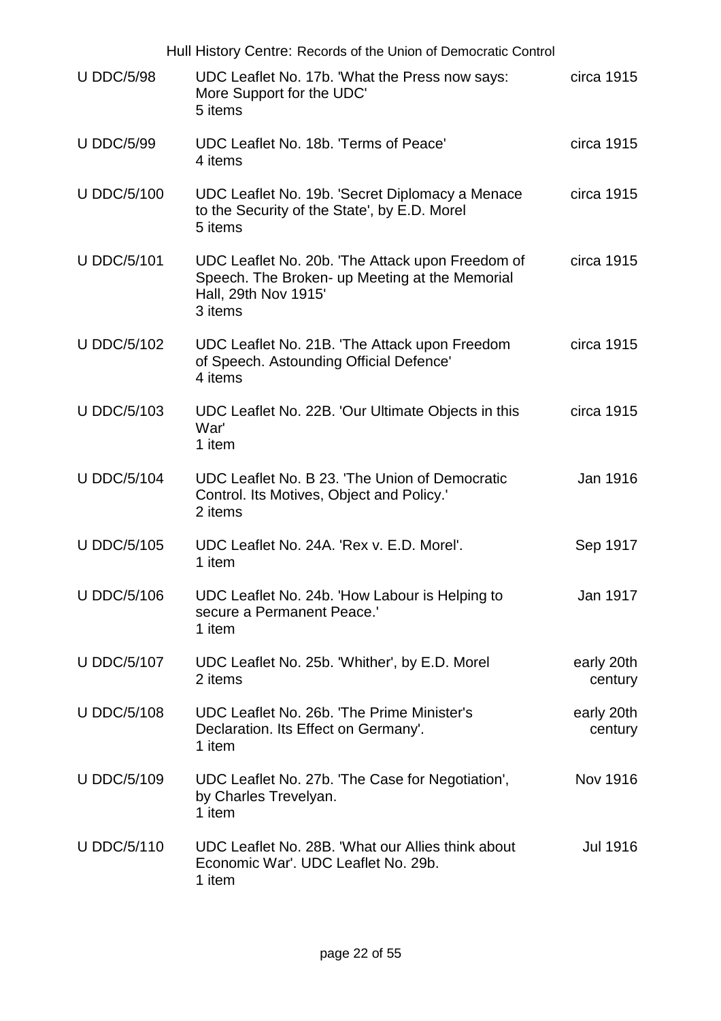|                    | Hull History Centre: Records of the Union of Democratic Control                                                                       |                       |
|--------------------|---------------------------------------------------------------------------------------------------------------------------------------|-----------------------|
| <b>U DDC/5/98</b>  | UDC Leaflet No. 17b. 'What the Press now says:<br>More Support for the UDC'<br>5 items                                                | circa 1915            |
| <b>U DDC/5/99</b>  | UDC Leaflet No. 18b. 'Terms of Peace'<br>4 items                                                                                      | circa 1915            |
| <b>U DDC/5/100</b> | UDC Leaflet No. 19b. 'Secret Diplomacy a Menace<br>to the Security of the State', by E.D. Morel<br>5 items                            | circa 1915            |
| <b>U DDC/5/101</b> | UDC Leaflet No. 20b. 'The Attack upon Freedom of<br>Speech. The Broken- up Meeting at the Memorial<br>Hall, 29th Nov 1915'<br>3 items | circa 1915            |
| <b>U DDC/5/102</b> | UDC Leaflet No. 21B. 'The Attack upon Freedom<br>of Speech. Astounding Official Defence'<br>4 items                                   | circa 1915            |
| <b>U DDC/5/103</b> | UDC Leaflet No. 22B. 'Our Ultimate Objects in this<br>War'<br>1 item                                                                  | circa 1915            |
| <b>U DDC/5/104</b> | UDC Leaflet No. B 23. 'The Union of Democratic<br>Control. Its Motives, Object and Policy.'<br>2 items                                | Jan 1916              |
| <b>U DDC/5/105</b> | UDC Leaflet No. 24A. 'Rex v. E.D. Morel'.<br>1 item                                                                                   | Sep 1917              |
| <b>U DDC/5/106</b> | UDC Leaflet No. 24b. 'How Labour is Helping to<br>secure a Permanent Peace.'<br>1 item                                                | Jan 1917              |
| <b>U DDC/5/107</b> | UDC Leaflet No. 25b. 'Whither', by E.D. Morel<br>2 items                                                                              | early 20th<br>century |
| <b>U DDC/5/108</b> | UDC Leaflet No. 26b. 'The Prime Minister's<br>Declaration. Its Effect on Germany'.<br>1 item                                          | early 20th<br>century |
| <b>U DDC/5/109</b> | UDC Leaflet No. 27b. 'The Case for Negotiation',<br>by Charles Trevelyan.<br>1 item                                                   | Nov 1916              |
| <b>U DDC/5/110</b> | UDC Leaflet No. 28B. 'What our Allies think about<br>Economic War'. UDC Leaflet No. 29b.<br>1 item                                    | <b>Jul 1916</b>       |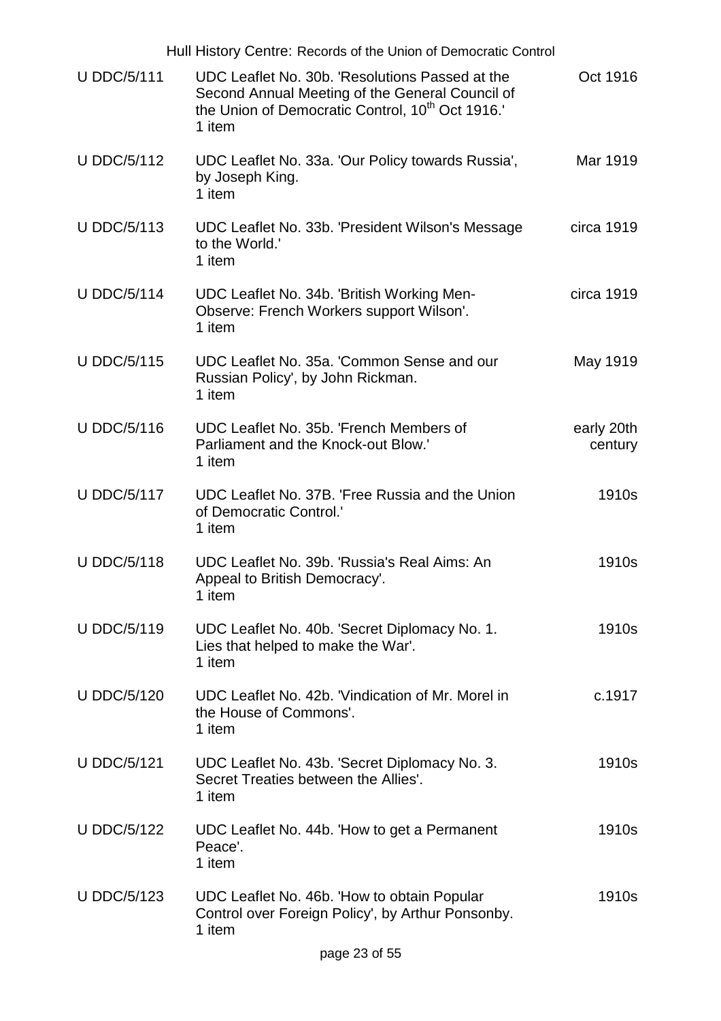|                    | Hull History Centre: Records of the Union of Democratic Control                                                                                                              |                       |
|--------------------|------------------------------------------------------------------------------------------------------------------------------------------------------------------------------|-----------------------|
| <b>U DDC/5/111</b> | UDC Leaflet No. 30b. 'Resolutions Passed at the<br>Second Annual Meeting of the General Council of<br>the Union of Democratic Control, 10 <sup>th</sup> Oct 1916.'<br>1 item | Oct 1916              |
| <b>U DDC/5/112</b> | UDC Leaflet No. 33a. 'Our Policy towards Russia',<br>by Joseph King.<br>1 item                                                                                               | Mar 1919              |
| <b>U DDC/5/113</b> | UDC Leaflet No. 33b. 'President Wilson's Message<br>to the World."<br>1 item                                                                                                 | circa 1919            |
| <b>U DDC/5/114</b> | UDC Leaflet No. 34b. 'British Working Men-<br>Observe: French Workers support Wilson'.<br>1 item                                                                             | circa 1919            |
| <b>U DDC/5/115</b> | UDC Leaflet No. 35a. 'Common Sense and our<br>Russian Policy', by John Rickman.<br>1 item                                                                                    | May 1919              |
| <b>U DDC/5/116</b> | UDC Leaflet No. 35b. 'French Members of<br>Parliament and the Knock-out Blow.'<br>1 item                                                                                     | early 20th<br>century |
| <b>U DDC/5/117</b> | UDC Leaflet No. 37B. 'Free Russia and the Union<br>of Democratic Control.'<br>1 item                                                                                         | 1910s                 |
| <b>U DDC/5/118</b> | UDC Leaflet No. 39b. 'Russia's Real Aims: An<br>Appeal to British Democracy'.<br>1 item                                                                                      | 1910s                 |
| <b>U DDC/5/119</b> | UDC Leaflet No. 40b. 'Secret Diplomacy No. 1.<br>Lies that helped to make the War'.<br>1 item                                                                                | 1910s                 |
| <b>U DDC/5/120</b> | UDC Leaflet No. 42b. 'Vindication of Mr. Morel in<br>the House of Commons'.<br>1 item                                                                                        | c.1917                |
| <b>U DDC/5/121</b> | UDC Leaflet No. 43b. 'Secret Diplomacy No. 3.<br>Secret Treaties between the Allies'.<br>1 item                                                                              | 1910s                 |
| <b>U DDC/5/122</b> | UDC Leaflet No. 44b. 'How to get a Permanent<br>Peace'.<br>1 item                                                                                                            | 1910s                 |
| <b>U DDC/5/123</b> | UDC Leaflet No. 46b. 'How to obtain Popular<br>Control over Foreign Policy', by Arthur Ponsonby.<br>1 item                                                                   | 1910s                 |
|                    | page 23 of 55                                                                                                                                                                |                       |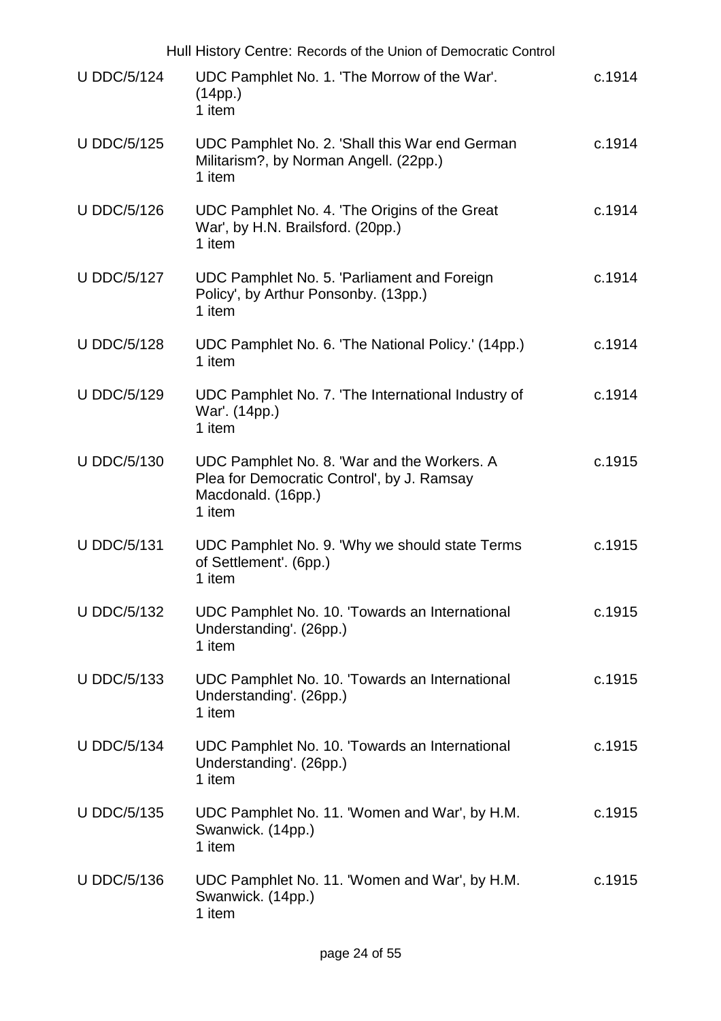|                    | Hull History Centre: Records of the Union of Democratic Control                                                           |        |
|--------------------|---------------------------------------------------------------------------------------------------------------------------|--------|
| <b>U DDC/5/124</b> | UDC Pamphlet No. 1. 'The Morrow of the War'.<br>(14pp.)<br>1 item                                                         | c.1914 |
| <b>U DDC/5/125</b> | UDC Pamphlet No. 2. 'Shall this War end German<br>Militarism?, by Norman Angell. (22pp.)<br>1 item                        | c.1914 |
| <b>U DDC/5/126</b> | UDC Pamphlet No. 4. 'The Origins of the Great<br>War', by H.N. Brailsford. (20pp.)<br>1 item                              | c.1914 |
| <b>U DDC/5/127</b> | UDC Pamphlet No. 5. 'Parliament and Foreign<br>Policy', by Arthur Ponsonby. (13pp.)<br>1 item                             | c.1914 |
| <b>U DDC/5/128</b> | UDC Pamphlet No. 6. 'The National Policy.' (14pp.)<br>1 item                                                              | c.1914 |
| <b>U DDC/5/129</b> | UDC Pamphlet No. 7. 'The International Industry of<br>War'. (14pp.)<br>1 item                                             | c.1914 |
| <b>U DDC/5/130</b> | UDC Pamphlet No. 8. 'War and the Workers. A<br>Plea for Democratic Control', by J. Ramsay<br>Macdonald. (16pp.)<br>1 item | c.1915 |
| <b>U DDC/5/131</b> | UDC Pamphlet No. 9. 'Why we should state Terms<br>of Settlement'. (6pp.)<br>1 item                                        | c.1915 |
| <b>U DDC/5/132</b> | UDC Pamphlet No. 10. 'Towards an International<br>Understanding'. (26pp.)<br>1 item                                       | c.1915 |
| <b>U DDC/5/133</b> | UDC Pamphlet No. 10. 'Towards an International<br>Understanding'. (26pp.)<br>1 item                                       | c.1915 |
| <b>U DDC/5/134</b> | UDC Pamphlet No. 10. 'Towards an International<br>Understanding'. (26pp.)<br>1 item                                       | c.1915 |
| <b>U DDC/5/135</b> | UDC Pamphlet No. 11. 'Women and War', by H.M.<br>Swanwick. (14pp.)<br>1 item                                              | c.1915 |
| <b>U DDC/5/136</b> | UDC Pamphlet No. 11. 'Women and War', by H.M.<br>Swanwick. (14pp.)<br>1 item                                              | c.1915 |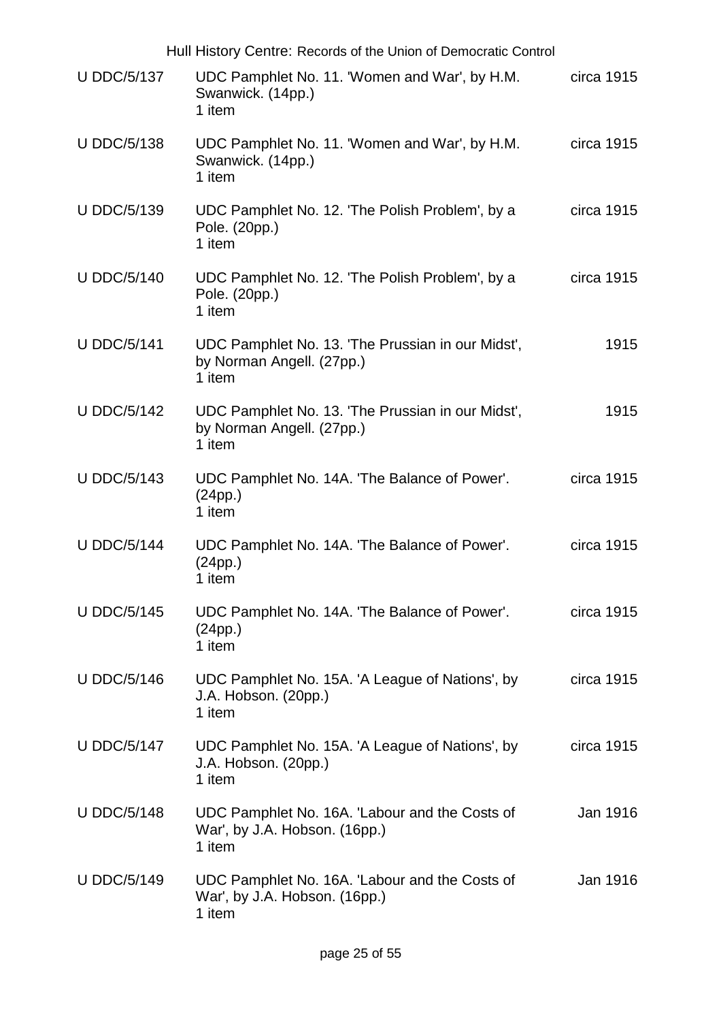|                    | Hull History Centre: Records of the Union of Democratic Control                           |            |
|--------------------|-------------------------------------------------------------------------------------------|------------|
| <b>U DDC/5/137</b> | UDC Pamphlet No. 11. 'Women and War', by H.M.<br>Swanwick. (14pp.)<br>1 item              | circa 1915 |
| <b>U DDC/5/138</b> | UDC Pamphlet No. 11. 'Women and War', by H.M.<br>Swanwick. (14pp.)<br>1 item              | circa 1915 |
| <b>U DDC/5/139</b> | UDC Pamphlet No. 12. 'The Polish Problem', by a<br>Pole. (20pp.)<br>1 item                | circa 1915 |
| <b>U DDC/5/140</b> | UDC Pamphlet No. 12. 'The Polish Problem', by a<br>Pole. (20pp.)<br>1 item                | circa 1915 |
| <b>U DDC/5/141</b> | UDC Pamphlet No. 13. 'The Prussian in our Midst',<br>by Norman Angell. (27pp.)<br>1 item  | 1915       |
| <b>U DDC/5/142</b> | UDC Pamphlet No. 13. 'The Prussian in our Midst',<br>by Norman Angell. (27pp.)<br>1 item  | 1915       |
| <b>U DDC/5/143</b> | UDC Pamphlet No. 14A. 'The Balance of Power'.<br>(24pp.)<br>1 item                        | circa 1915 |
| <b>U DDC/5/144</b> | UDC Pamphlet No. 14A. 'The Balance of Power'.<br>(24pp.)<br>1 item                        | circa 1915 |
| <b>U DDC/5/145</b> | UDC Pamphlet No. 14A. 'The Balance of Power'.<br>(24pp.)<br>1 item                        | circa 1915 |
| <b>U DDC/5/146</b> | UDC Pamphlet No. 15A. 'A League of Nations', by<br>J.A. Hobson. (20pp.)<br>1 item         | circa 1915 |
| <b>U DDC/5/147</b> | UDC Pamphlet No. 15A. 'A League of Nations', by<br>J.A. Hobson. (20pp.)<br>1 item         | circa 1915 |
| <b>U DDC/5/148</b> | UDC Pamphlet No. 16A. 'Labour and the Costs of<br>War', by J.A. Hobson. (16pp.)<br>1 item | Jan 1916   |
| <b>U DDC/5/149</b> | UDC Pamphlet No. 16A. 'Labour and the Costs of<br>War', by J.A. Hobson. (16pp.)<br>1 item | Jan 1916   |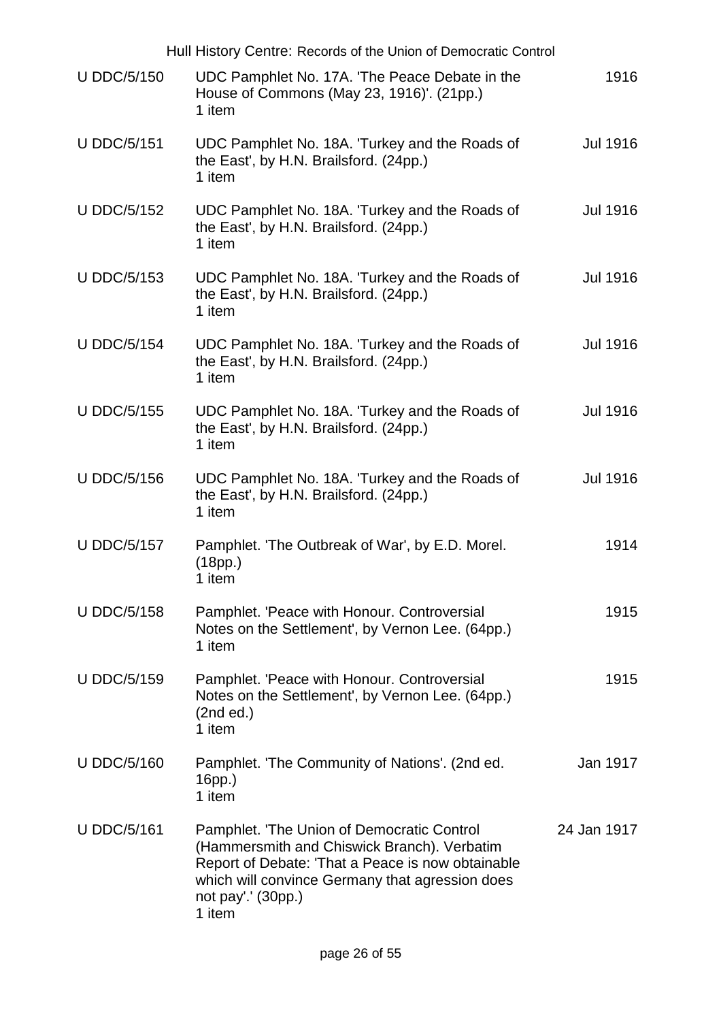|                    | Hull History Centre: Records of the Union of Democratic Control                                                                                                                                                                   |                 |
|--------------------|-----------------------------------------------------------------------------------------------------------------------------------------------------------------------------------------------------------------------------------|-----------------|
| <b>U DDC/5/150</b> | UDC Pamphlet No. 17A. 'The Peace Debate in the<br>House of Commons (May 23, 1916)'. (21pp.)<br>1 item                                                                                                                             | 1916            |
| <b>U DDC/5/151</b> | UDC Pamphlet No. 18A. 'Turkey and the Roads of<br>the East', by H.N. Brailsford. (24pp.)<br>1 item                                                                                                                                | <b>Jul 1916</b> |
| <b>U DDC/5/152</b> | UDC Pamphlet No. 18A. 'Turkey and the Roads of<br>the East', by H.N. Brailsford. (24pp.)<br>1 item                                                                                                                                | <b>Jul 1916</b> |
| <b>U DDC/5/153</b> | UDC Pamphlet No. 18A. 'Turkey and the Roads of<br>the East', by H.N. Brailsford. (24pp.)<br>1 item                                                                                                                                | <b>Jul 1916</b> |
| <b>U DDC/5/154</b> | UDC Pamphlet No. 18A. 'Turkey and the Roads of<br>the East', by H.N. Brailsford. (24pp.)<br>1 item                                                                                                                                | <b>Jul 1916</b> |
| <b>U DDC/5/155</b> | UDC Pamphlet No. 18A. Turkey and the Roads of<br>the East', by H.N. Brailsford. (24pp.)<br>1 item                                                                                                                                 | <b>Jul 1916</b> |
| <b>U DDC/5/156</b> | UDC Pamphlet No. 18A. 'Turkey and the Roads of<br>the East', by H.N. Brailsford. (24pp.)<br>1 item                                                                                                                                | <b>Jul 1916</b> |
| <b>U DDC/5/157</b> | Pamphlet. 'The Outbreak of War', by E.D. Morel.<br>(18pp.)<br>1 item                                                                                                                                                              | 1914            |
| <b>U DDC/5/158</b> | Pamphlet. 'Peace with Honour. Controversial<br>Notes on the Settlement', by Vernon Lee. (64pp.)<br>1 item                                                                                                                         | 1915            |
| <b>U DDC/5/159</b> | Pamphlet. 'Peace with Honour. Controversial<br>Notes on the Settlement', by Vernon Lee. (64pp.)<br>(2nd ed.)<br>1 item                                                                                                            | 1915            |
| <b>U DDC/5/160</b> | Pamphlet. 'The Community of Nations'. (2nd ed.<br>$16pp.$ )<br>1 item                                                                                                                                                             | Jan 1917        |
| <b>U DDC/5/161</b> | Pamphlet. 'The Union of Democratic Control<br>(Hammersmith and Chiswick Branch). Verbatim<br>Report of Debate: 'That a Peace is now obtainable<br>which will convince Germany that agression does<br>not pay'.' (30pp.)<br>1 item | 24 Jan 1917     |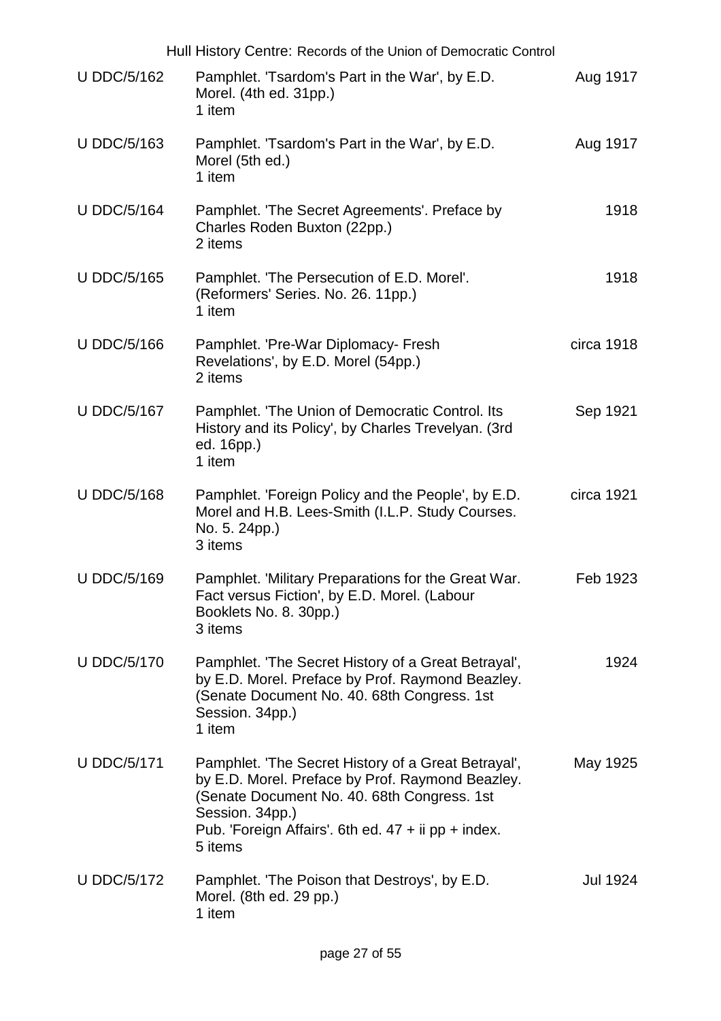|                    | Hull History Centre: Records of the Union of Democratic Control                                                                                                                                                                               |            |
|--------------------|-----------------------------------------------------------------------------------------------------------------------------------------------------------------------------------------------------------------------------------------------|------------|
| <b>U DDC/5/162</b> | Pamphlet. 'Tsardom's Part in the War', by E.D.<br>Morel. (4th ed. 31pp.)<br>1 item                                                                                                                                                            | Aug 1917   |
| <b>U DDC/5/163</b> | Pamphlet. 'Tsardom's Part in the War', by E.D.<br>Morel (5th ed.)<br>1 item                                                                                                                                                                   | Aug 1917   |
| <b>U DDC/5/164</b> | Pamphlet. 'The Secret Agreements'. Preface by<br>Charles Roden Buxton (22pp.)<br>2 items                                                                                                                                                      | 1918       |
| <b>U DDC/5/165</b> | Pamphlet. 'The Persecution of E.D. Morel'.<br>(Reformers' Series. No. 26. 11pp.)<br>1 item                                                                                                                                                    | 1918       |
| <b>U DDC/5/166</b> | Pamphlet. 'Pre-War Diplomacy- Fresh<br>Revelations', by E.D. Morel (54pp.)<br>2 items                                                                                                                                                         | circa 1918 |
| <b>U DDC/5/167</b> | Pamphlet. 'The Union of Democratic Control. Its<br>History and its Policy', by Charles Trevelyan. (3rd<br>ed. 16pp.)<br>1 item                                                                                                                | Sep 1921   |
| <b>U DDC/5/168</b> | Pamphlet. 'Foreign Policy and the People', by E.D.<br>Morel and H.B. Lees-Smith (I.L.P. Study Courses.<br>No. 5. 24pp.)<br>3 items                                                                                                            | circa 1921 |
| <b>U DDC/5/169</b> | Pamphlet. 'Military Preparations for the Great War.<br>Fact versus Fiction', by E.D. Morel. (Labour<br>Booklets No. 8. 30pp.)<br>3 items                                                                                                      | Feb 1923   |
| <b>U DDC/5/170</b> | Pamphlet. 'The Secret History of a Great Betrayal',<br>by E.D. Morel. Preface by Prof. Raymond Beazley.<br>(Senate Document No. 40. 68th Congress. 1st<br>Session. 34pp.)<br>1 item                                                           | 1924       |
| <b>U DDC/5/171</b> | Pamphlet. 'The Secret History of a Great Betrayal',<br>by E.D. Morel. Preface by Prof. Raymond Beazley.<br>(Senate Document No. 40. 68th Congress. 1st<br>Session. 34pp.)<br>Pub. 'Foreign Affairs'. 6th ed. $47 + i$ ipp + index.<br>5 items | May 1925   |
| <b>U DDC/5/172</b> | Pamphlet. 'The Poison that Destroys', by E.D.<br>Morel. (8th ed. 29 pp.)<br>1 item                                                                                                                                                            | Jul 1924   |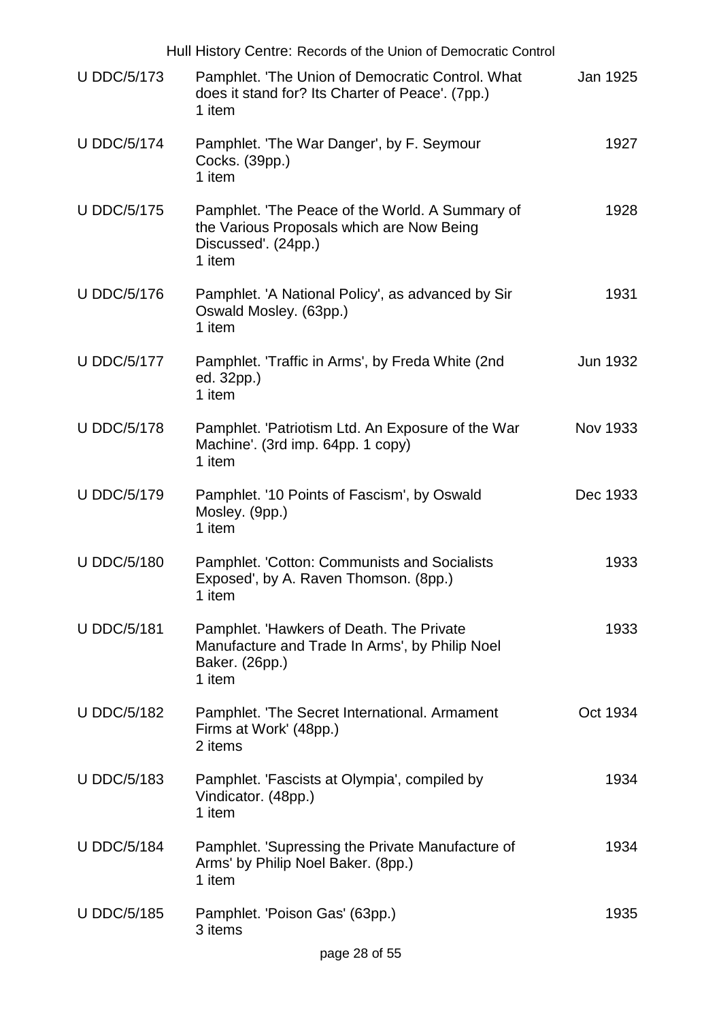|                    | Hull History Centre: Records of the Union of Democratic Control                                                               |          |
|--------------------|-------------------------------------------------------------------------------------------------------------------------------|----------|
| <b>U DDC/5/173</b> | Pamphlet. 'The Union of Democratic Control. What<br>does it stand for? Its Charter of Peace'. (7pp.)<br>1 item                | Jan 1925 |
| <b>U DDC/5/174</b> | Pamphlet. 'The War Danger', by F. Seymour<br>Cocks. (39pp.)<br>1 item                                                         | 1927     |
| <b>U DDC/5/175</b> | Pamphlet. 'The Peace of the World. A Summary of<br>the Various Proposals which are Now Being<br>Discussed'. (24pp.)<br>1 item | 1928     |
| <b>U DDC/5/176</b> | Pamphlet. 'A National Policy', as advanced by Sir<br>Oswald Mosley. (63pp.)<br>1 item                                         | 1931     |
| <b>U DDC/5/177</b> | Pamphlet. 'Traffic in Arms', by Freda White (2nd<br>ed. 32pp.)<br>1 item                                                      | Jun 1932 |
| <b>U DDC/5/178</b> | Pamphlet. 'Patriotism Ltd. An Exposure of the War<br>Machine'. (3rd imp. 64pp. 1 copy)<br>1 item                              | Nov 1933 |
| <b>U DDC/5/179</b> | Pamphlet. '10 Points of Fascism', by Oswald<br>Mosley. (9pp.)<br>1 item                                                       | Dec 1933 |
| <b>U DDC/5/180</b> | Pamphlet. 'Cotton: Communists and Socialists<br>Exposed', by A. Raven Thomson. (8pp.)<br>1 item                               | 1933     |
| <b>U DDC/5/181</b> | Pamphlet. 'Hawkers of Death. The Private<br>Manufacture and Trade In Arms', by Philip Noel<br>Baker. (26pp.)<br>1 item        | 1933     |
| <b>U DDC/5/182</b> | Pamphlet. 'The Secret International. Armament<br>Firms at Work' (48pp.)<br>2 items                                            | Oct 1934 |
| <b>U DDC/5/183</b> | Pamphlet. 'Fascists at Olympia', compiled by<br>Vindicator. (48pp.)<br>1 item                                                 | 1934     |
| <b>U DDC/5/184</b> | Pamphlet. 'Supressing the Private Manufacture of<br>Arms' by Philip Noel Baker. (8pp.)<br>1 item                              | 1934     |
| U DDC/5/185        | Pamphlet. 'Poison Gas' (63pp.)<br>3 items                                                                                     | 1935     |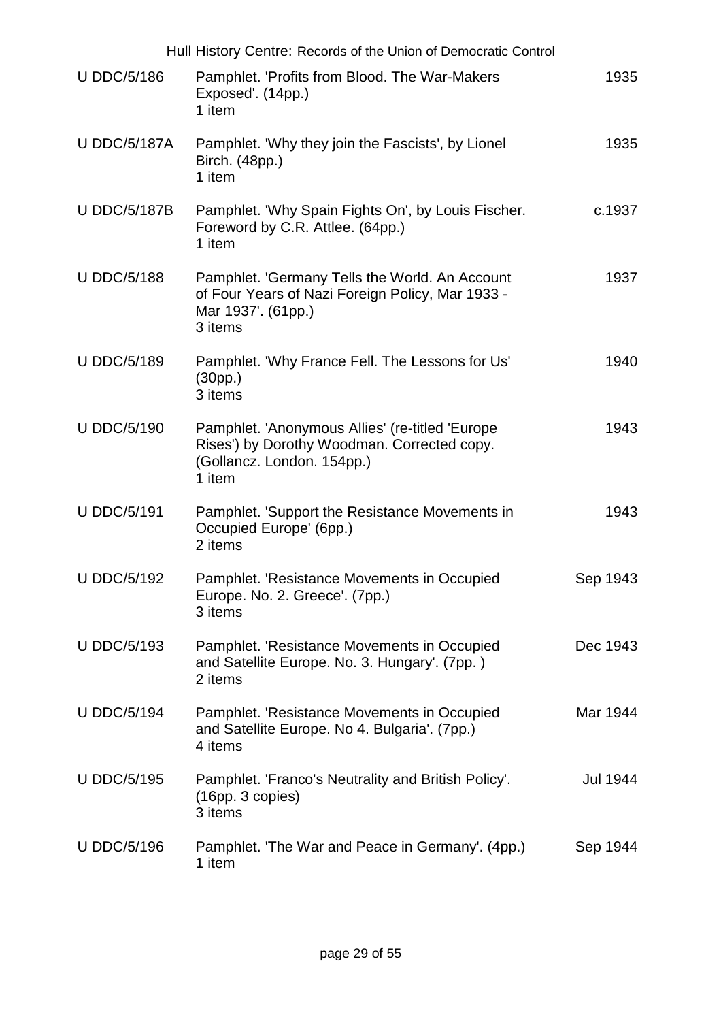|                     | Hull History Centre: Records of the Union of Democratic Control                                                                        |                 |
|---------------------|----------------------------------------------------------------------------------------------------------------------------------------|-----------------|
| <b>U DDC/5/186</b>  | Pamphlet. 'Profits from Blood. The War-Makers<br>Exposed'. (14pp.)<br>1 item                                                           | 1935            |
| <b>U DDC/5/187A</b> | Pamphlet. 'Why they join the Fascists', by Lionel<br>Birch. (48pp.)<br>1 item                                                          | 1935            |
| <b>U DDC/5/187B</b> | Pamphlet. 'Why Spain Fights On', by Louis Fischer.<br>Foreword by C.R. Attlee. (64pp.)<br>1 item                                       | c.1937          |
| <b>U DDC/5/188</b>  | Pamphlet. 'Germany Tells the World. An Account<br>of Four Years of Nazi Foreign Policy, Mar 1933 -<br>Mar 1937'. (61pp.)<br>3 items    | 1937            |
| <b>U DDC/5/189</b>  | Pamphlet. 'Why France Fell. The Lessons for Us'<br>(30pp.)<br>3 items                                                                  | 1940            |
| <b>U DDC/5/190</b>  | Pamphlet. 'Anonymous Allies' (re-titled 'Europe<br>Rises') by Dorothy Woodman. Corrected copy.<br>(Gollancz. London. 154pp.)<br>1 item | 1943            |
| <b>U DDC/5/191</b>  | Pamphlet. 'Support the Resistance Movements in<br>Occupied Europe' (6pp.)<br>2 items                                                   | 1943            |
| <b>U DDC/5/192</b>  | Pamphlet. 'Resistance Movements in Occupied<br>Europe. No. 2. Greece'. (7pp.)<br>3 items                                               | Sep 1943        |
| <b>U DDC/5/193</b>  | Pamphlet. 'Resistance Movements in Occupied<br>and Satellite Europe. No. 3. Hungary'. (7pp.)<br>2 items                                | Dec 1943        |
| <b>U DDC/5/194</b>  | Pamphlet. 'Resistance Movements in Occupied<br>and Satellite Europe. No 4. Bulgaria'. (7pp.)<br>4 items                                | Mar 1944        |
| <b>U DDC/5/195</b>  | Pamphlet. 'Franco's Neutrality and British Policy'.<br>(16pp. 3 copies)<br>3 items                                                     | <b>Jul 1944</b> |
| <b>U DDC/5/196</b>  | Pamphlet. 'The War and Peace in Germany'. (4pp.)<br>1 item                                                                             | Sep 1944        |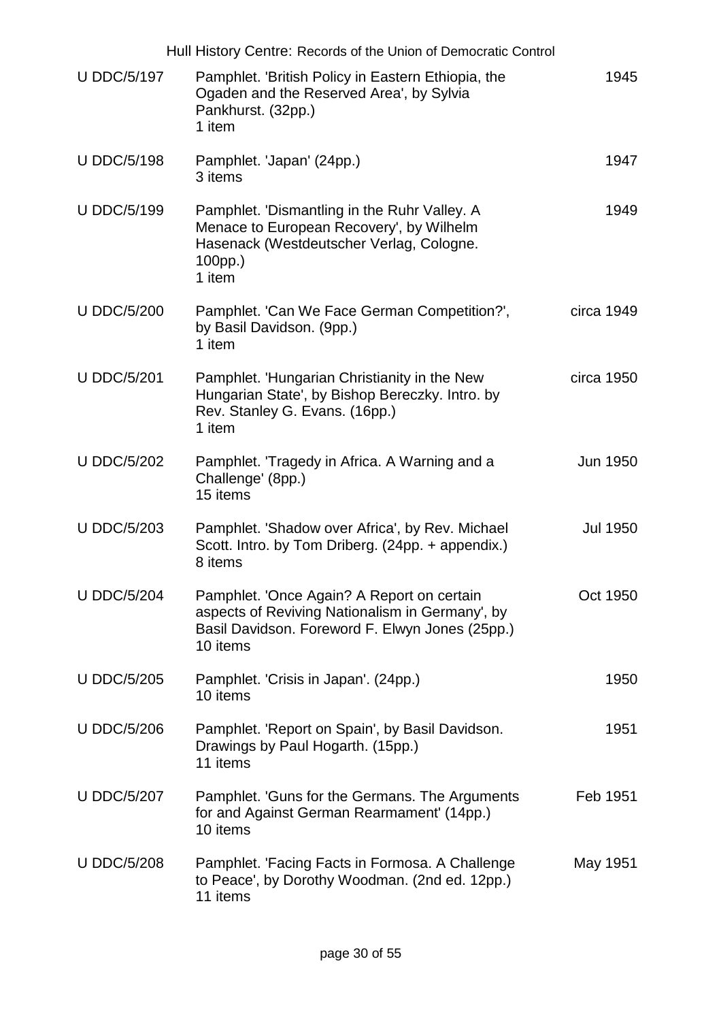|                    | Hull History Centre: Records of the Union of Democratic Control                                                                                              |                 |
|--------------------|--------------------------------------------------------------------------------------------------------------------------------------------------------------|-----------------|
| <b>U DDC/5/197</b> | Pamphlet. 'British Policy in Eastern Ethiopia, the<br>Ogaden and the Reserved Area', by Sylvia<br>Pankhurst. (32pp.)<br>1 item                               | 1945            |
| <b>U DDC/5/198</b> | Pamphlet. 'Japan' (24pp.)<br>3 items                                                                                                                         | 1947            |
| <b>U DDC/5/199</b> | Pamphlet. 'Dismantling in the Ruhr Valley. A<br>Menace to European Recovery', by Wilhelm<br>Hasenack (Westdeutscher Verlag, Cologne.<br>100pp.)<br>1 item    | 1949            |
| <b>U DDC/5/200</b> | Pamphlet. 'Can We Face German Competition?',<br>by Basil Davidson. (9pp.)<br>1 item                                                                          | circa 1949      |
| <b>U DDC/5/201</b> | Pamphlet. 'Hungarian Christianity in the New<br>Hungarian State', by Bishop Bereczky. Intro. by<br>Rev. Stanley G. Evans. (16pp.)<br>1 item                  | circa 1950      |
| <b>U DDC/5/202</b> | Pamphlet. Tragedy in Africa. A Warning and a<br>Challenge' (8pp.)<br>15 items                                                                                | Jun 1950        |
| <b>U DDC/5/203</b> | Pamphlet. 'Shadow over Africa', by Rev. Michael<br>Scott. Intro. by Tom Driberg. (24pp. + appendix.)<br>8 items                                              | <b>Jul 1950</b> |
| <b>U DDC/5/204</b> | Pamphlet. 'Once Again? A Report on certain<br>aspects of Reviving Nationalism in Germany', by<br>Basil Davidson. Foreword F. Elwyn Jones (25pp.)<br>10 items | Oct 1950        |
| <b>U DDC/5/205</b> | Pamphlet. 'Crisis in Japan'. (24pp.)<br>10 items                                                                                                             | 1950            |
| <b>U DDC/5/206</b> | Pamphlet. 'Report on Spain', by Basil Davidson.<br>Drawings by Paul Hogarth. (15pp.)<br>11 items                                                             | 1951            |
| <b>U DDC/5/207</b> | Pamphlet. 'Guns for the Germans. The Arguments<br>for and Against German Rearmament' (14pp.)<br>10 items                                                     | Feb 1951        |
| <b>U DDC/5/208</b> | Pamphlet. 'Facing Facts in Formosa. A Challenge<br>to Peace', by Dorothy Woodman. (2nd ed. 12pp.)<br>11 items                                                | May 1951        |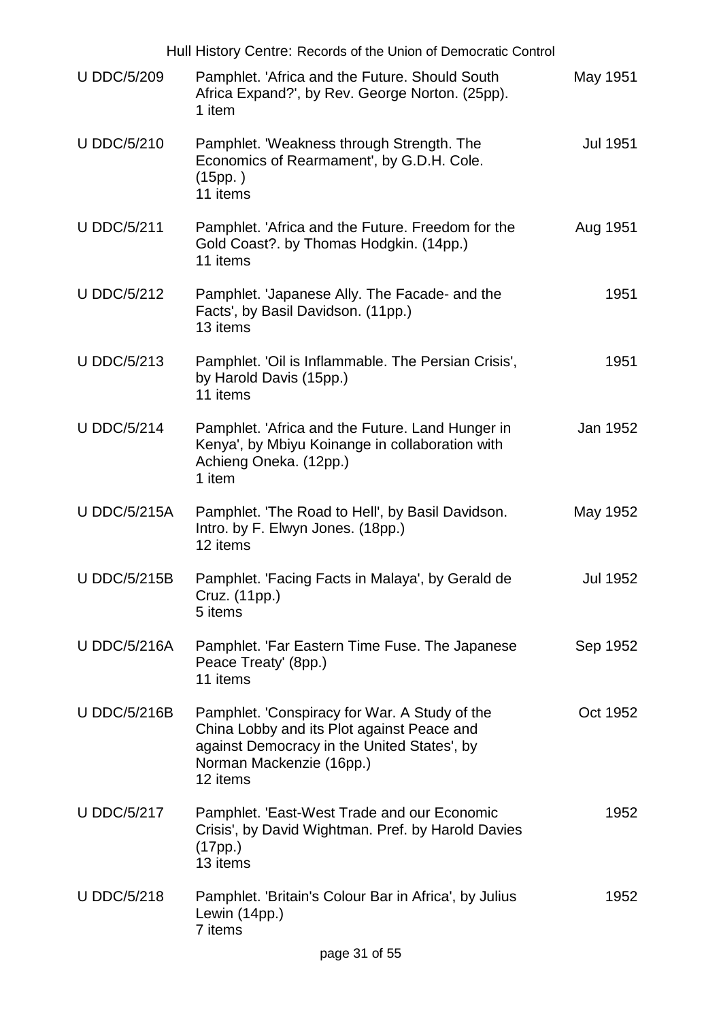|                     | Hull History Centre: Records of the Union of Democratic Control                                                                                                                   |                 |
|---------------------|-----------------------------------------------------------------------------------------------------------------------------------------------------------------------------------|-----------------|
| <b>U DDC/5/209</b>  | Pamphlet. 'Africa and the Future. Should South<br>Africa Expand?', by Rev. George Norton. (25pp).<br>1 item                                                                       | May 1951        |
| <b>U DDC/5/210</b>  | Pamphlet. 'Weakness through Strength. The<br>Economics of Rearmament', by G.D.H. Cole.<br>(15pp. )<br>11 items                                                                    | <b>Jul 1951</b> |
| <b>U DDC/5/211</b>  | Pamphlet. 'Africa and the Future. Freedom for the<br>Gold Coast?. by Thomas Hodgkin. (14pp.)<br>11 items                                                                          | Aug 1951        |
| <b>U DDC/5/212</b>  | Pamphlet. 'Japanese Ally. The Facade- and the<br>Facts', by Basil Davidson. (11pp.)<br>13 items                                                                                   | 1951            |
| <b>U DDC/5/213</b>  | Pamphlet. 'Oil is Inflammable. The Persian Crisis',<br>by Harold Davis (15pp.)<br>11 items                                                                                        | 1951            |
| <b>U DDC/5/214</b>  | Pamphlet. 'Africa and the Future. Land Hunger in<br>Kenya', by Mbiyu Koinange in collaboration with<br>Achieng Oneka. (12pp.)<br>1 item                                           | Jan 1952        |
| <b>U DDC/5/215A</b> | Pamphlet. 'The Road to Hell', by Basil Davidson.<br>Intro. by F. Elwyn Jones. (18pp.)<br>12 items                                                                                 | May 1952        |
| <b>U DDC/5/215B</b> | Pamphlet. 'Facing Facts in Malaya', by Gerald de<br>Cruz. (11pp.)<br>5 items                                                                                                      | Jul 1952        |
| <b>U DDC/5/216A</b> | Pamphlet. 'Far Eastern Time Fuse. The Japanese<br>Peace Treaty' (8pp.)<br>11 items                                                                                                | Sep 1952        |
| <b>U DDC/5/216B</b> | Pamphlet. Conspiracy for War. A Study of the<br>China Lobby and its Plot against Peace and<br>against Democracy in the United States', by<br>Norman Mackenzie (16pp.)<br>12 items | Oct 1952        |
| <b>U DDC/5/217</b>  | Pamphlet. 'East-West Trade and our Economic<br>Crisis', by David Wightman. Pref. by Harold Davies<br>(17pp.)<br>13 items                                                          | 1952            |
| <b>U DDC/5/218</b>  | Pamphlet. 'Britain's Colour Bar in Africa', by Julius<br>Lewin (14pp.)<br>7 items                                                                                                 | 1952            |
|                     | page 31 of 55                                                                                                                                                                     |                 |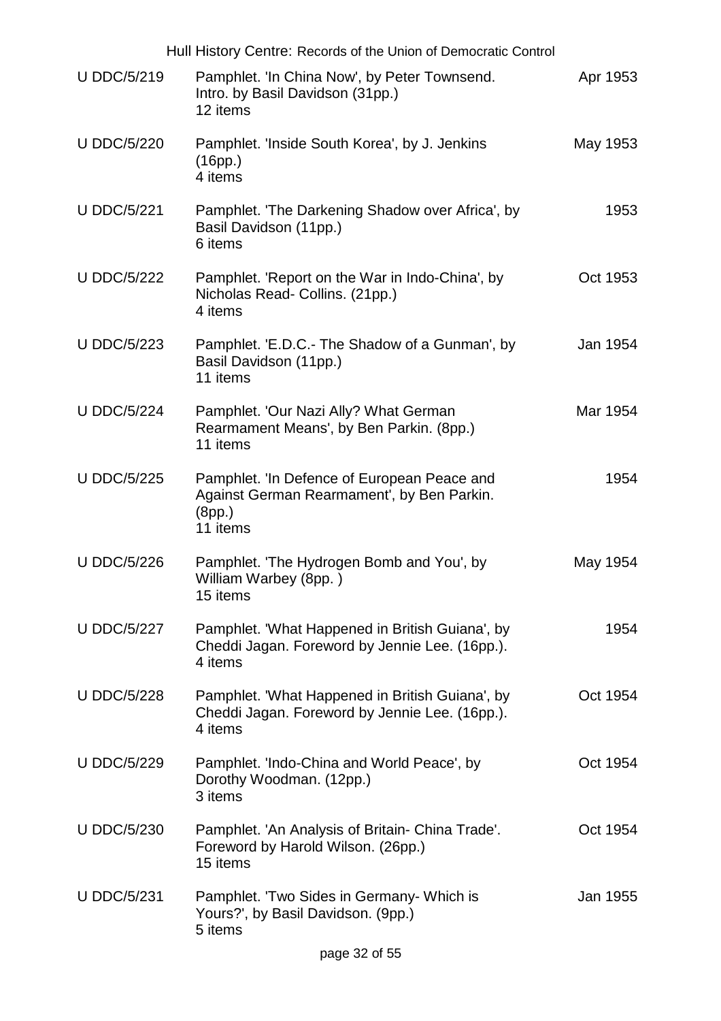|                    | Hull History Centre: Records of the Union of Democratic Control                                                 |          |
|--------------------|-----------------------------------------------------------------------------------------------------------------|----------|
| <b>U DDC/5/219</b> | Pamphlet. 'In China Now', by Peter Townsend.<br>Intro. by Basil Davidson (31pp.)<br>12 items                    | Apr 1953 |
| <b>U DDC/5/220</b> | Pamphlet. 'Inside South Korea', by J. Jenkins<br>(16pp.)<br>4 items                                             | May 1953 |
| <b>U DDC/5/221</b> | Pamphlet. 'The Darkening Shadow over Africa', by<br>Basil Davidson (11pp.)<br>6 items                           | 1953     |
| <b>U DDC/5/222</b> | Pamphlet. 'Report on the War in Indo-China', by<br>Nicholas Read- Collins. (21pp.)<br>4 items                   | Oct 1953 |
| <b>U DDC/5/223</b> | Pamphlet. 'E.D.C.- The Shadow of a Gunman', by<br>Basil Davidson (11pp.)<br>11 items                            | Jan 1954 |
| <b>U DDC/5/224</b> | Pamphlet. 'Our Nazi Ally? What German<br>Rearmament Means', by Ben Parkin. (8pp.)<br>11 items                   | Mar 1954 |
| <b>U DDC/5/225</b> | Pamphlet. 'In Defence of European Peace and<br>Against German Rearmament', by Ben Parkin.<br>(8pp.)<br>11 items | 1954     |
| <b>U DDC/5/226</b> | Pamphlet. 'The Hydrogen Bomb and You', by<br>William Warbey (8pp.)<br>15 items                                  | May 1954 |
| <b>U DDC/5/227</b> | Pamphlet. 'What Happened in British Guiana', by<br>Cheddi Jagan. Foreword by Jennie Lee. (16pp.).<br>4 items    | 1954     |
| <b>U DDC/5/228</b> | Pamphlet. 'What Happened in British Guiana', by<br>Cheddi Jagan. Foreword by Jennie Lee. (16pp.).<br>4 items    | Oct 1954 |
| <b>U DDC/5/229</b> | Pamphlet. 'Indo-China and World Peace', by<br>Dorothy Woodman. (12pp.)<br>3 items                               | Oct 1954 |
| <b>U DDC/5/230</b> | Pamphlet. 'An Analysis of Britain- China Trade'.<br>Foreword by Harold Wilson. (26pp.)<br>15 items              | Oct 1954 |
| <b>U DDC/5/231</b> | Pamphlet. 'Two Sides in Germany- Which is<br>Yours?', by Basil Davidson. (9pp.)<br>5 items                      | Jan 1955 |
|                    | page 32 of 55                                                                                                   |          |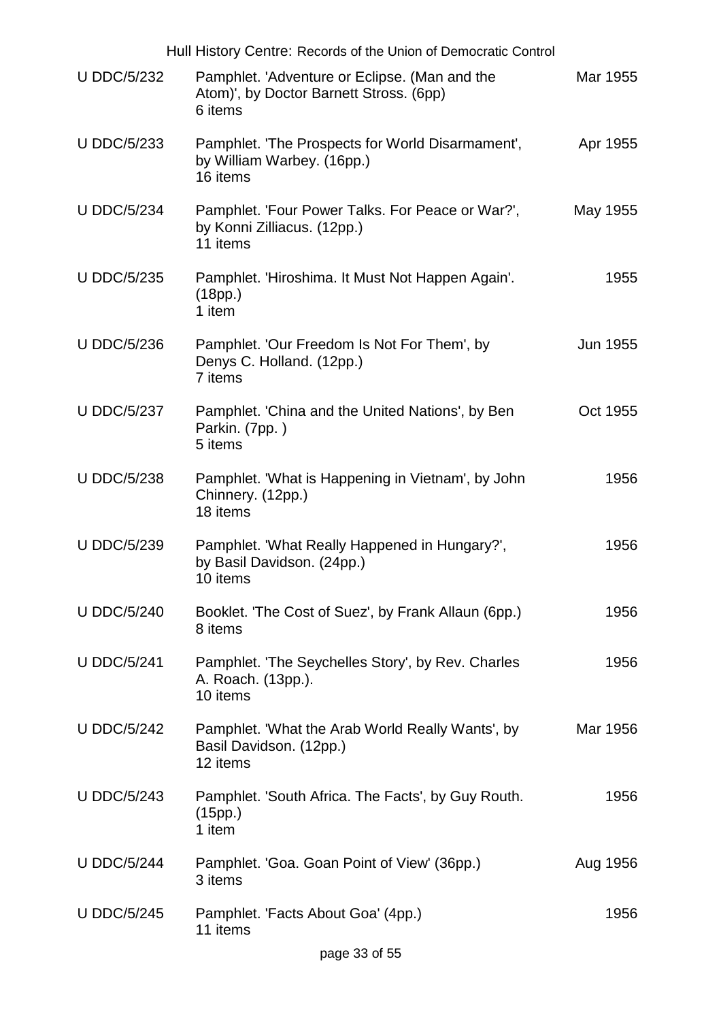|                    | Hull History Centre: Records of the Union of Democratic Control                                     |          |
|--------------------|-----------------------------------------------------------------------------------------------------|----------|
| <b>U DDC/5/232</b> | Pamphlet. 'Adventure or Eclipse. (Man and the<br>Atom)', by Doctor Barnett Stross. (6pp)<br>6 items | Mar 1955 |
| <b>U DDC/5/233</b> | Pamphlet. 'The Prospects for World Disarmament',<br>by William Warbey. (16pp.)<br>16 items          | Apr 1955 |
| <b>U DDC/5/234</b> | Pamphlet. 'Four Power Talks. For Peace or War?',<br>by Konni Zilliacus. (12pp.)<br>11 items         | May 1955 |
| <b>U DDC/5/235</b> | Pamphlet. 'Hiroshima. It Must Not Happen Again'.<br>(18pp.)<br>1 item                               | 1955     |
| <b>U DDC/5/236</b> | Pamphlet. 'Our Freedom Is Not For Them', by<br>Denys C. Holland. (12pp.)<br>7 items                 | Jun 1955 |
| <b>U DDC/5/237</b> | Pamphlet. 'China and the United Nations', by Ben<br>Parkin. (7pp.)<br>5 items                       | Oct 1955 |
| <b>U DDC/5/238</b> | Pamphlet. 'What is Happening in Vietnam', by John<br>Chinnery. (12pp.)<br>18 items                  | 1956     |
| <b>U DDC/5/239</b> | Pamphlet. 'What Really Happened in Hungary?',<br>by Basil Davidson. (24pp.)<br>10 items             | 1956     |
| <b>U DDC/5/240</b> | Booklet. 'The Cost of Suez', by Frank Allaun (6pp.)<br>8 items                                      | 1956     |
| <b>U DDC/5/241</b> | Pamphlet. 'The Seychelles Story', by Rev. Charles<br>A. Roach. (13pp.).<br>10 items                 | 1956     |
| <b>U DDC/5/242</b> | Pamphlet. 'What the Arab World Really Wants', by<br>Basil Davidson. (12pp.)<br>12 items             | Mar 1956 |
| <b>U DDC/5/243</b> | Pamphlet. 'South Africa. The Facts', by Guy Routh.<br>(15pp.)<br>1 item                             | 1956     |
| <b>U DDC/5/244</b> | Pamphlet. 'Goa. Goan Point of View' (36pp.)<br>3 items                                              | Aug 1956 |
| <b>U DDC/5/245</b> | Pamphlet. 'Facts About Goa' (4pp.)<br>11 items                                                      | 1956     |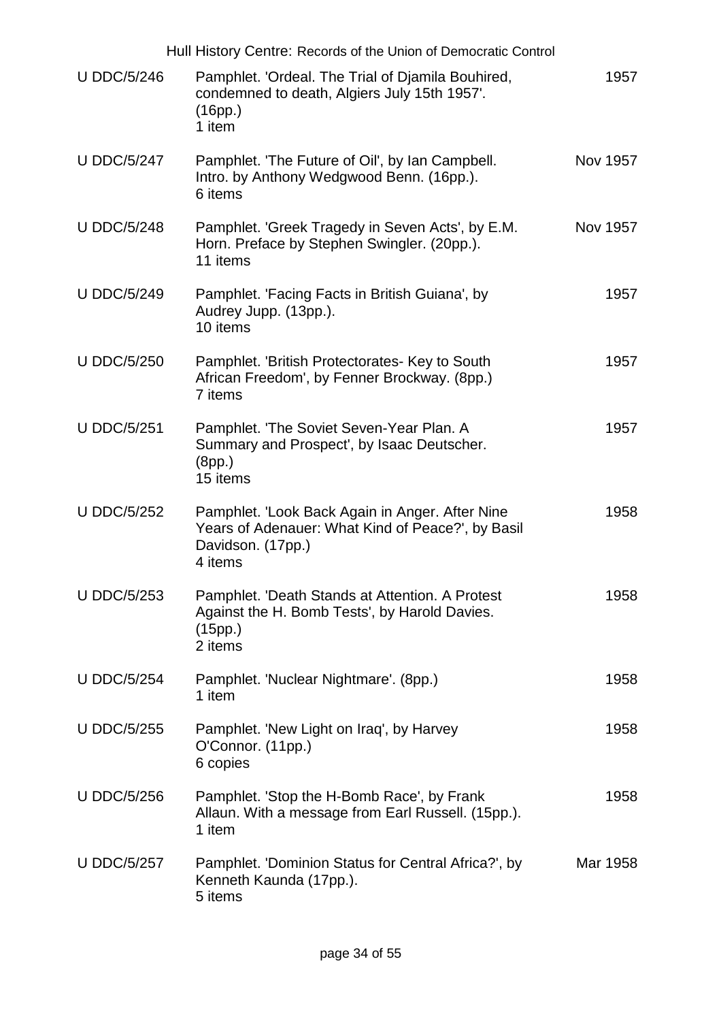|                    | Hull History Centre: Records of the Union of Democratic Control                                                                      |          |
|--------------------|--------------------------------------------------------------------------------------------------------------------------------------|----------|
| <b>U DDC/5/246</b> | Pamphlet. 'Ordeal. The Trial of Djamila Bouhired,<br>condemned to death, Algiers July 15th 1957'.<br>(16pp.)<br>1 item               | 1957     |
| <b>U DDC/5/247</b> | Pamphlet. 'The Future of Oil', by Ian Campbell.<br>Intro. by Anthony Wedgwood Benn. (16pp.).<br>6 items                              | Nov 1957 |
| <b>U DDC/5/248</b> | Pamphlet. 'Greek Tragedy in Seven Acts', by E.M.<br>Horn. Preface by Stephen Swingler. (20pp.).<br>11 items                          | Nov 1957 |
| <b>U DDC/5/249</b> | Pamphlet. 'Facing Facts in British Guiana', by<br>Audrey Jupp. (13pp.).<br>10 items                                                  | 1957     |
| <b>U DDC/5/250</b> | Pamphlet. 'British Protectorates- Key to South<br>African Freedom', by Fenner Brockway. (8pp.)<br>7 items                            | 1957     |
| <b>U DDC/5/251</b> | Pamphlet. 'The Soviet Seven-Year Plan. A<br>Summary and Prospect', by Isaac Deutscher.<br>(8pp.)<br>15 items                         | 1957     |
| <b>U DDC/5/252</b> | Pamphlet. 'Look Back Again in Anger. After Nine<br>Years of Adenauer: What Kind of Peace?', by Basil<br>Davidson. (17pp.)<br>4 items | 1958     |
| <b>U DDC/5/253</b> | Pamphlet. 'Death Stands at Attention. A Protest<br>Against the H. Bomb Tests', by Harold Davies.<br>(15pp.)<br>2 items               | 1958     |
| <b>U DDC/5/254</b> | Pamphlet. 'Nuclear Nightmare'. (8pp.)<br>1 item                                                                                      | 1958     |
| <b>U DDC/5/255</b> | Pamphlet. 'New Light on Iraq', by Harvey<br>O'Connor. (11pp.)<br>6 copies                                                            | 1958     |
| <b>U DDC/5/256</b> | Pamphlet. 'Stop the H-Bomb Race', by Frank<br>Allaun. With a message from Earl Russell. (15pp.).<br>1 item                           | 1958     |
| <b>U DDC/5/257</b> | Pamphlet. 'Dominion Status for Central Africa?', by<br>Kenneth Kaunda (17pp.).<br>5 items                                            | Mar 1958 |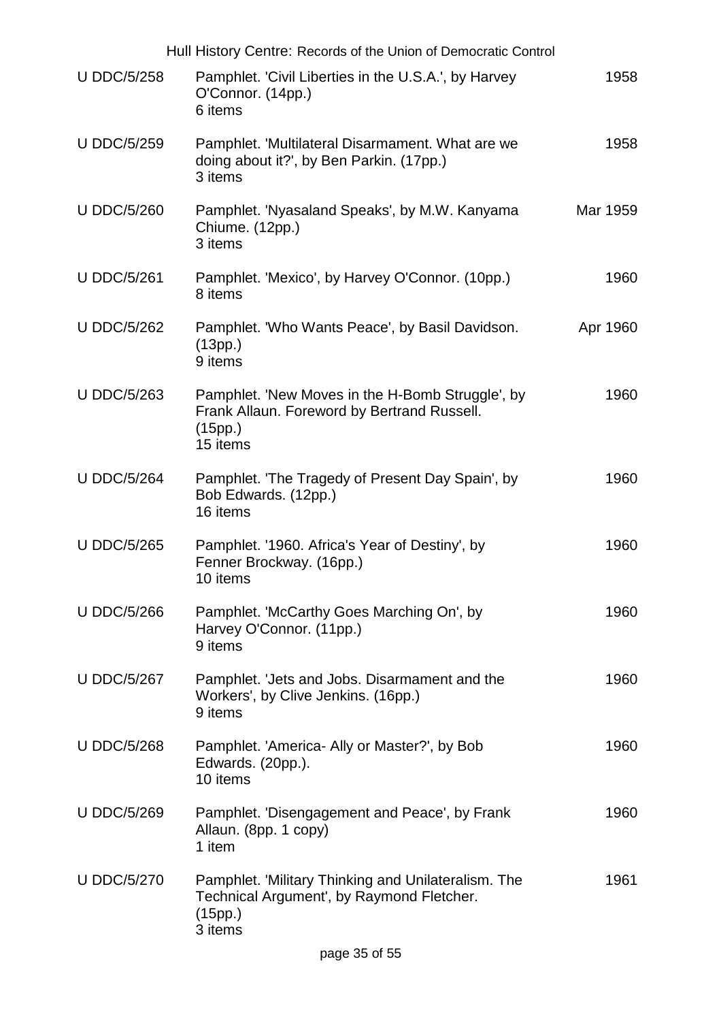| Hull History Centre: Records of the Union of Democratic Control |                                                                                                                        |          |
|-----------------------------------------------------------------|------------------------------------------------------------------------------------------------------------------------|----------|
| <b>U DDC/5/258</b>                                              | Pamphlet. 'Civil Liberties in the U.S.A.', by Harvey<br>O'Connor. (14pp.)<br>6 items                                   | 1958     |
| <b>U DDC/5/259</b>                                              | Pamphlet. 'Multilateral Disarmament. What are we<br>doing about it?', by Ben Parkin. (17pp.)<br>3 items                | 1958     |
| <b>U DDC/5/260</b>                                              | Pamphlet. 'Nyasaland Speaks', by M.W. Kanyama<br>Chiume. (12pp.)<br>3 items                                            | Mar 1959 |
| <b>U DDC/5/261</b>                                              | Pamphlet. 'Mexico', by Harvey O'Connor. (10pp.)<br>8 items                                                             | 1960     |
| <b>U DDC/5/262</b>                                              | Pamphlet. 'Who Wants Peace', by Basil Davidson.<br>(13pp.)<br>9 items                                                  | Apr 1960 |
| <b>U DDC/5/263</b>                                              | Pamphlet. 'New Moves in the H-Bomb Struggle', by<br>Frank Allaun. Foreword by Bertrand Russell.<br>(15pp.)<br>15 items | 1960     |
| <b>U DDC/5/264</b>                                              | Pamphlet. 'The Tragedy of Present Day Spain', by<br>Bob Edwards. (12pp.)<br>16 items                                   | 1960     |
| <b>U DDC/5/265</b>                                              | Pamphlet. '1960. Africa's Year of Destiny', by<br>Fenner Brockway. (16pp.)<br>10 items                                 | 1960     |
| <b>U DDC/5/266</b>                                              | Pamphlet. 'McCarthy Goes Marching On', by<br>Harvey O'Connor. (11pp.)<br>9 items                                       | 1960     |
| <b>U DDC/5/267</b>                                              | Pamphlet. 'Jets and Jobs. Disarmament and the<br>Workers', by Clive Jenkins. (16pp.)<br>9 items                        | 1960     |
| <b>U DDC/5/268</b>                                              | Pamphlet. 'America- Ally or Master?', by Bob<br>Edwards. (20pp.).<br>10 items                                          | 1960     |
| <b>U DDC/5/269</b>                                              | Pamphlet. 'Disengagement and Peace', by Frank<br>Allaun. (8pp. 1 copy)<br>1 item                                       | 1960     |
| <b>U DDC/5/270</b>                                              | Pamphlet. 'Military Thinking and Unilateralism. The<br>Technical Argument', by Raymond Fletcher.<br>(15pp.)<br>3 items | 1961     |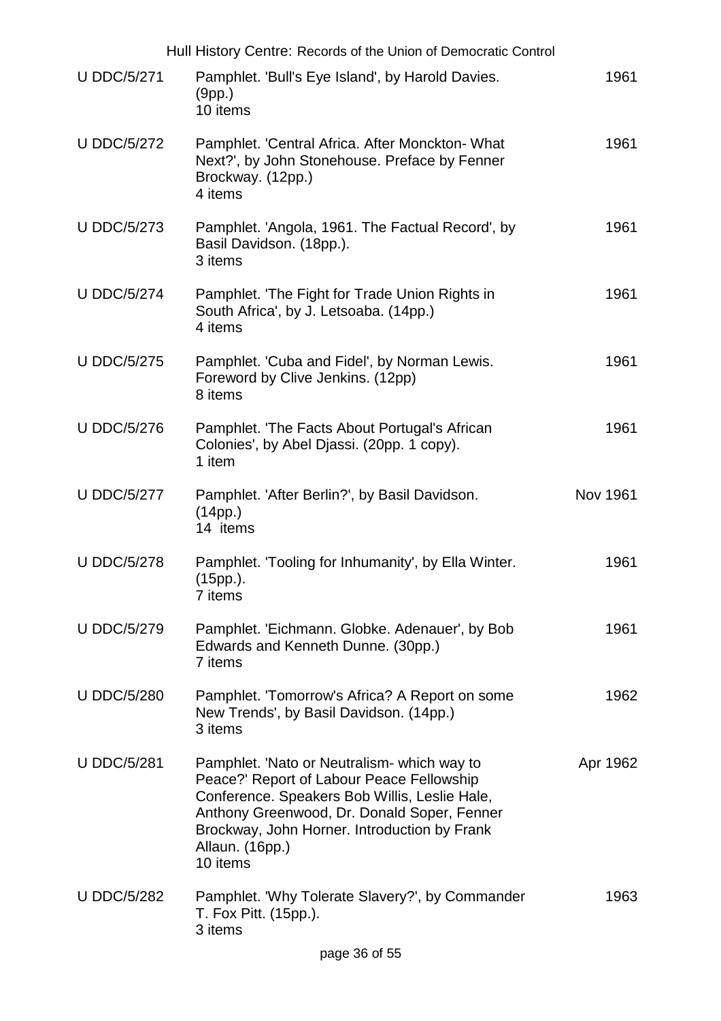|                    | Hull History Centre: Records of the Union of Democratic Control                                                                                                                                                                                                         |                 |
|--------------------|-------------------------------------------------------------------------------------------------------------------------------------------------------------------------------------------------------------------------------------------------------------------------|-----------------|
| <b>U DDC/5/271</b> | Pamphlet. 'Bull's Eye Island', by Harold Davies.<br>(9pp.)<br>10 items                                                                                                                                                                                                  | 1961            |
| <b>U DDC/5/272</b> | Pamphlet. 'Central Africa. After Monckton- What<br>Next?', by John Stonehouse. Preface by Fenner<br>Brockway. (12pp.)<br>4 items                                                                                                                                        | 1961            |
| <b>U DDC/5/273</b> | Pamphlet. 'Angola, 1961. The Factual Record', by<br>Basil Davidson. (18pp.).<br>3 items                                                                                                                                                                                 | 1961            |
| <b>U DDC/5/274</b> | Pamphlet. 'The Fight for Trade Union Rights in<br>South Africa', by J. Letsoaba. (14pp.)<br>4 items                                                                                                                                                                     | 1961            |
| <b>U DDC/5/275</b> | Pamphlet. 'Cuba and Fidel', by Norman Lewis.<br>Foreword by Clive Jenkins. (12pp)<br>8 items                                                                                                                                                                            | 1961            |
| <b>U DDC/5/276</b> | Pamphlet. 'The Facts About Portugal's African<br>Colonies', by Abel Djassi. (20pp. 1 copy).<br>1 item                                                                                                                                                                   | 1961            |
| <b>U DDC/5/277</b> | Pamphlet. 'After Berlin?', by Basil Davidson.<br>(14pp.)<br>14 items                                                                                                                                                                                                    | <b>Nov 1961</b> |
| <b>U DDC/5/278</b> | Pamphlet. 'Tooling for Inhumanity', by Ella Winter.<br>(15pp.).<br>7 items                                                                                                                                                                                              | 1961            |
| <b>U DDC/5/279</b> | Pamphlet. 'Eichmann. Globke. Adenauer', by Bob<br>Edwards and Kenneth Dunne. (30pp.)<br>7 items                                                                                                                                                                         | 1961            |
| <b>U DDC/5/280</b> | Pamphlet. 'Tomorrow's Africa? A Report on some<br>New Trends', by Basil Davidson. (14pp.)<br>3 items                                                                                                                                                                    | 1962            |
| <b>U DDC/5/281</b> | Pamphlet. 'Nato or Neutralism- which way to<br>Peace?' Report of Labour Peace Fellowship<br>Conference. Speakers Bob Willis, Leslie Hale,<br>Anthony Greenwood, Dr. Donald Soper, Fenner<br>Brockway, John Horner. Introduction by Frank<br>Allaun. (16pp.)<br>10 items | Apr 1962        |
| <b>U DDC/5/282</b> | Pamphlet. 'Why Tolerate Slavery?', by Commander<br>T. Fox Pitt. (15pp.).<br>3 items                                                                                                                                                                                     | 1963            |
|                    | page 36 of 55                                                                                                                                                                                                                                                           |                 |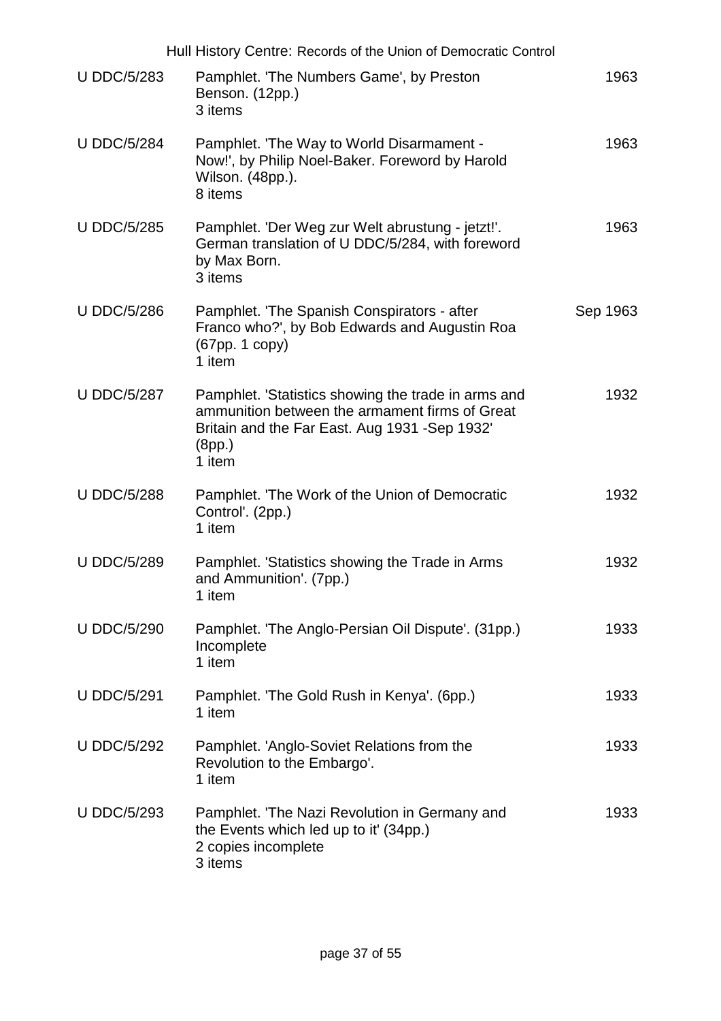|                    | Hull History Centre: Records of the Union of Democratic Control                                                                                                             |          |
|--------------------|-----------------------------------------------------------------------------------------------------------------------------------------------------------------------------|----------|
| <b>U DDC/5/283</b> | Pamphlet. 'The Numbers Game', by Preston<br>Benson. (12pp.)<br>3 items                                                                                                      | 1963     |
| <b>U DDC/5/284</b> | Pamphlet. 'The Way to World Disarmament -<br>Now!', by Philip Noel-Baker. Foreword by Harold<br>Wilson. (48pp.).<br>8 items                                                 | 1963     |
| <b>U DDC/5/285</b> | Pamphlet. 'Der Weg zur Welt abrustung - jetzt!'.<br>German translation of U DDC/5/284, with foreword<br>by Max Born.<br>3 items                                             | 1963     |
| <b>U DDC/5/286</b> | Pamphlet. 'The Spanish Conspirators - after<br>Franco who?', by Bob Edwards and Augustin Roa<br>(67pp. 1 copy)<br>1 item                                                    | Sep 1963 |
| <b>U DDC/5/287</b> | Pamphlet. 'Statistics showing the trade in arms and<br>ammunition between the armament firms of Great<br>Britain and the Far East. Aug 1931 - Sep 1932'<br>(8pp.)<br>1 item | 1932     |
| <b>U DDC/5/288</b> | Pamphlet. 'The Work of the Union of Democratic<br>Control'. (2pp.)<br>1 item                                                                                                | 1932     |
| <b>U DDC/5/289</b> | Pamphlet. 'Statistics showing the Trade in Arms<br>and Ammunition'. (7pp.)<br>1 item                                                                                        | 1932     |
| <b>U DDC/5/290</b> | Pamphlet. 'The Anglo-Persian Oil Dispute'. (31pp.)<br>Incomplete<br>1 item                                                                                                  | 1933     |
| <b>U DDC/5/291</b> | Pamphlet. 'The Gold Rush in Kenya'. (6pp.)<br>1 item                                                                                                                        | 1933     |
| <b>U DDC/5/292</b> | Pamphlet. 'Anglo-Soviet Relations from the<br>Revolution to the Embargo'.<br>1 item                                                                                         | 1933     |
| <b>U DDC/5/293</b> | Pamphlet. 'The Nazi Revolution in Germany and<br>the Events which led up to it' (34pp.)<br>2 copies incomplete<br>3 items                                                   | 1933     |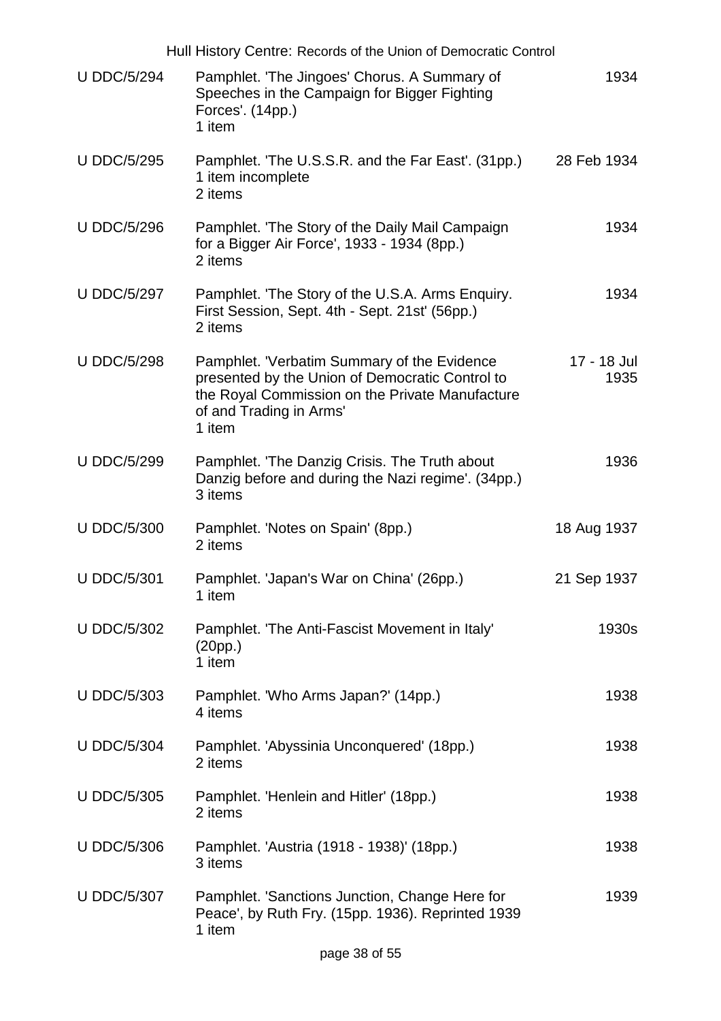| Hull History Centre: Records of the Union of Democratic Control |                                                                                                                                                                                        |                     |  |
|-----------------------------------------------------------------|----------------------------------------------------------------------------------------------------------------------------------------------------------------------------------------|---------------------|--|
| <b>U DDC/5/294</b>                                              | Pamphlet. 'The Jingoes' Chorus. A Summary of<br>Speeches in the Campaign for Bigger Fighting<br>Forces'. (14pp.)<br>1 item                                                             | 1934                |  |
| <b>U DDC/5/295</b>                                              | Pamphlet. 'The U.S.S.R. and the Far East'. (31pp.)<br>1 item incomplete<br>2 items                                                                                                     | 28 Feb 1934         |  |
| <b>U DDC/5/296</b>                                              | Pamphlet. 'The Story of the Daily Mail Campaign<br>for a Bigger Air Force', 1933 - 1934 (8pp.)<br>2 items                                                                              | 1934                |  |
| <b>U DDC/5/297</b>                                              | Pamphlet. 'The Story of the U.S.A. Arms Enquiry.<br>First Session, Sept. 4th - Sept. 21st' (56pp.)<br>2 items                                                                          | 1934                |  |
| <b>U DDC/5/298</b>                                              | Pamphlet. 'Verbatim Summary of the Evidence<br>presented by the Union of Democratic Control to<br>the Royal Commission on the Private Manufacture<br>of and Trading in Arms'<br>1 item | 17 - 18 Jul<br>1935 |  |
| <b>U DDC/5/299</b>                                              | Pamphlet. 'The Danzig Crisis. The Truth about<br>Danzig before and during the Nazi regime'. (34pp.)<br>3 items                                                                         | 1936                |  |
| <b>U DDC/5/300</b>                                              | Pamphlet. 'Notes on Spain' (8pp.)<br>2 items                                                                                                                                           | 18 Aug 1937         |  |
| <b>U DDC/5/301</b>                                              | Pamphlet. 'Japan's War on China' (26pp.)<br>1 item                                                                                                                                     | 21 Sep 1937         |  |
| <b>U DDC/5/302</b>                                              | Pamphlet. 'The Anti-Fascist Movement in Italy'<br>(20pp.)<br>1 item                                                                                                                    | 1930s               |  |
| <b>U DDC/5/303</b>                                              | Pamphlet. 'Who Arms Japan?' (14pp.)<br>4 items                                                                                                                                         | 1938                |  |
| <b>U DDC/5/304</b>                                              | Pamphlet. 'Abyssinia Unconquered' (18pp.)<br>2 items                                                                                                                                   | 1938                |  |
| <b>U DDC/5/305</b>                                              | Pamphlet. 'Henlein and Hitler' (18pp.)<br>2 items                                                                                                                                      | 1938                |  |
| <b>U DDC/5/306</b>                                              | Pamphlet. 'Austria (1918 - 1938)' (18pp.)<br>3 items                                                                                                                                   | 1938                |  |
| <b>U DDC/5/307</b>                                              | Pamphlet. 'Sanctions Junction, Change Here for<br>Peace', by Ruth Fry. (15pp. 1936). Reprinted 1939<br>1 item                                                                          | 1939                |  |
|                                                                 |                                                                                                                                                                                        |                     |  |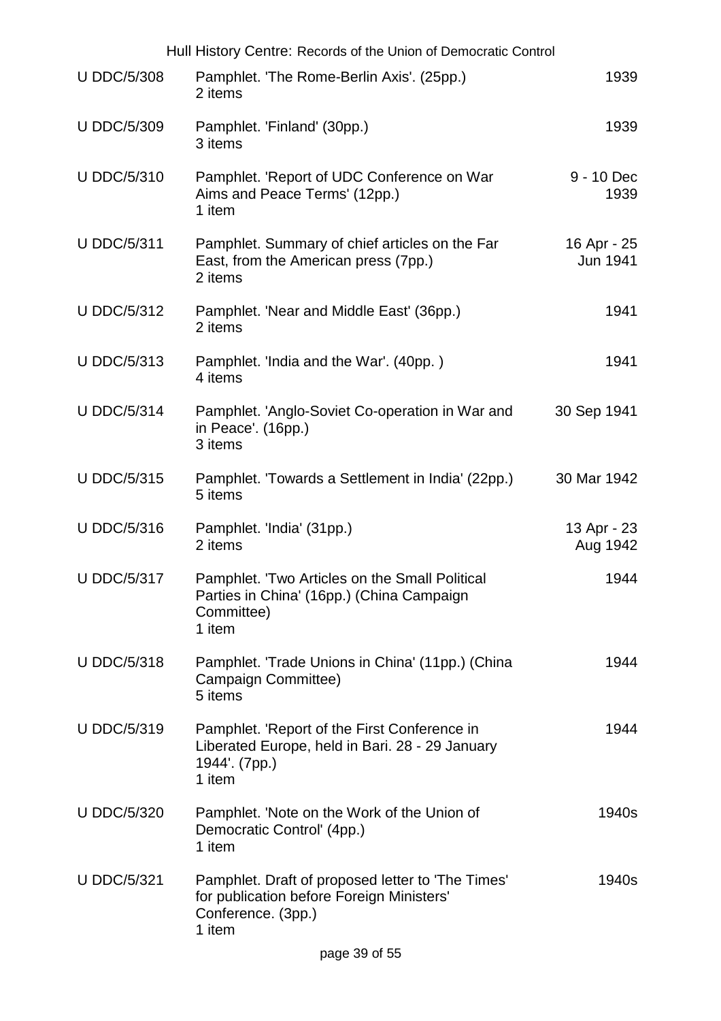| Hull History Centre: Records of the Union of Democratic Control |                                                                                                                                |                         |  |
|-----------------------------------------------------------------|--------------------------------------------------------------------------------------------------------------------------------|-------------------------|--|
| <b>U DDC/5/308</b>                                              | Pamphlet. 'The Rome-Berlin Axis'. (25pp.)<br>2 items                                                                           | 1939                    |  |
| <b>U DDC/5/309</b>                                              | Pamphlet. 'Finland' (30pp.)<br>3 items                                                                                         | 1939                    |  |
| <b>U DDC/5/310</b>                                              | Pamphlet. 'Report of UDC Conference on War<br>Aims and Peace Terms' (12pp.)<br>1 item                                          | 9 - 10 Dec<br>1939      |  |
| <b>U DDC/5/311</b>                                              | Pamphlet. Summary of chief articles on the Far<br>East, from the American press (7pp.)<br>2 items                              | 16 Apr - 25<br>Jun 1941 |  |
| <b>U DDC/5/312</b>                                              | Pamphlet. 'Near and Middle East' (36pp.)<br>2 items                                                                            | 1941                    |  |
| <b>U DDC/5/313</b>                                              | Pamphlet. 'India and the War'. (40pp.)<br>4 items                                                                              | 1941                    |  |
| <b>U DDC/5/314</b>                                              | Pamphlet. 'Anglo-Soviet Co-operation in War and<br>in Peace'. (16pp.)<br>3 items                                               | 30 Sep 1941             |  |
| <b>U DDC/5/315</b>                                              | Pamphlet. 'Towards a Settlement in India' (22pp.)<br>5 items                                                                   | 30 Mar 1942             |  |
| <b>U DDC/5/316</b>                                              | Pamphlet. 'India' (31pp.)<br>2 items                                                                                           | 13 Apr - 23<br>Aug 1942 |  |
| <b>U DDC/5/317</b>                                              | Pamphlet. 'Two Articles on the Small Political<br>Parties in China' (16pp.) (China Campaign<br>Committee)<br>1 item            | 1944                    |  |
| <b>U DDC/5/318</b>                                              | Pamphlet. 'Trade Unions in China' (11pp.) (China<br>Campaign Committee)<br>5 items                                             | 1944                    |  |
| <b>U DDC/5/319</b>                                              | Pamphlet. 'Report of the First Conference in<br>Liberated Europe, held in Bari. 28 - 29 January<br>1944'. (7pp.)<br>1 item     | 1944                    |  |
| <b>U DDC/5/320</b>                                              | Pamphlet. 'Note on the Work of the Union of<br>Democratic Control' (4pp.)<br>1 item                                            | 1940s                   |  |
| <b>U DDC/5/321</b>                                              | Pamphlet. Draft of proposed letter to 'The Times'<br>for publication before Foreign Ministers'<br>Conference. (3pp.)<br>1 item | 1940s                   |  |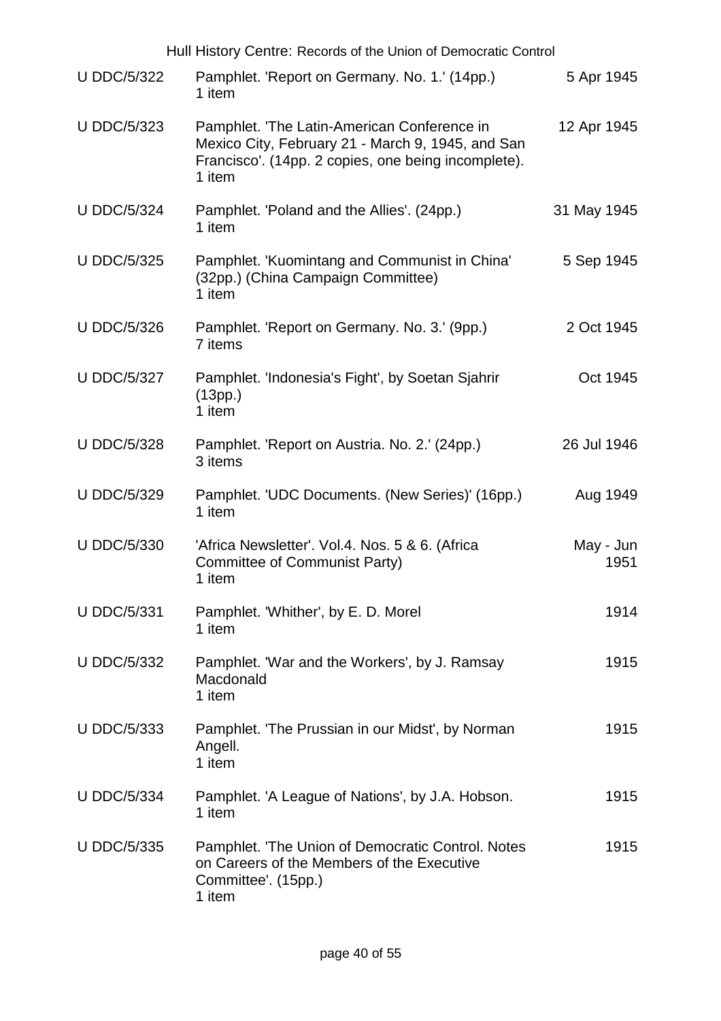| Hull History Centre: Records of the Union of Democratic Control |                                                                                                                                                                   |                   |
|-----------------------------------------------------------------|-------------------------------------------------------------------------------------------------------------------------------------------------------------------|-------------------|
| <b>U DDC/5/322</b>                                              | Pamphlet. 'Report on Germany. No. 1.' (14pp.)<br>1 item                                                                                                           | 5 Apr 1945        |
| <b>U DDC/5/323</b>                                              | Pamphlet. 'The Latin-American Conference in<br>Mexico City, February 21 - March 9, 1945, and San<br>Francisco'. (14pp. 2 copies, one being incomplete).<br>1 item | 12 Apr 1945       |
| <b>U DDC/5/324</b>                                              | Pamphlet. 'Poland and the Allies'. (24pp.)<br>1 item                                                                                                              | 31 May 1945       |
| <b>U DDC/5/325</b>                                              | Pamphlet. 'Kuomintang and Communist in China'<br>(32pp.) (China Campaign Committee)<br>1 item                                                                     | 5 Sep 1945        |
| <b>U DDC/5/326</b>                                              | Pamphlet. 'Report on Germany. No. 3.' (9pp.)<br>7 items                                                                                                           | 2 Oct 1945        |
| <b>U DDC/5/327</b>                                              | Pamphlet. 'Indonesia's Fight', by Soetan Sjahrir<br>(13pp.)<br>1 item                                                                                             | Oct 1945          |
| <b>U DDC/5/328</b>                                              | Pamphlet. 'Report on Austria. No. 2.' (24pp.)<br>3 items                                                                                                          | 26 Jul 1946       |
| <b>U DDC/5/329</b>                                              | Pamphlet. 'UDC Documents. (New Series)' (16pp.)<br>1 item                                                                                                         | Aug 1949          |
| <b>U DDC/5/330</b>                                              | 'Africa Newsletter'. Vol.4. Nos. 5 & 6. (Africa<br>Committee of Communist Party)<br>1 item                                                                        | May - Jun<br>1951 |
| <b>U DDC/5/331</b>                                              | Pamphlet. 'Whither', by E. D. Morel<br>1 item                                                                                                                     | 1914              |
| <b>U DDC/5/332</b>                                              | Pamphlet. 'War and the Workers', by J. Ramsay<br>Macdonald<br>1 item                                                                                              | 1915              |
| <b>U DDC/5/333</b>                                              | Pamphlet. 'The Prussian in our Midst', by Norman<br>Angell.<br>1 item                                                                                             | 1915              |
| <b>U DDC/5/334</b>                                              | Pamphlet. 'A League of Nations', by J.A. Hobson.<br>1 item                                                                                                        | 1915              |
| <b>U DDC/5/335</b>                                              | Pamphlet. 'The Union of Democratic Control. Notes<br>on Careers of the Members of the Executive<br>Committee'. (15pp.)<br>1 item                                  | 1915              |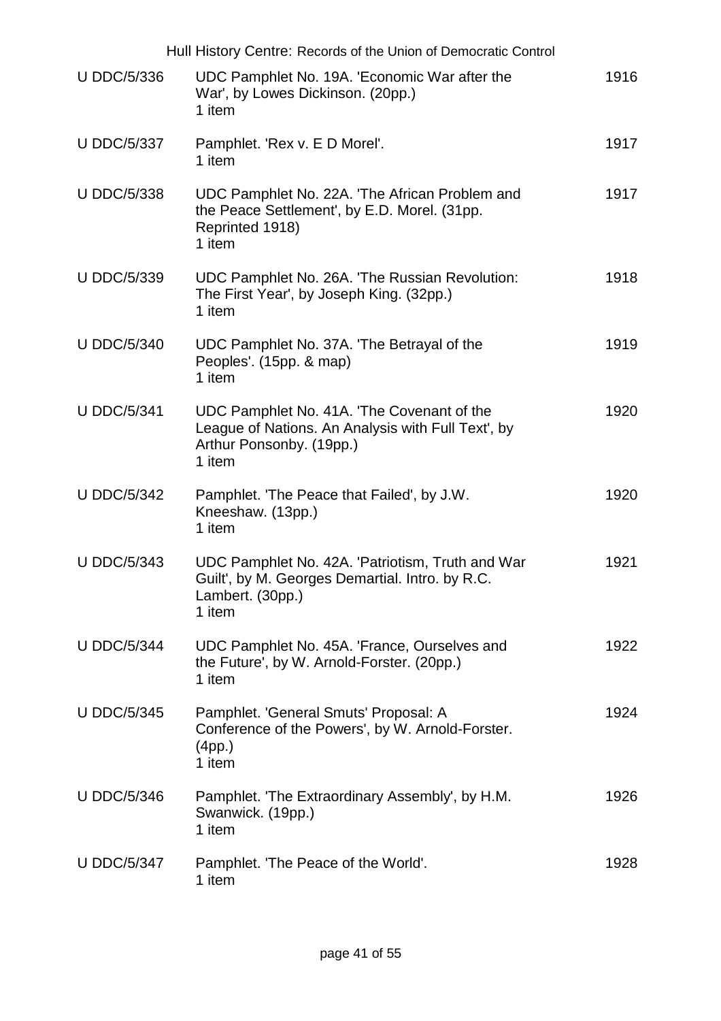|                    | Hull History Centre: Records of the Union of Democratic Control                                                                       |      |
|--------------------|---------------------------------------------------------------------------------------------------------------------------------------|------|
| <b>U DDC/5/336</b> | UDC Pamphlet No. 19A. 'Economic War after the<br>War', by Lowes Dickinson. (20pp.)<br>1 item                                          | 1916 |
| <b>U DDC/5/337</b> | Pamphlet. 'Rex v. E D Morel'.<br>1 item                                                                                               | 1917 |
| <b>U DDC/5/338</b> | UDC Pamphlet No. 22A. 'The African Problem and<br>the Peace Settlement', by E.D. Morel. (31pp.<br>Reprinted 1918)<br>1 item           | 1917 |
| <b>U DDC/5/339</b> | UDC Pamphlet No. 26A. 'The Russian Revolution:<br>The First Year', by Joseph King. (32pp.)<br>1 item                                  | 1918 |
| <b>U DDC/5/340</b> | UDC Pamphlet No. 37A. The Betrayal of the<br>Peoples'. (15pp. & map)<br>1 item                                                        | 1919 |
| <b>U DDC/5/341</b> | UDC Pamphlet No. 41A. The Covenant of the<br>League of Nations. An Analysis with Full Text', by<br>Arthur Ponsonby. (19pp.)<br>1 item | 1920 |
| <b>U DDC/5/342</b> | Pamphlet. 'The Peace that Failed', by J.W.<br>Kneeshaw. (13pp.)<br>1 item                                                             | 1920 |
| <b>U DDC/5/343</b> | UDC Pamphlet No. 42A. 'Patriotism, Truth and War<br>Guilt', by M. Georges Demartial. Intro. by R.C.<br>Lambert. (30pp.)<br>1 item     | 1921 |
| <b>U DDC/5/344</b> | UDC Pamphlet No. 45A. 'France, Ourselves and<br>the Future', by W. Arnold-Forster. (20pp.)<br>1 item                                  | 1922 |
| <b>U DDC/5/345</b> | Pamphlet. 'General Smuts' Proposal: A<br>Conference of the Powers', by W. Arnold-Forster.<br>(4pp.)<br>1 item                         | 1924 |
| <b>U DDC/5/346</b> | Pamphlet. 'The Extraordinary Assembly', by H.M.<br>Swanwick. (19pp.)<br>1 item                                                        | 1926 |
| <b>U DDC/5/347</b> | Pamphlet. 'The Peace of the World'.<br>1 item                                                                                         | 1928 |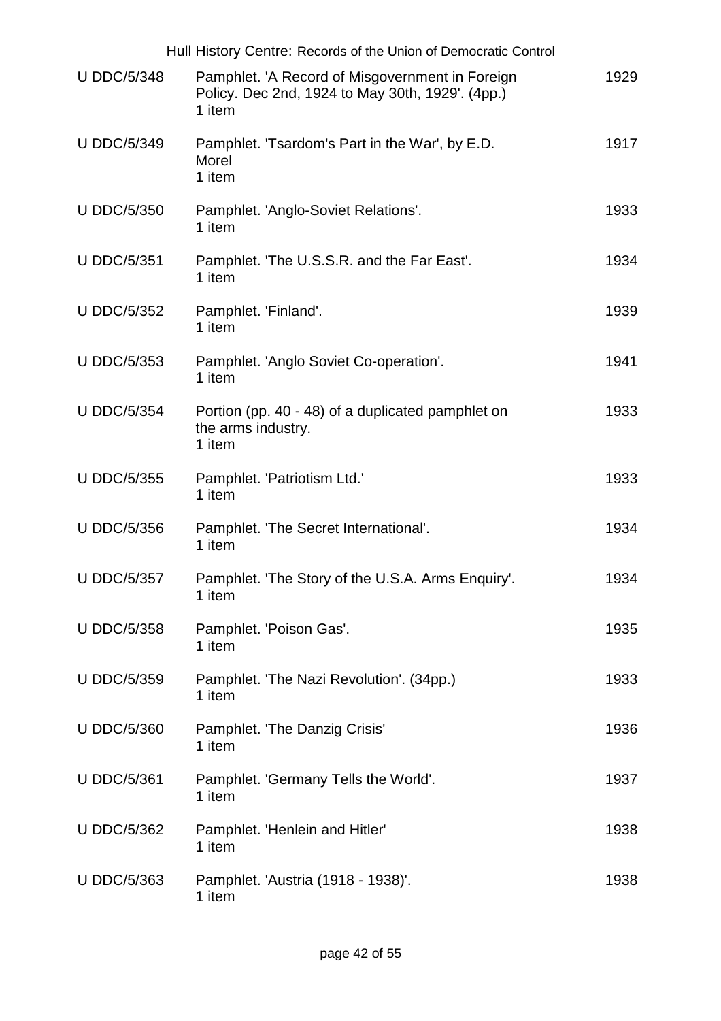|                    | Hull History Centre: Records of the Union of Democratic Control                                               |      |
|--------------------|---------------------------------------------------------------------------------------------------------------|------|
| <b>U DDC/5/348</b> | Pamphlet. 'A Record of Misgovernment in Foreign<br>Policy. Dec 2nd, 1924 to May 30th, 1929'. (4pp.)<br>1 item | 1929 |
| <b>U DDC/5/349</b> | Pamphlet. 'Tsardom's Part in the War', by E.D.<br>Morel<br>1 item                                             | 1917 |
| <b>U DDC/5/350</b> | Pamphlet. 'Anglo-Soviet Relations'.<br>1 item                                                                 | 1933 |
| <b>U DDC/5/351</b> | Pamphlet. 'The U.S.S.R. and the Far East'.<br>1 item                                                          | 1934 |
| <b>U DDC/5/352</b> | Pamphlet. 'Finland'.<br>1 item                                                                                | 1939 |
| <b>U DDC/5/353</b> | Pamphlet. 'Anglo Soviet Co-operation'.<br>1 item                                                              | 1941 |
| <b>U DDC/5/354</b> | Portion (pp. 40 - 48) of a duplicated pamphlet on<br>the arms industry.<br>1 item                             | 1933 |
| <b>U DDC/5/355</b> | Pamphlet. 'Patriotism Ltd.'<br>1 item                                                                         | 1933 |
| <b>U DDC/5/356</b> | Pamphlet. 'The Secret International'.<br>1 item                                                               | 1934 |
| <b>U DDC/5/357</b> | Pamphlet. 'The Story of the U.S.A. Arms Enquiry'.<br>1 item                                                   | 1934 |
| <b>U DDC/5/358</b> | Pamphlet. 'Poison Gas'.<br>1 item                                                                             | 1935 |
| <b>U DDC/5/359</b> | Pamphlet. 'The Nazi Revolution'. (34pp.)<br>1 item                                                            | 1933 |
| <b>U DDC/5/360</b> | Pamphlet. 'The Danzig Crisis'<br>1 item                                                                       | 1936 |
| <b>U DDC/5/361</b> | Pamphlet. 'Germany Tells the World'.<br>1 item                                                                | 1937 |
| <b>U DDC/5/362</b> | Pamphlet. 'Henlein and Hitler'<br>1 item                                                                      | 1938 |
| U DDC/5/363        | Pamphlet. 'Austria (1918 - 1938)'.<br>1 item                                                                  | 1938 |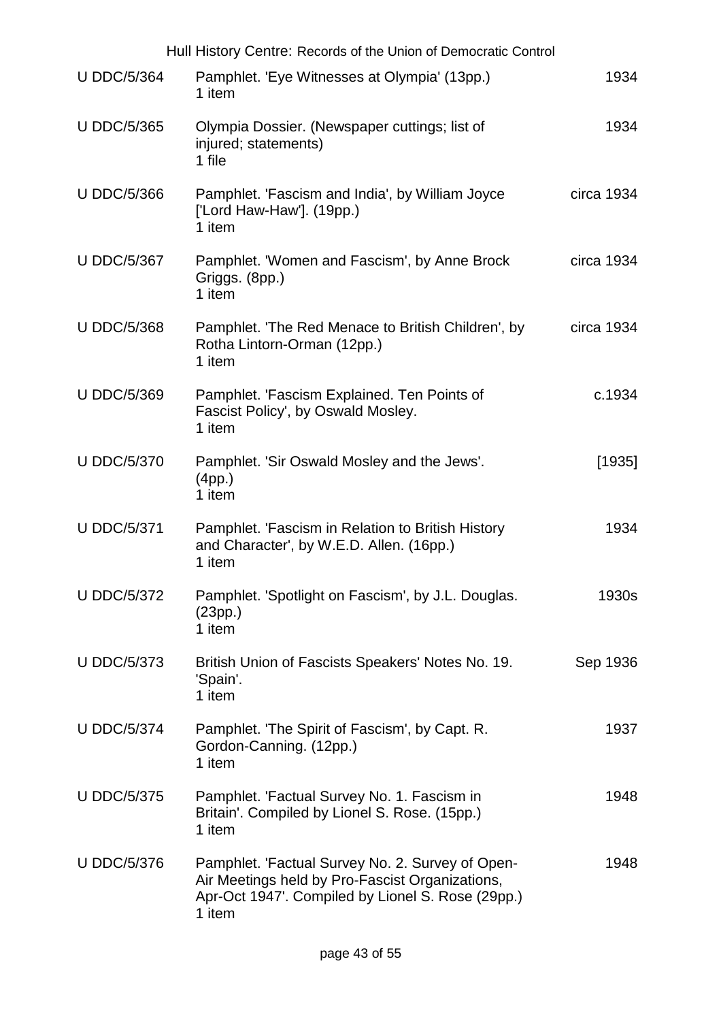|                    | Hull History Centre: Records of the Union of Democratic Control                                                                                                    |            |
|--------------------|--------------------------------------------------------------------------------------------------------------------------------------------------------------------|------------|
| <b>U DDC/5/364</b> | Pamphlet. 'Eye Witnesses at Olympia' (13pp.)<br>1 item                                                                                                             | 1934       |
| <b>U DDC/5/365</b> | Olympia Dossier. (Newspaper cuttings; list of<br>injured; statements)<br>1 file                                                                                    | 1934       |
| <b>U DDC/5/366</b> | Pamphlet. 'Fascism and India', by William Joyce<br>['Lord Haw-Haw']. $(19pp.)$<br>1 item                                                                           | circa 1934 |
| <b>U DDC/5/367</b> | Pamphlet. 'Women and Fascism', by Anne Brock<br>Griggs. (8pp.)<br>1 item                                                                                           | circa 1934 |
| <b>U DDC/5/368</b> | Pamphlet. 'The Red Menace to British Children', by<br>Rotha Lintorn-Orman (12pp.)<br>1 item                                                                        | circa 1934 |
| <b>U DDC/5/369</b> | Pamphlet. 'Fascism Explained. Ten Points of<br>Fascist Policy', by Oswald Mosley.<br>1 item                                                                        | c.1934     |
| <b>U DDC/5/370</b> | Pamphlet. 'Sir Oswald Mosley and the Jews'.<br>(4pp.)<br>1 item                                                                                                    | [1935]     |
| <b>U DDC/5/371</b> | Pamphlet. 'Fascism in Relation to British History<br>and Character', by W.E.D. Allen. (16pp.)<br>1 item                                                            | 1934       |
| <b>U DDC/5/372</b> | Pamphlet. 'Spotlight on Fascism', by J.L. Douglas.<br>(23pp.)<br>1 item                                                                                            | 1930s      |
| <b>U DDC/5/373</b> | British Union of Fascists Speakers' Notes No. 19.<br>'Spain'.<br>1 item                                                                                            | Sep 1936   |
| <b>U DDC/5/374</b> | Pamphlet. 'The Spirit of Fascism', by Capt. R.<br>Gordon-Canning. (12pp.)<br>1 item                                                                                | 1937       |
| <b>U DDC/5/375</b> | Pamphlet. 'Factual Survey No. 1. Fascism in<br>Britain'. Compiled by Lionel S. Rose. (15pp.)<br>1 item                                                             | 1948       |
| <b>U DDC/5/376</b> | Pamphlet. 'Factual Survey No. 2. Survey of Open-<br>Air Meetings held by Pro-Fascist Organizations,<br>Apr-Oct 1947'. Compiled by Lionel S. Rose (29pp.)<br>1 item | 1948       |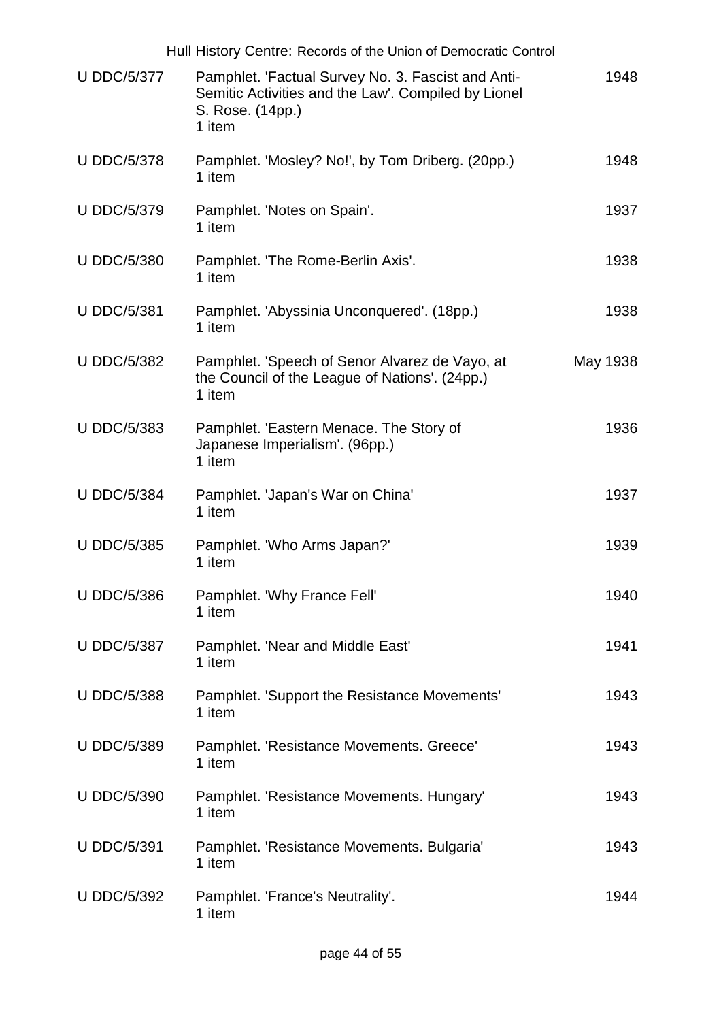|                    | Hull History Centre: Records of the Union of Democratic Control                                                                         |          |
|--------------------|-----------------------------------------------------------------------------------------------------------------------------------------|----------|
| <b>U DDC/5/377</b> | Pamphlet. 'Factual Survey No. 3. Fascist and Anti-<br>Semitic Activities and the Law'. Compiled by Lionel<br>S. Rose. (14pp.)<br>1 item | 1948     |
| <b>U DDC/5/378</b> | Pamphlet. 'Mosley? No!', by Tom Driberg. (20pp.)<br>1 item                                                                              | 1948     |
| <b>U DDC/5/379</b> | Pamphlet. 'Notes on Spain'.<br>1 item                                                                                                   | 1937     |
| <b>U DDC/5/380</b> | Pamphlet. 'The Rome-Berlin Axis'.<br>1 item                                                                                             | 1938     |
| <b>U DDC/5/381</b> | Pamphlet. 'Abyssinia Unconquered'. (18pp.)<br>1 item                                                                                    | 1938     |
| <b>U DDC/5/382</b> | Pamphlet. 'Speech of Senor Alvarez de Vayo, at<br>the Council of the League of Nations'. (24pp.)<br>1 item                              | May 1938 |
| <b>U DDC/5/383</b> | Pamphlet. 'Eastern Menace. The Story of<br>Japanese Imperialism'. (96pp.)<br>1 item                                                     | 1936     |
| <b>U DDC/5/384</b> | Pamphlet. 'Japan's War on China'<br>1 item                                                                                              | 1937     |
| <b>U DDC/5/385</b> | Pamphlet. 'Who Arms Japan?'<br>1 item                                                                                                   | 1939     |
| <b>U DDC/5/386</b> | Pamphlet. 'Why France Fell'<br>1 item                                                                                                   | 1940     |
| <b>U DDC/5/387</b> | Pamphlet. 'Near and Middle East'<br>1 item                                                                                              | 1941     |
| <b>U DDC/5/388</b> | Pamphlet. 'Support the Resistance Movements'<br>1 item                                                                                  | 1943     |
| <b>U DDC/5/389</b> | Pamphlet. 'Resistance Movements. Greece'<br>1 item                                                                                      | 1943     |
| <b>U DDC/5/390</b> | Pamphlet. 'Resistance Movements. Hungary'<br>1 item                                                                                     | 1943     |
| <b>U DDC/5/391</b> | Pamphlet. 'Resistance Movements. Bulgaria'<br>1 item                                                                                    | 1943     |
| <b>U DDC/5/392</b> | Pamphlet. 'France's Neutrality'.<br>1 item                                                                                              | 1944     |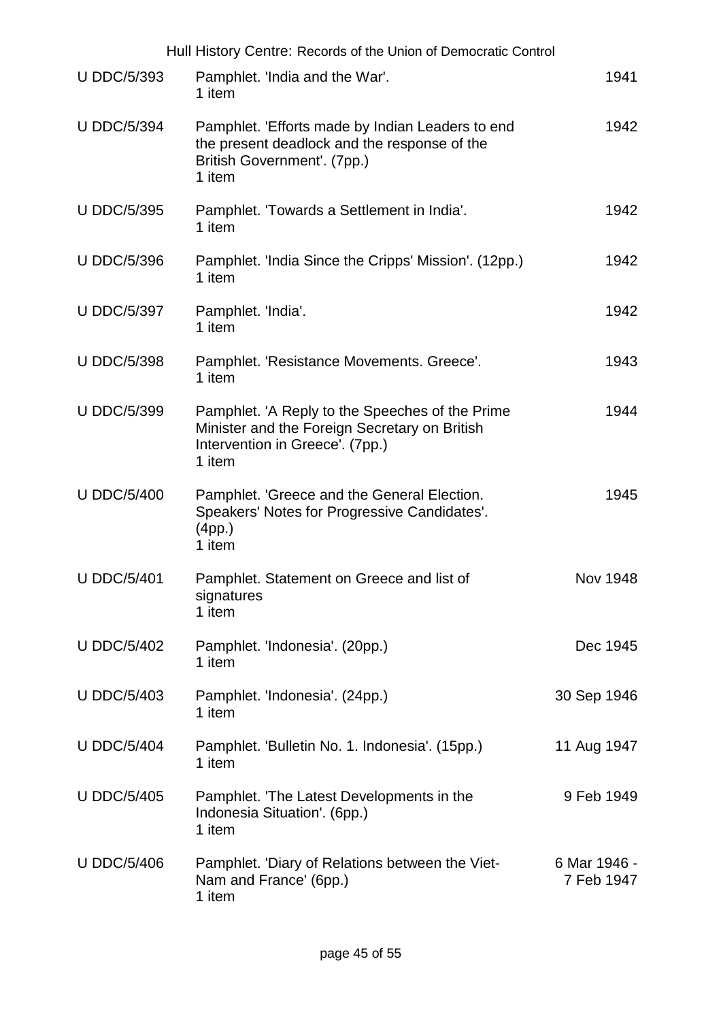|                    | Hull History Centre: Records of the Union of Democratic Control                                                                               |                            |
|--------------------|-----------------------------------------------------------------------------------------------------------------------------------------------|----------------------------|
| <b>U DDC/5/393</b> | Pamphlet. 'India and the War'.<br>1 item                                                                                                      | 1941                       |
| <b>U DDC/5/394</b> | Pamphlet. 'Efforts made by Indian Leaders to end<br>the present deadlock and the response of the<br>British Government'. (7pp.)<br>1 item     | 1942                       |
| <b>U DDC/5/395</b> | Pamphlet. 'Towards a Settlement in India'.<br>1 item                                                                                          | 1942                       |
| <b>U DDC/5/396</b> | Pamphlet. 'India Since the Cripps' Mission'. (12pp.)<br>1 item                                                                                | 1942                       |
| <b>U DDC/5/397</b> | Pamphlet. 'India'.<br>1 item                                                                                                                  | 1942                       |
| <b>U DDC/5/398</b> | Pamphlet. 'Resistance Movements. Greece'.<br>1 item                                                                                           | 1943                       |
| <b>U DDC/5/399</b> | Pamphlet. 'A Reply to the Speeches of the Prime<br>Minister and the Foreign Secretary on British<br>Intervention in Greece'. (7pp.)<br>1 item | 1944                       |
| <b>U DDC/5/400</b> | Pamphlet. 'Greece and the General Election.<br>Speakers' Notes for Progressive Candidates'.<br>(4pp.)<br>1 item                               | 1945                       |
| <b>U DDC/5/401</b> | Pamphlet. Statement on Greece and list of<br>signatures<br>1 item                                                                             | <b>Nov 1948</b>            |
| <b>U DDC/5/402</b> | Pamphlet. 'Indonesia'. (20pp.)<br>1 item                                                                                                      | Dec 1945                   |
| <b>U DDC/5/403</b> | Pamphlet. 'Indonesia'. (24pp.)<br>1 item                                                                                                      | 30 Sep 1946                |
| <b>U DDC/5/404</b> | Pamphlet. 'Bulletin No. 1. Indonesia'. (15pp.)<br>1 item                                                                                      | 11 Aug 1947                |
| <b>U DDC/5/405</b> | Pamphlet. 'The Latest Developments in the<br>Indonesia Situation'. (6pp.)<br>1 item                                                           | 9 Feb 1949                 |
| <b>U DDC/5/406</b> | Pamphlet. 'Diary of Relations between the Viet-<br>Nam and France' (6pp.)<br>1 item                                                           | 6 Mar 1946 -<br>7 Feb 1947 |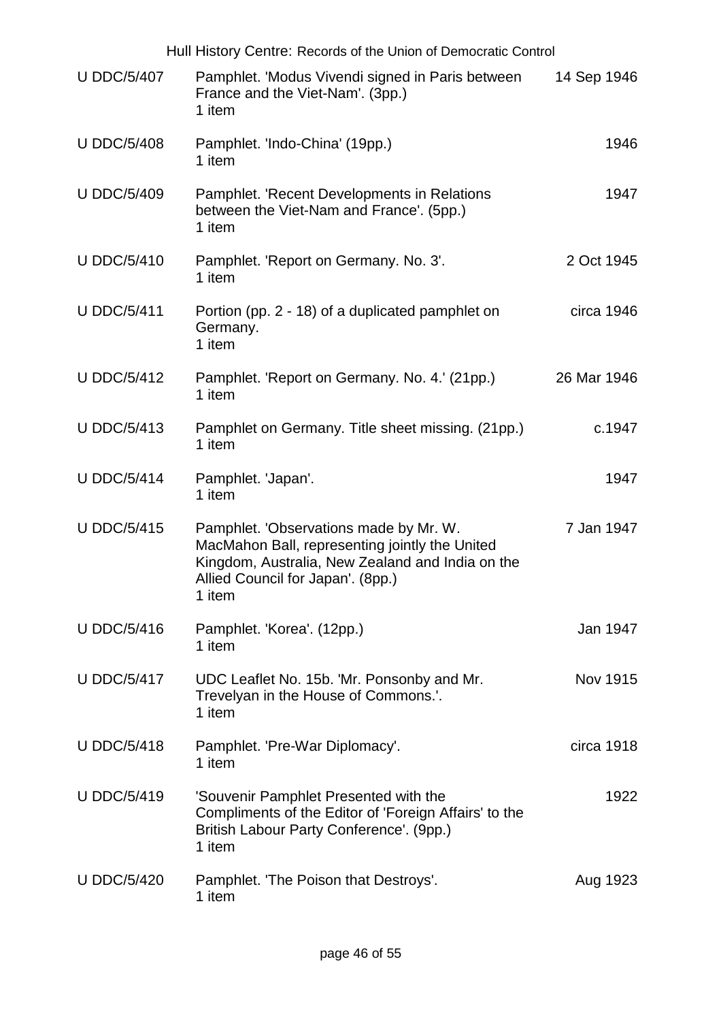| Hull History Centre: Records of the Union of Democratic Control |                                                                                                                                                                                             |             |  |
|-----------------------------------------------------------------|---------------------------------------------------------------------------------------------------------------------------------------------------------------------------------------------|-------------|--|
| <b>U DDC/5/407</b>                                              | Pamphlet. 'Modus Vivendi signed in Paris between<br>France and the Viet-Nam'. (3pp.)<br>1 item                                                                                              | 14 Sep 1946 |  |
| <b>U DDC/5/408</b>                                              | Pamphlet. 'Indo-China' (19pp.)<br>1 item                                                                                                                                                    | 1946        |  |
| <b>U DDC/5/409</b>                                              | Pamphlet. 'Recent Developments in Relations<br>between the Viet-Nam and France'. (5pp.)<br>1 item                                                                                           | 1947        |  |
| <b>U DDC/5/410</b>                                              | Pamphlet. 'Report on Germany. No. 3'.<br>1 item                                                                                                                                             | 2 Oct 1945  |  |
| <b>U DDC/5/411</b>                                              | Portion (pp. 2 - 18) of a duplicated pamphlet on<br>Germany.<br>1 item                                                                                                                      | circa 1946  |  |
| <b>U DDC/5/412</b>                                              | Pamphlet. 'Report on Germany. No. 4.' (21pp.)<br>1 item                                                                                                                                     | 26 Mar 1946 |  |
| <b>U DDC/5/413</b>                                              | Pamphlet on Germany. Title sheet missing. (21pp.)<br>1 item                                                                                                                                 | c.1947      |  |
| <b>U DDC/5/414</b>                                              | Pamphlet. 'Japan'.<br>1 item                                                                                                                                                                | 1947        |  |
| <b>U DDC/5/415</b>                                              | Pamphlet. 'Observations made by Mr. W.<br>MacMahon Ball, representing jointly the United<br>Kingdom, Australia, New Zealand and India on the<br>Allied Council for Japan'. (8pp.)<br>1 item | 7 Jan 1947  |  |
| <b>U DDC/5/416</b>                                              | Pamphlet. 'Korea'. (12pp.)<br>1 item                                                                                                                                                        | Jan 1947    |  |
| <b>U DDC/5/417</b>                                              | UDC Leaflet No. 15b. 'Mr. Ponsonby and Mr.<br>Trevelyan in the House of Commons.'.<br>1 item                                                                                                | Nov 1915    |  |
| <b>U DDC/5/418</b>                                              | Pamphlet. 'Pre-War Diplomacy'.<br>1 item                                                                                                                                                    | circa 1918  |  |
| <b>U DDC/5/419</b>                                              | 'Souvenir Pamphlet Presented with the<br>Compliments of the Editor of 'Foreign Affairs' to the<br>British Labour Party Conference'. (9pp.)<br>1 item                                        | 1922        |  |
| <b>U DDC/5/420</b>                                              | Pamphlet. 'The Poison that Destroys'.<br>1 item                                                                                                                                             | Aug 1923    |  |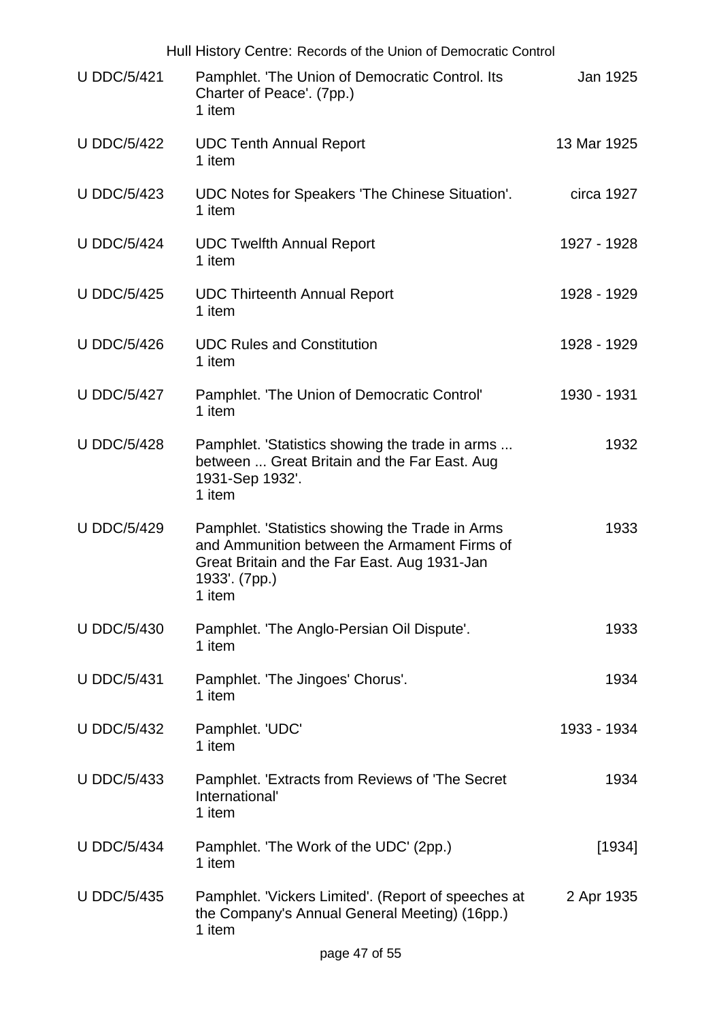| Hull History Centre: Records of the Union of Democratic Control |                                                                                                                                                                            |             |  |
|-----------------------------------------------------------------|----------------------------------------------------------------------------------------------------------------------------------------------------------------------------|-------------|--|
| <b>U DDC/5/421</b>                                              | Pamphlet. 'The Union of Democratic Control. Its<br>Charter of Peace'. (7pp.)<br>1 item                                                                                     | Jan 1925    |  |
| <b>U DDC/5/422</b>                                              | <b>UDC Tenth Annual Report</b><br>1 item                                                                                                                                   | 13 Mar 1925 |  |
| <b>U DDC/5/423</b>                                              | UDC Notes for Speakers 'The Chinese Situation'.<br>1 item                                                                                                                  | circa 1927  |  |
| <b>U DDC/5/424</b>                                              | <b>UDC Twelfth Annual Report</b><br>1 item                                                                                                                                 | 1927 - 1928 |  |
| <b>U DDC/5/425</b>                                              | <b>UDC Thirteenth Annual Report</b><br>1 item                                                                                                                              | 1928 - 1929 |  |
| <b>U DDC/5/426</b>                                              | <b>UDC Rules and Constitution</b><br>1 item                                                                                                                                | 1928 - 1929 |  |
| <b>U DDC/5/427</b>                                              | Pamphlet. 'The Union of Democratic Control'<br>1 item                                                                                                                      | 1930 - 1931 |  |
| <b>U DDC/5/428</b>                                              | Pamphlet. 'Statistics showing the trade in arms<br>between  Great Britain and the Far East. Aug<br>1931-Sep 1932'.<br>1 item                                               | 1932        |  |
| <b>U DDC/5/429</b>                                              | Pamphlet. 'Statistics showing the Trade in Arms<br>and Ammunition between the Armament Firms of<br>Great Britain and the Far East. Aug 1931-Jan<br>1933'. (7pp.)<br>1 item | 1933        |  |
| <b>U DDC/5/430</b>                                              | Pamphlet. 'The Anglo-Persian Oil Dispute'.<br>1 item                                                                                                                       | 1933        |  |
| <b>U DDC/5/431</b>                                              | Pamphlet. 'The Jingoes' Chorus'.<br>1 item                                                                                                                                 | 1934        |  |
| <b>U DDC/5/432</b>                                              | Pamphlet. 'UDC'<br>1 item                                                                                                                                                  | 1933 - 1934 |  |
| <b>U DDC/5/433</b>                                              | Pamphlet. 'Extracts from Reviews of 'The Secret<br>International'<br>1 item                                                                                                | 1934        |  |
| <b>U DDC/5/434</b>                                              | Pamphlet. 'The Work of the UDC' (2pp.)<br>1 item                                                                                                                           | [1934]      |  |
| <b>U DDC/5/435</b>                                              | Pamphlet. 'Vickers Limited'. (Report of speeches at<br>the Company's Annual General Meeting) (16pp.)<br>1 item                                                             | 2 Apr 1935  |  |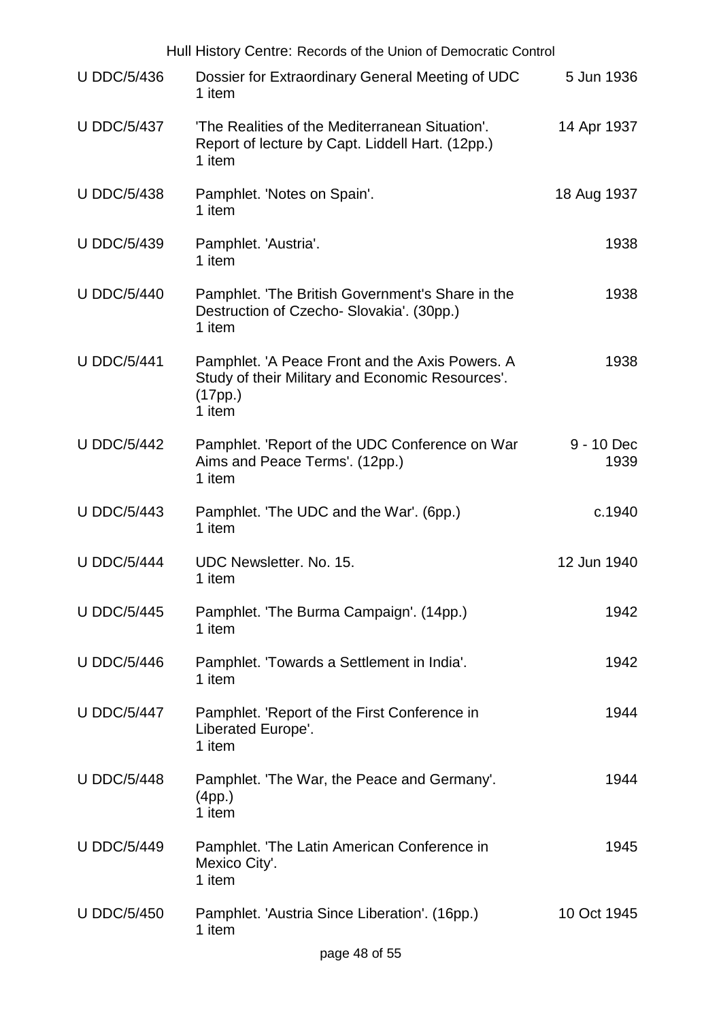| Hull History Centre: Records of the Union of Democratic Control |                                                                                                                          |                    |  |
|-----------------------------------------------------------------|--------------------------------------------------------------------------------------------------------------------------|--------------------|--|
| <b>U DDC/5/436</b>                                              | Dossier for Extraordinary General Meeting of UDC<br>1 item                                                               | 5 Jun 1936         |  |
| <b>U DDC/5/437</b>                                              | 'The Realities of the Mediterranean Situation'.<br>Report of lecture by Capt. Liddell Hart. (12pp.)<br>1 item            | 14 Apr 1937        |  |
| <b>U DDC/5/438</b>                                              | Pamphlet. 'Notes on Spain'.<br>1 item                                                                                    | 18 Aug 1937        |  |
| <b>U DDC/5/439</b>                                              | Pamphlet. 'Austria'.<br>1 item                                                                                           | 1938               |  |
| <b>U DDC/5/440</b>                                              | Pamphlet. 'The British Government's Share in the<br>Destruction of Czecho- Slovakia'. (30pp.)<br>1 item                  | 1938               |  |
| <b>U DDC/5/441</b>                                              | Pamphlet. 'A Peace Front and the Axis Powers. A<br>Study of their Military and Economic Resources'.<br>(17pp.)<br>1 item | 1938               |  |
| <b>U DDC/5/442</b>                                              | Pamphlet. 'Report of the UDC Conference on War<br>Aims and Peace Terms'. (12pp.)<br>1 item                               | 9 - 10 Dec<br>1939 |  |
| <b>U DDC/5/443</b>                                              | Pamphlet. 'The UDC and the War'. (6pp.)<br>1 item                                                                        | c.1940             |  |
| <b>U DDC/5/444</b>                                              | UDC Newsletter. No. 15.<br>1 item                                                                                        | 12 Jun 1940        |  |
| <b>U DDC/5/445</b>                                              | Pamphlet. 'The Burma Campaign'. (14pp.)<br>1 item                                                                        | 1942               |  |
| <b>U DDC/5/446</b>                                              | Pamphlet. 'Towards a Settlement in India'.<br>1 item                                                                     | 1942               |  |
| <b>U DDC/5/447</b>                                              | Pamphlet. 'Report of the First Conference in<br>Liberated Europe'.<br>1 item                                             | 1944               |  |
| <b>U DDC/5/448</b>                                              | Pamphlet. 'The War, the Peace and Germany'.<br>(4pp.)<br>1 item                                                          | 1944               |  |
| <b>U DDC/5/449</b>                                              | Pamphlet. 'The Latin American Conference in<br>Mexico City'.<br>1 item                                                   | 1945               |  |
| <b>U DDC/5/450</b>                                              | Pamphlet. 'Austria Since Liberation'. (16pp.)<br>1 item                                                                  | 10 Oct 1945        |  |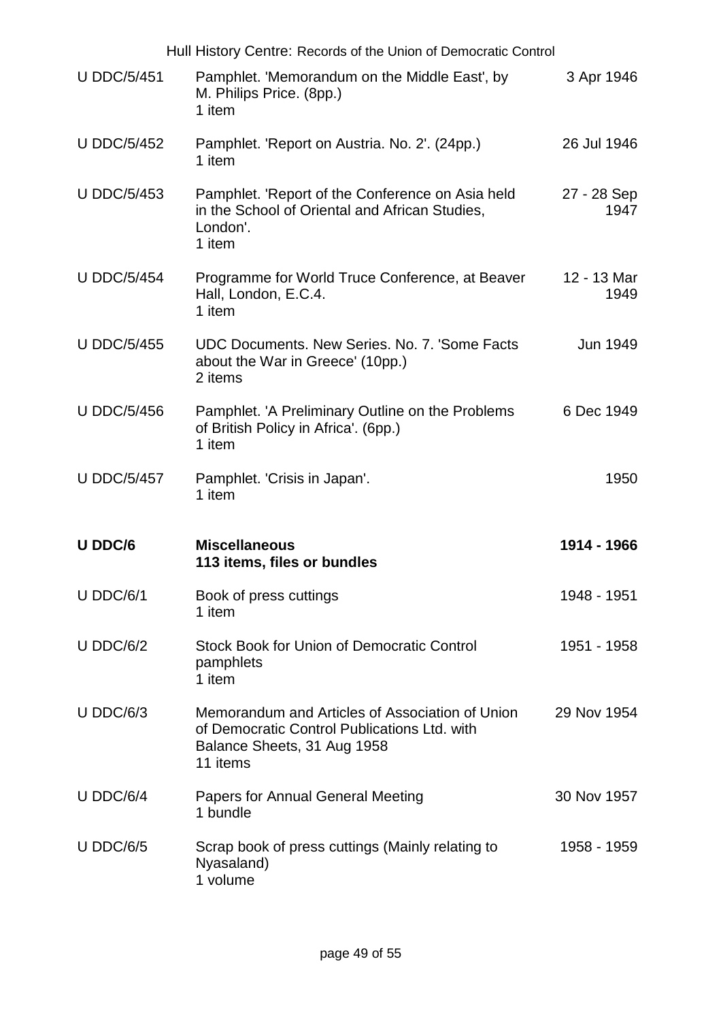|                    | Hull History Centre: Records of the Union of Democratic Control                                                                            |                     |
|--------------------|--------------------------------------------------------------------------------------------------------------------------------------------|---------------------|
| <b>U DDC/5/451</b> | Pamphlet. 'Memorandum on the Middle East', by<br>M. Philips Price. (8pp.)<br>1 item                                                        | 3 Apr 1946          |
| <b>U DDC/5/452</b> | Pamphlet. 'Report on Austria. No. 2'. (24pp.)<br>1 item                                                                                    | 26 Jul 1946         |
| <b>U DDC/5/453</b> | Pamphlet. 'Report of the Conference on Asia held<br>in the School of Oriental and African Studies,<br>London'.<br>1 item                   | 27 - 28 Sep<br>1947 |
| <b>U DDC/5/454</b> | Programme for World Truce Conference, at Beaver<br>Hall, London, E.C.4.<br>1 item                                                          | 12 - 13 Mar<br>1949 |
| <b>U DDC/5/455</b> | UDC Documents. New Series. No. 7. 'Some Facts<br>about the War in Greece' (10pp.)<br>2 items                                               | Jun 1949            |
| <b>U DDC/5/456</b> | Pamphlet. 'A Preliminary Outline on the Problems<br>of British Policy in Africa'. (6pp.)<br>1 item                                         | 6 Dec 1949          |
| <b>U DDC/5/457</b> | Pamphlet. 'Crisis in Japan'.<br>1 item                                                                                                     | 1950                |
| U DDC/6            | <b>Miscellaneous</b><br>113 items, files or bundles                                                                                        | 1914 - 1966         |
| $U$ DDC/6/1        | Book of press cuttings<br>1 item                                                                                                           | 1948 - 1951         |
| $U$ DDC/6/2        | Stock Book for Union of Democratic Control<br>pamphlets<br>1 item                                                                          | 1951 - 1958         |
| $U$ DDC/6/3        | Memorandum and Articles of Association of Union<br>of Democratic Control Publications Ltd. with<br>Balance Sheets, 31 Aug 1958<br>11 items | 29 Nov 1954         |
| $U$ DDC/6/4        | <b>Papers for Annual General Meeting</b><br>1 bundle                                                                                       | 30 Nov 1957         |
| $U$ DDC/6/5        | Scrap book of press cuttings (Mainly relating to<br>Nyasaland)<br>1 volume                                                                 | 1958 - 1959         |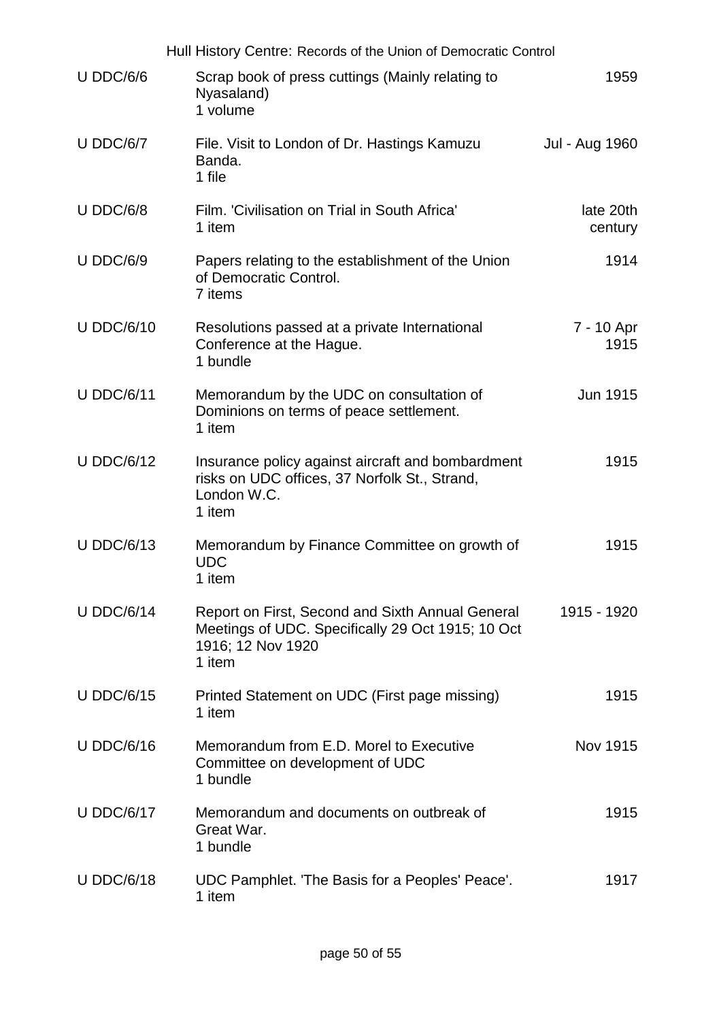|                   | Hull History Centre: Records of the Union of Democratic Control                                                                      |                      |
|-------------------|--------------------------------------------------------------------------------------------------------------------------------------|----------------------|
| $U$ DDC/6/6       | Scrap book of press cuttings (Mainly relating to<br>Nyasaland)<br>1 volume                                                           | 1959                 |
| $U$ DDC/6/7       | File. Visit to London of Dr. Hastings Kamuzu<br>Banda.<br>1 file                                                                     | Jul - Aug 1960       |
| $U$ DDC/6/8       | Film. 'Civilisation on Trial in South Africa'<br>1 item                                                                              | late 20th<br>century |
| <b>U DDC/6/9</b>  | Papers relating to the establishment of the Union<br>of Democratic Control.<br>7 items                                               | 1914                 |
| <b>U DDC/6/10</b> | Resolutions passed at a private International<br>Conference at the Hague.<br>1 bundle                                                | 7 - 10 Apr<br>1915   |
| <b>U DDC/6/11</b> | Memorandum by the UDC on consultation of<br>Dominions on terms of peace settlement.<br>1 item                                        | <b>Jun 1915</b>      |
| <b>U DDC/6/12</b> | Insurance policy against aircraft and bombardment<br>risks on UDC offices, 37 Norfolk St., Strand,<br>London W.C.<br>1 item          | 1915                 |
| <b>U DDC/6/13</b> | Memorandum by Finance Committee on growth of<br><b>UDC</b><br>1 item                                                                 | 1915                 |
| <b>U DDC/6/14</b> | Report on First, Second and Sixth Annual General<br>Meetings of UDC. Specifically 29 Oct 1915; 10 Oct<br>1916; 12 Nov 1920<br>1 item | 1915 - 1920          |
| <b>U DDC/6/15</b> | Printed Statement on UDC (First page missing)<br>1 item                                                                              | 1915                 |
| <b>U DDC/6/16</b> | Memorandum from E.D. Morel to Executive<br>Committee on development of UDC<br>1 bundle                                               | Nov 1915             |
| <b>U DDC/6/17</b> | Memorandum and documents on outbreak of<br>Great War.<br>1 bundle                                                                    | 1915                 |
| <b>U DDC/6/18</b> | UDC Pamphlet. 'The Basis for a Peoples' Peace'.<br>1 item                                                                            | 1917                 |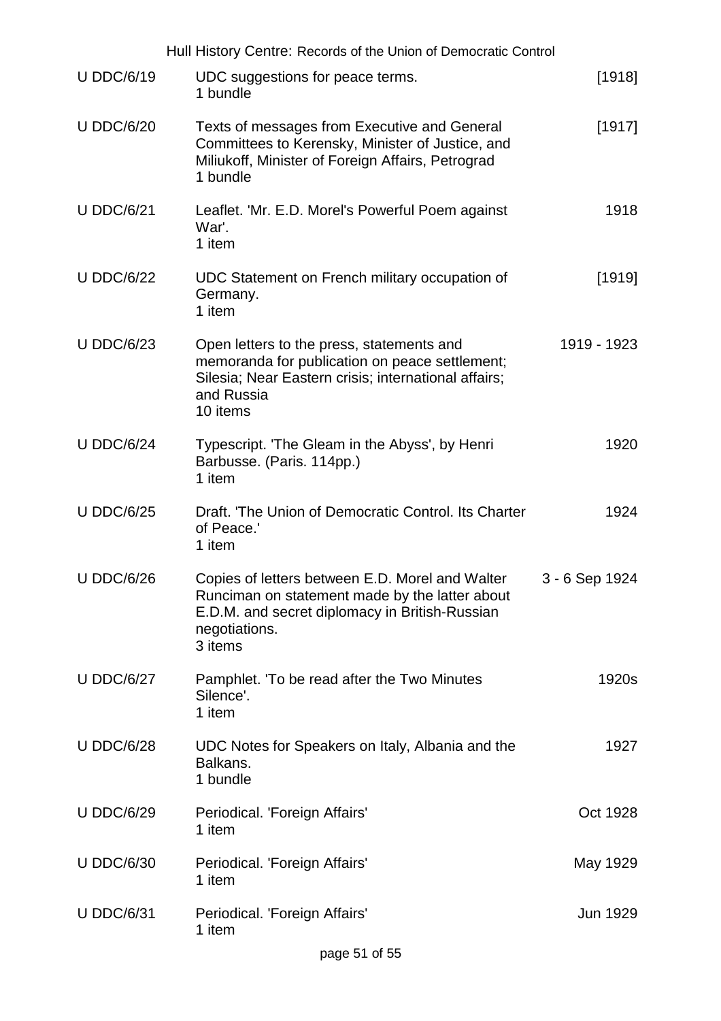|                   | Hull History Centre: Records of the Union of Democratic Control                                                                                                                 |                |
|-------------------|---------------------------------------------------------------------------------------------------------------------------------------------------------------------------------|----------------|
| <b>U DDC/6/19</b> | UDC suggestions for peace terms.<br>1 bundle                                                                                                                                    | [1918]         |
| <b>U DDC/6/20</b> | Texts of messages from Executive and General<br>Committees to Kerensky, Minister of Justice, and<br>Miliukoff, Minister of Foreign Affairs, Petrograd<br>1 bundle               | [1917]         |
| <b>U DDC/6/21</b> | Leaflet. 'Mr. E.D. Morel's Powerful Poem against<br>War'.<br>1 item                                                                                                             | 1918           |
| <b>U DDC/6/22</b> | UDC Statement on French military occupation of<br>Germany.<br>1 item                                                                                                            | [1919]         |
| <b>U DDC/6/23</b> | Open letters to the press, statements and<br>memoranda for publication on peace settlement;<br>Silesia; Near Eastern crisis; international affairs;<br>and Russia<br>10 items   | 1919 - 1923    |
| <b>U DDC/6/24</b> | Typescript. 'The Gleam in the Abyss', by Henri<br>Barbusse. (Paris. 114pp.)<br>1 item                                                                                           | 1920           |
| <b>U DDC/6/25</b> | Draft. 'The Union of Democratic Control. Its Charter<br>of Peace.'<br>1 item                                                                                                    | 1924           |
| <b>U DDC/6/26</b> | Copies of letters between E.D. Morel and Walter<br>Runciman on statement made by the latter about<br>E.D.M. and secret diplomacy in British-Russian<br>negotiations.<br>3 items | 3 - 6 Sep 1924 |
| <b>U DDC/6/27</b> | Pamphlet. 'To be read after the Two Minutes<br>Silence'.<br>1 item                                                                                                              | 1920s          |
| <b>U DDC/6/28</b> | UDC Notes for Speakers on Italy, Albania and the<br>Balkans.<br>1 bundle                                                                                                        | 1927           |
| <b>U DDC/6/29</b> | Periodical. 'Foreign Affairs'<br>1 item                                                                                                                                         | Oct 1928       |
| <b>U DDC/6/30</b> | Periodical. 'Foreign Affairs'<br>1 item                                                                                                                                         | May 1929       |
| <b>U DDC/6/31</b> | Periodical. 'Foreign Affairs'<br>1 item                                                                                                                                         | Jun 1929       |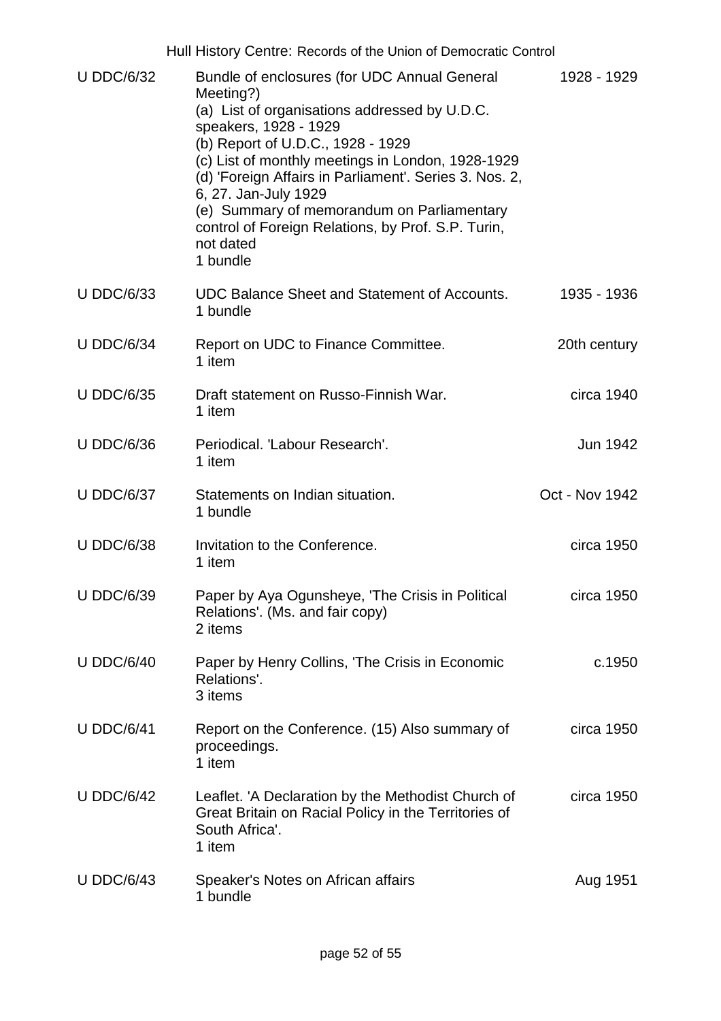|                   | Hull History Centre: Records of the Union of Democratic Control                                                                                                                                                                                                                                                                                                                                                                              |                |
|-------------------|----------------------------------------------------------------------------------------------------------------------------------------------------------------------------------------------------------------------------------------------------------------------------------------------------------------------------------------------------------------------------------------------------------------------------------------------|----------------|
| <b>U DDC/6/32</b> | Bundle of enclosures (for UDC Annual General<br>Meeting?)<br>(a) List of organisations addressed by U.D.C.<br>speakers, 1928 - 1929<br>(b) Report of U.D.C., 1928 - 1929<br>(c) List of monthly meetings in London, 1928-1929<br>(d) 'Foreign Affairs in Parliament'. Series 3. Nos. 2,<br>6, 27. Jan-July 1929<br>(e) Summary of memorandum on Parliamentary<br>control of Foreign Relations, by Prof. S.P. Turin,<br>not dated<br>1 bundle | 1928 - 1929    |
| <b>U DDC/6/33</b> | <b>UDC Balance Sheet and Statement of Accounts.</b><br>1 bundle                                                                                                                                                                                                                                                                                                                                                                              | 1935 - 1936    |
| <b>U DDC/6/34</b> | Report on UDC to Finance Committee.<br>1 item                                                                                                                                                                                                                                                                                                                                                                                                | 20th century   |
| <b>U DDC/6/35</b> | Draft statement on Russo-Finnish War.<br>1 item                                                                                                                                                                                                                                                                                                                                                                                              | circa 1940     |
| <b>U DDC/6/36</b> | Periodical. 'Labour Research'.<br>1 item                                                                                                                                                                                                                                                                                                                                                                                                     | Jun 1942       |
| <b>U DDC/6/37</b> | Statements on Indian situation.<br>1 bundle                                                                                                                                                                                                                                                                                                                                                                                                  | Oct - Nov 1942 |
| <b>U DDC/6/38</b> | Invitation to the Conference.<br>1 item                                                                                                                                                                                                                                                                                                                                                                                                      | circa 1950     |
| <b>U DDC/6/39</b> | Paper by Aya Ogunsheye, 'The Crisis in Political<br>Relations'. (Ms. and fair copy)<br>2 items                                                                                                                                                                                                                                                                                                                                               | circa 1950     |
| <b>U DDC/6/40</b> | Paper by Henry Collins, 'The Crisis in Economic<br>Relations'.<br>3 items                                                                                                                                                                                                                                                                                                                                                                    | c.1950         |
| <b>U DDC/6/41</b> | Report on the Conference. (15) Also summary of<br>proceedings.<br>1 item                                                                                                                                                                                                                                                                                                                                                                     | circa 1950     |
| <b>U DDC/6/42</b> | Leaflet. 'A Declaration by the Methodist Church of<br>Great Britain on Racial Policy in the Territories of<br>South Africa'.<br>1 item                                                                                                                                                                                                                                                                                                       | circa 1950     |
| <b>U DDC/6/43</b> | Speaker's Notes on African affairs<br>1 bundle                                                                                                                                                                                                                                                                                                                                                                                               | Aug 1951       |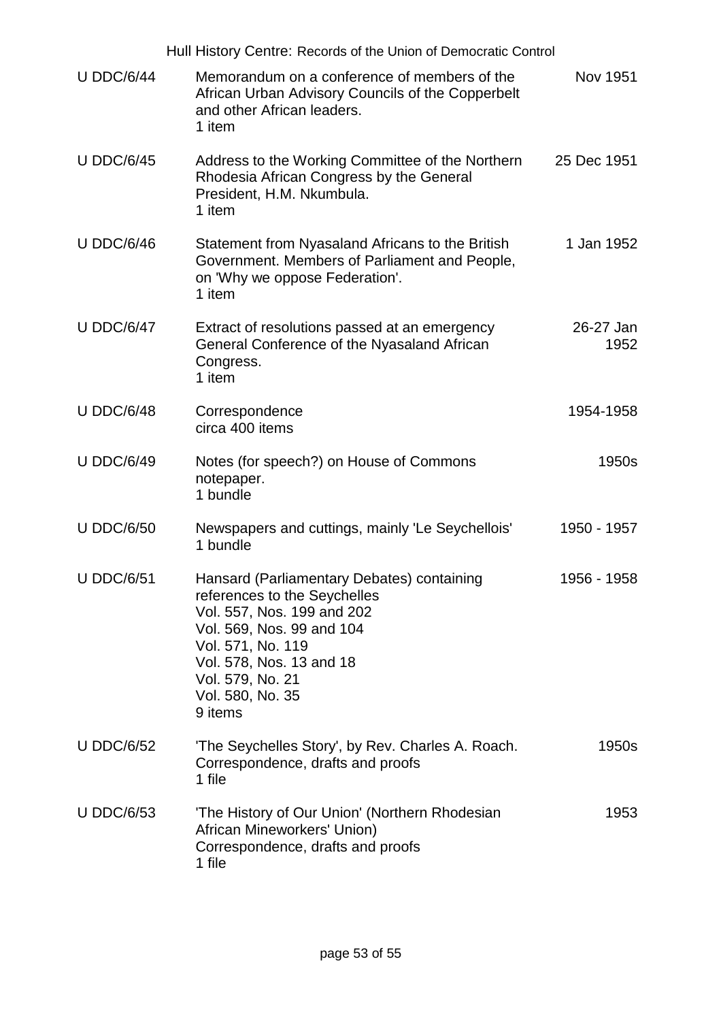|                   | Hull History Centre: Records of the Union of Democratic Control                                                                                                                                                                           |                   |
|-------------------|-------------------------------------------------------------------------------------------------------------------------------------------------------------------------------------------------------------------------------------------|-------------------|
| <b>U DDC/6/44</b> | Memorandum on a conference of members of the<br>African Urban Advisory Councils of the Copperbelt<br>and other African leaders.<br>1 item                                                                                                 | <b>Nov 1951</b>   |
| <b>U DDC/6/45</b> | Address to the Working Committee of the Northern<br>Rhodesia African Congress by the General<br>President, H.M. Nkumbula.<br>1 item                                                                                                       | 25 Dec 1951       |
| <b>U DDC/6/46</b> | Statement from Nyasaland Africans to the British<br>Government. Members of Parliament and People,<br>on 'Why we oppose Federation'.<br>1 item                                                                                             | 1 Jan 1952        |
| <b>U DDC/6/47</b> | Extract of resolutions passed at an emergency<br>General Conference of the Nyasaland African<br>Congress.<br>1 item                                                                                                                       | 26-27 Jan<br>1952 |
| <b>U DDC/6/48</b> | Correspondence<br>circa 400 items                                                                                                                                                                                                         | 1954-1958         |
| <b>U DDC/6/49</b> | Notes (for speech?) on House of Commons<br>notepaper.<br>1 bundle                                                                                                                                                                         | 1950s             |
| <b>U DDC/6/50</b> | Newspapers and cuttings, mainly 'Le Seychellois'<br>1 bundle                                                                                                                                                                              | 1950 - 1957       |
| <b>U DDC/6/51</b> | Hansard (Parliamentary Debates) containing<br>references to the Seychelles<br>Vol. 557, Nos. 199 and 202<br>Vol. 569, Nos. 99 and 104<br>Vol. 571, No. 119<br>Vol. 578, Nos. 13 and 18<br>Vol. 579, No. 21<br>Vol. 580, No. 35<br>9 items | 1956 - 1958       |
| <b>U DDC/6/52</b> | 'The Seychelles Story', by Rev. Charles A. Roach.<br>Correspondence, drafts and proofs<br>1 file                                                                                                                                          | 1950s             |
| <b>U DDC/6/53</b> | 'The History of Our Union' (Northern Rhodesian<br>African Mineworkers' Union)<br>Correspondence, drafts and proofs<br>1 file                                                                                                              | 1953              |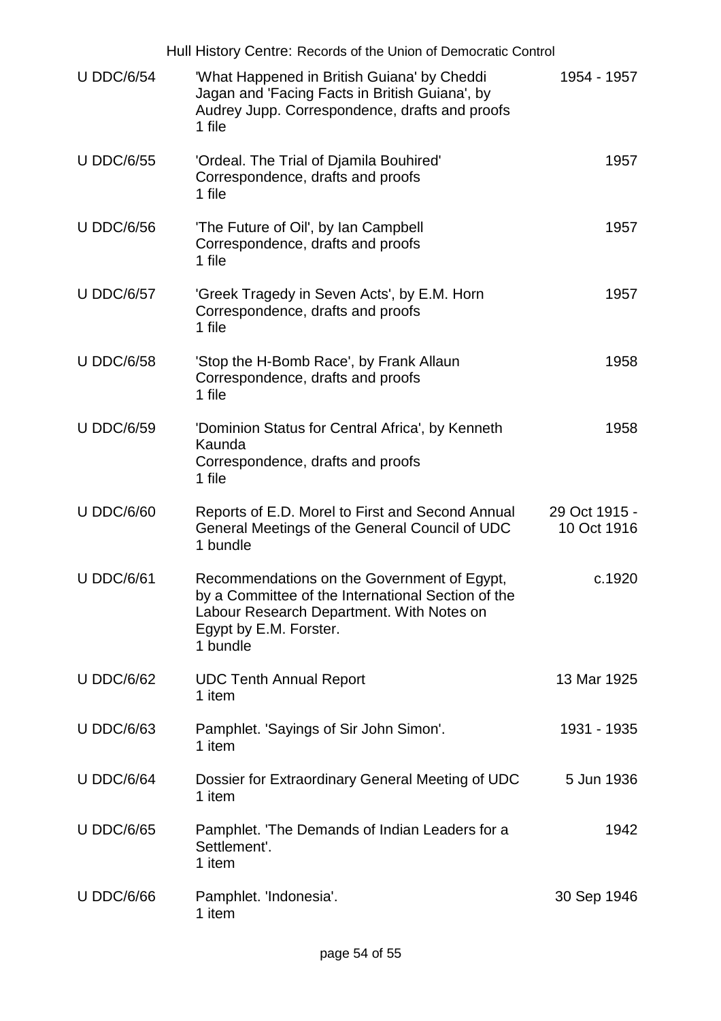|                   | Hull History Centre: Records of the Union of Democratic Control                                                                                                                      |                              |
|-------------------|--------------------------------------------------------------------------------------------------------------------------------------------------------------------------------------|------------------------------|
| <b>U DDC/6/54</b> | 'What Happened in British Guiana' by Cheddi<br>Jagan and 'Facing Facts in British Guiana', by<br>Audrey Jupp. Correspondence, drafts and proofs<br>1 file                            | 1954 - 1957                  |
| <b>U DDC/6/55</b> | 'Ordeal. The Trial of Djamila Bouhired'<br>Correspondence, drafts and proofs<br>1 file                                                                                               | 1957                         |
| <b>U DDC/6/56</b> | 'The Future of Oil', by lan Campbell<br>Correspondence, drafts and proofs<br>1 file                                                                                                  | 1957                         |
| <b>U DDC/6/57</b> | 'Greek Tragedy in Seven Acts', by E.M. Horn<br>Correspondence, drafts and proofs<br>1 file                                                                                           | 1957                         |
| <b>U DDC/6/58</b> | 'Stop the H-Bomb Race', by Frank Allaun<br>Correspondence, drafts and proofs<br>1 file                                                                                               | 1958                         |
| <b>U DDC/6/59</b> | 'Dominion Status for Central Africa', by Kenneth<br>Kaunda<br>Correspondence, drafts and proofs<br>1 file                                                                            | 1958                         |
| <b>U DDC/6/60</b> | Reports of E.D. Morel to First and Second Annual<br>General Meetings of the General Council of UDC<br>1 bundle                                                                       | 29 Oct 1915 -<br>10 Oct 1916 |
| <b>U DDC/6/61</b> | Recommendations on the Government of Egypt,<br>by a Committee of the International Section of the<br>Labour Research Department. With Notes on<br>Egypt by E.M. Forster.<br>1 bundle | c.1920                       |
| <b>U DDC/6/62</b> | <b>UDC Tenth Annual Report</b><br>1 item                                                                                                                                             | 13 Mar 1925                  |
| <b>U DDC/6/63</b> | Pamphlet. 'Sayings of Sir John Simon'.<br>1 item                                                                                                                                     | 1931 - 1935                  |
| <b>U DDC/6/64</b> | Dossier for Extraordinary General Meeting of UDC<br>1 item                                                                                                                           | 5 Jun 1936                   |
| <b>U DDC/6/65</b> | Pamphlet. The Demands of Indian Leaders for a<br>Settlement'.<br>1 item                                                                                                              | 1942                         |
| <b>U DDC/6/66</b> | Pamphlet. 'Indonesia'.<br>1 item                                                                                                                                                     | 30 Sep 1946                  |